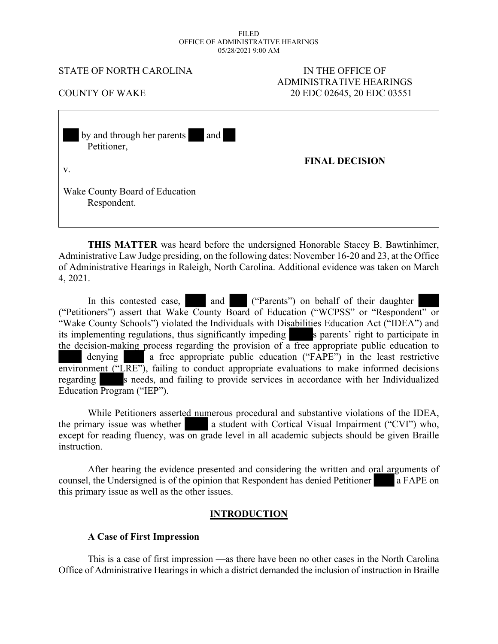#### FILED OFFICE OF ADMINISTRATIVE HEARINGS 05/28/2021 9:00 AM

#### STATE OF NORTH CAROLINA IN THE OFFICE OF

# ADMINISTRATIVE HEARINGS COUNTY OF WAKE 20 EDC 02645, 20 EDC 03551

| and<br>by and through her parents<br>Petitioner,    | <b>FINAL DECISION</b> |
|-----------------------------------------------------|-----------------------|
| V.<br>Wake County Board of Education<br>Respondent. |                       |

**THIS MATTER** was heard before the undersigned Honorable Stacey B. Bawtinhimer, Administrative Law Judge presiding, on the following dates: November 16-20 and 23, at the Office of Administrative Hearings in Raleigh, North Carolina. Additional evidence was taken on March 4, 2021.

In this contested case, and ("Parents") on behalf of their daughter ("Petitioners") assert that Wake County Board of Education ("WCPSS" or "Respondent" or "Wake County Schools") violated the Individuals with Disabilities Education Act ("IDEA") and its implementing regulations, thus significantly impeding s parents' right to participate in the decision-making process regarding the provision of a free appropriate public education to denying a free appropriate public education ("FAPE") in the least restrictive environment (" $\overline{\text{LRE}}$ "), failing to conduct appropriate evaluations to make informed decisions regarding s needs, and failing to provide services in accordance with her Individualized Education Program ("IEP").

While Petitioners asserted numerous procedural and substantive violations of the IDEA, the primary issue was whether a student with Cortical Visual Impairment ("CVI") who, except for reading fluency, was on grade level in all academic subjects should be given Braille **instruction** 

After hearing the evidence presented and considering the written and oral arguments of counsel, the Undersigned is of the opinion that Respondent has denied Petitioner a FAPE on this primary issue as well as the other issues.

# **INTRODUCTION**

# **A Case of First Impression**

This is a case of first impression —as there have been no other cases in the North Carolina Office of Administrative Hearings in which a district demanded the inclusion of instruction in Braille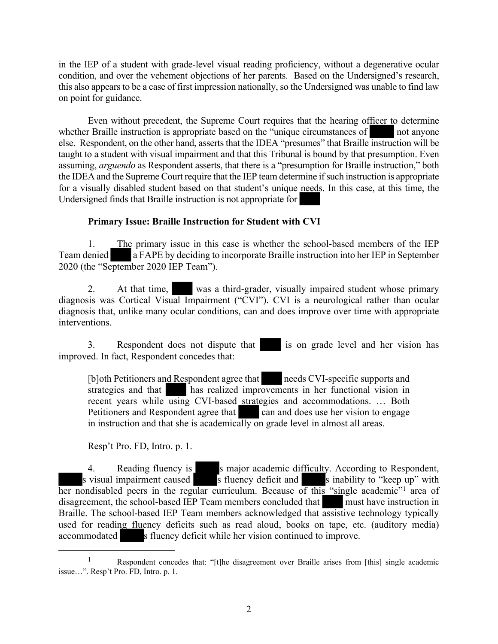in the IEP of a student with grade-level visual reading proficiency, without a degenerative ocular condition, and over the vehement objections of her parents. Based on the Undersigned's research, this also appears to be a case of first impression nationally, so the Undersigned was unable to find law on point for guidance.

Even without precedent, the Supreme Court requires that the hearing officer to determine whether Braille instruction is appropriate based on the "unique circumstances of not anyone else. Respondent, on the other hand, asserts that the IDEA "presumes" that Braille instruction will be taught to a student with visual impairment and that this Tribunal is bound by that presumption. Even assuming, *arguendo* as Respondent asserts, that there is a "presumption for Braille instruction," both the IDEA and the Supreme Court require that the IEP team determine if such instruction is appropriate for a visually disabled student based on that student's unique needs. In this case, at this time, the Undersigned finds that Braille instruction is not appropriate for

# **Primary Issue: Braille Instruction for Student with CVI**

1. The primary issue in this case is whether the school-based members of the IEP Team denied a FAPE by deciding to incorporate Braille instruction into her IEP in September 2020 (the "September 2020 IEP Team").

2. At that time, was a third-grader, visually impaired student whose primary diagnosis was Cortical Visual Impairment ("CVI"). CVI is a neurological rather than ocular diagnosis that, unlike many ocular conditions, can and does improve over time with appropriate interventions.

3. Respondent does not dispute that is on grade level and her vision has improved. In fact, Respondent concedes that:

[b]oth Petitioners and Respondent agree that needs CVI-specific supports and strategies and that has realized improvements in her functional vision in recent years while using CVI-based strategies and accommodations. ... Both Petitioners and Respondent agree that can and does use her vision to engage Petitioners and Respondent agree that in instruction and that she is academically on grade level in almost all areas.

Resp't Pro. FD, Intro. p. 1.

4. Reading fluency is smajor academic difficulty. According to Respondent, s visual impairment caused s fluency deficit and s inability to "keep up" with her nondisabled peers in the regular curriculum. Because of this "single academic"<sup>1</sup> area of disagreement, the school-based IEP Team members concluded that must have instruction in Braille. The school-based IEP Team members acknowledged that assistive technology typically used for reading fluency deficits such as read aloud, books on tape, etc. (auditory media) accommodated s fluency deficit while her vision continued to improve.

<sup>&</sup>lt;sup>1</sup> Respondent concedes that: "[t]he disagreement over Braille arises from [this] single academic issue…". Resp't Pro. FD, Intro. p. 1.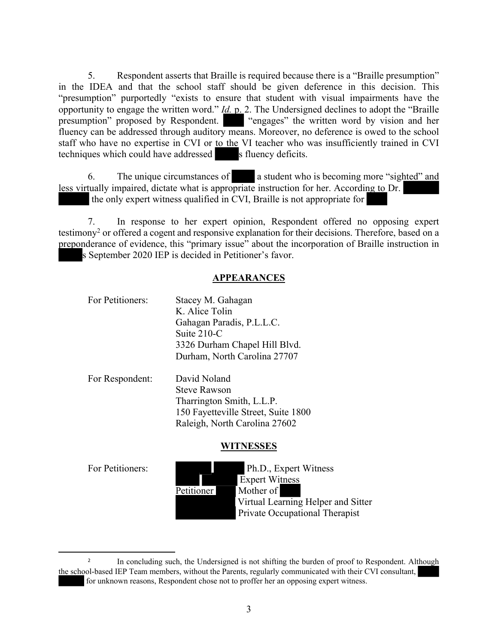5. Respondent asserts that Braille is required because there is a "Braille presumption" in the IDEA and that the school staff should be given deference in this decision. This "presumption" purportedly "exists to ensure that student with visual impairments have the opportunity to engage the written word." *Id.* p. 2. The Undersigned declines to adopt the "Braille presumption" proposed by Respondent. "engages" the written word by vision and her fluency can be addressed through auditory means. Moreover, no deference is owed to the school staff who have no expertise in CVI or to the VI teacher who was insufficiently trained in CVI techniques which could have addressed s fluency deficits.

6. The unique circumstances of a student who is becoming more "sighted" and less virtually impaired, dictate what is appropriate instruction for her. According to Dr. the only expert witness qualified in CVI, Braille is not appropriate for

7. In response to her expert opinion, Respondent offered no opposing expert testimony<sup>2</sup> or offered a cogent and responsive explanation for their decisions. Therefore, based on a preponderance of evidence, this "primary issue" about the incorporation of Braille instruction in s September 2020 IEP is decided in Petitioner's favor.

#### **APPEARANCES**

| For Petitioners: | Stacey M. Gahagan             |  |
|------------------|-------------------------------|--|
|                  | K. Alice Tolin                |  |
|                  | Gahagan Paradis, P.L.L.C.     |  |
|                  | Suite 210-C                   |  |
|                  | 3326 Durham Chapel Hill Blvd. |  |
|                  | Durham, North Carolina 27707  |  |
| For Respondent:  | David Noland                  |  |
|                  | <b>Steve Rawson</b>           |  |

Tharrington Smith, L.L.P. 150 Fayetteville Street, Suite 1800 Raleigh, North Carolina 27602

# **WITNESSES**

For Petitioners: Ph.D., Expert Witness Expert Witness Petitioner Mother of Virtual Learning Helper and Sitter Private Occupational Therapist

<sup>2</sup> In concluding such, the Undersigned is not shifting the burden of proof to Respondent. Although the school-based IEP Team members, without the Parents, regularly communicated with their CVI consultant, for unknown reasons, Respondent chose not to proffer her an opposing expert witness.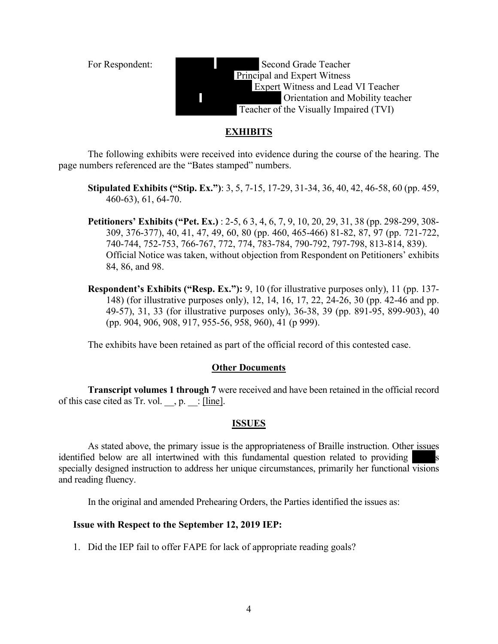

#### **EXHIBITS**

The following exhibits were received into evidence during the course of the hearing. The page numbers referenced are the "Bates stamped" numbers.

- **Stipulated Exhibits ("Stip. Ex.")**: 3, 5, 7-15, 17-29, 31-34, 36, 40, 42, 46-58, 60 (pp. 459, 460-63), 61, 64-70.
- **Petitioners' Exhibits ("Pet. Ex.)** : 2-5, 6 3, 4, 6, 7, 9, 10, 20, 29, 31, 38 (pp. 298-299, 308- 309, 376-377), 40, 41, 47, 49, 60, 80 (pp. 460, 465-466) 81-82, 87, 97 (pp. 721-722, 740-744, 752-753, 766-767, 772, 774, 783-784, 790-792, 797-798, 813-814, 839). Official Notice was taken, without objection from Respondent on Petitioners' exhibits 84, 86, and 98.
- **Respondent's Exhibits ("Resp. Ex."):** 9, 10 (for illustrative purposes only), 11 (pp. 137-148) (for illustrative purposes only), 12, 14, 16, 17, 22, 24-26, 30 (pp. 42-46 and pp. 49-57), 31, 33 (for illustrative purposes only), 36-38, 39 (pp. 891-95, 899-903), 40 (pp. 904, 906, 908, 917, 955-56, 958, 960), 41 (p 999).

The exhibits have been retained as part of the official record of this contested case.

#### **Other Documents**

**Transcript volumes 1 through 7** were received and have been retained in the official record of this case cited as Tr. vol.  $\Box$ , p.  $\Box$ : [line].

#### **ISSUES**

As stated above, the primary issue is the appropriateness of Braille instruction. Other issues identified below are all intertwined with this fundamental question related to providing specially designed instruction to address her unique circumstances, primarily her functional visions and reading fluency.

In the original and amended Prehearing Orders, the Parties identified the issues as:

#### **Issue with Respect to the September 12, 2019 IEP:**

1. Did the IEP fail to offer FAPE for lack of appropriate reading goals?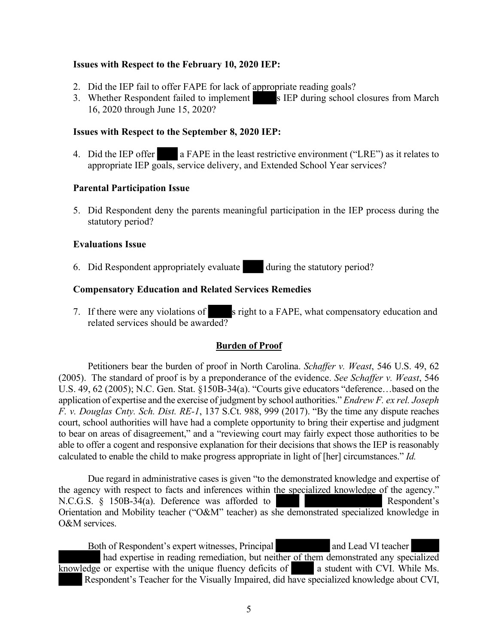#### **Issues with Respect to the February 10, 2020 IEP:**

- 2. Did the IEP fail to offer FAPE for lack of appropriate reading goals?
- 3. Whether Respondent failed to implement s IEP during school closures from March 16, 2020 through June 15, 2020?

#### **Issues with Respect to the September 8, 2020 IEP:**

4. Did the IEP offer a FAPE in the least restrictive environment ("LRE") as it relates to appropriate IEP goals, service delivery, and Extended School Year services?

#### **Parental Participation Issue**

5. Did Respondent deny the parents meaningful participation in the IEP process during the statutory period?

#### **Evaluations Issue**

6. Did Respondent appropriately evaluate during the statutory period?

#### **Compensatory Education and Related Services Remedies**

7. If there were any violations of s right to a FAPE, what compensatory education and related services should be awarded?

# **Burden of Proof**

Petitioners bear the burden of proof in North Carolina. *Schaffer v. Weast*, 546 U.S. 49, 62 (2005). The standard of proof is by a preponderance of the evidence. *See Schaffer v. Weast*, 546 U.S. 49, 62 (2005); N.C. Gen. Stat. §150B-34(a). "Courts give educators "deference…based on the application of expertise and the exercise of judgment by school authorities." *Endrew F. ex rel. Joseph F. v. Douglas Cnty. Sch. Dist. RE-1*, 137 S.Ct. 988, 999 (2017). "By the time any dispute reaches court, school authorities will have had a complete opportunity to bring their expertise and judgment to bear on areas of disagreement," and a "reviewing court may fairly expect those authorities to be able to offer a cogent and responsive explanation for their decisions that shows the IEP is reasonably calculated to enable the child to make progress appropriate in light of [her] circumstances." *Id.*

Due regard in administrative cases is given "to the demonstrated knowledge and expertise of the agency with respect to facts and inferences within the specialized knowledge of the agency." N.C.G.S. § 150B-34(a). Deference was afforded to Respondent's Orientation and Mobility teacher ("O&M" teacher) as she demonstrated specialized knowledge in O&M services.

Both of Respondent's expert witnesses, Principal and Lead VI teacher had expertise in reading remediation, but neither of them demonstrated any specialized  $\overline{k}$  knowledge or expertise with the unique fluency deficits of  $\overline{a}$  a student with CVI. While Ms. Respondent's Teacher for the Visually Impaired, did have specialized knowledge about CVI,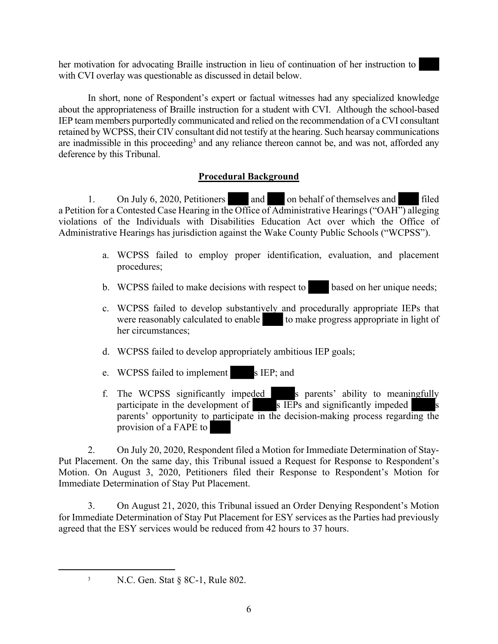her motivation for advocating Braille instruction in lieu of continuation of her instruction to with CVI overlay was questionable as discussed in detail below.

In short, none of Respondent's expert or factual witnesses had any specialized knowledge about the appropriateness of Braille instruction for a student with CVI. Although the school-based IEP team members purportedly communicated and relied on the recommendation of a CVI consultant retained by WCPSS, their CIV consultant did not testify at the hearing. Such hearsay communications are inadmissible in this proceeding<sup>3</sup> and any reliance thereon cannot be, and was not, afforded any deference by this Tribunal.

# **Procedural Background**

1. On July 6, 2020, Petitioners and on behalf of themselves and filed a Petition for a Contested Case Hearing in the Office of Administrative Hearings ("OAH") alleging violations of the Individuals with Disabilities Education Act over which the Office of Administrative Hearings has jurisdiction against the Wake County Public Schools ("WCPSS").

- a. WCPSS failed to employ proper identification, evaluation, and placement procedures;
- b. WCPSS failed to make decisions with respect to based on her unique needs;
- c. WCPSS failed to develop substantively and procedurally appropriate IEPs that were reasonably calculated to enable  $\qquad$  to make progress appropriate in light of her circumstances;
- d. WCPSS failed to develop appropriately ambitious IEP goals;
- e. WCPSS failed to implement s IEP; and
- f. The WCPSS significantly impeded s parents' ability to meaningfully participate in the development of  $\overline{s}$  IEPs and significantly impeded parents' opportunity to participate in the decision-making process regarding the provision of a FAPE to

2. On July 20, 2020, Respondent filed a Motion for Immediate Determination of Stay-Put Placement. On the same day, this Tribunal issued a Request for Response to Respondent's Motion. On August 3, 2020, Petitioners filed their Response to Respondent's Motion for Immediate Determination of Stay Put Placement.

3. On August 21, 2020, this Tribunal issued an Order Denying Respondent's Motion for Immediate Determination of Stay Put Placement for ESY services as the Parties had previously agreed that the ESY services would be reduced from 42 hours to 37 hours.

<sup>&</sup>lt;sup>3</sup> N.C. Gen. Stat  $\S$  8C-1, Rule 802.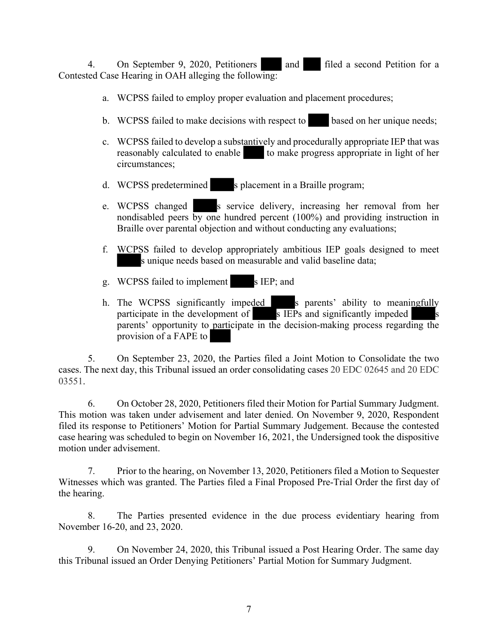4. On September 9, 2020, Petitioners and filed a second Petition for a Contested Case Hearing in OAH alleging the following:

- a. WCPSS failed to employ proper evaluation and placement procedures;
- b. WCPSS failed to make decisions with respect to based on her unique needs;
- c. WCPSS failed to develop a substantively and procedurally appropriate IEP that was reasonably calculated to enable to make progress appropriate in light of her circumstances;
- d. WCPSS predetermined s placement in a Braille program;
- e. WCPSS changed s service delivery, increasing her removal from her nondisabled peers by one hundred percent (100%) and providing instruction in Braille over parental objection and without conducting any evaluations;
- f. WCPSS failed to develop appropriately ambitious IEP goals designed to meet s unique needs based on measurable and valid baseline data;
- g. WCPSS failed to implement s IEP; and
- h. The WCPSS significantly impeded s parents' ability to meaningfully participate in the development of  $\overline{s}$  IEPs and significantly impeded parents' opportunity to participate in the decision-making process regarding the provision of a FAPE to

5. On September 23, 2020, the Parties filed a Joint Motion to Consolidate the two cases. The next day, this Tribunal issued an order consolidating cases 20 EDC 02645 and 20 EDC 03551.

6. On October 28, 2020, Petitioners filed their Motion for Partial Summary Judgment. This motion was taken under advisement and later denied. On November 9, 2020, Respondent filed its response to Petitioners' Motion for Partial Summary Judgement. Because the contested case hearing was scheduled to begin on November 16, 2021, the Undersigned took the dispositive motion under advisement.

7. Prior to the hearing, on November 13, 2020, Petitioners filed a Motion to Sequester Witnesses which was granted. The Parties filed a Final Proposed Pre-Trial Order the first day of the hearing.

8. The Parties presented evidence in the due process evidentiary hearing from November 16-20, and 23, 2020.

9. On November 24, 2020, this Tribunal issued a Post Hearing Order. The same day this Tribunal issued an Order Denying Petitioners' Partial Motion for Summary Judgment.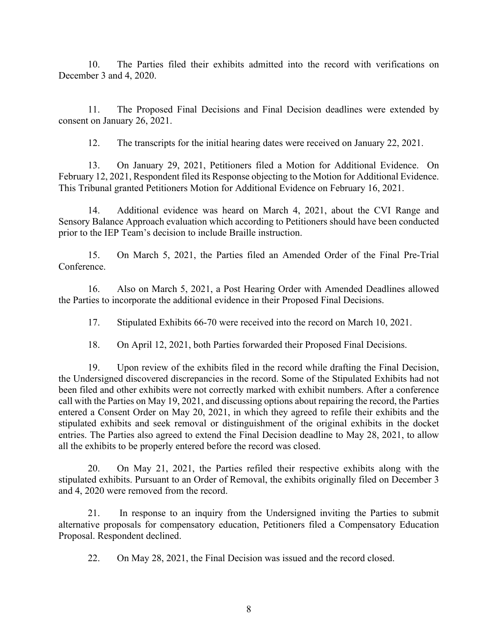10. The Parties filed their exhibits admitted into the record with verifications on December 3 and 4, 2020.

11. The Proposed Final Decisions and Final Decision deadlines were extended by consent on January 26, 2021.

12. The transcripts for the initial hearing dates were received on January 22, 2021.

13. On January 29, 2021, Petitioners filed a Motion for Additional Evidence. On February 12, 2021, Respondent filed its Response objecting to the Motion for Additional Evidence. This Tribunal granted Petitioners Motion for Additional Evidence on February 16, 2021.

14. Additional evidence was heard on March 4, 2021, about the CVI Range and Sensory Balance Approach evaluation which according to Petitioners should have been conducted prior to the IEP Team's decision to include Braille instruction.

15. On March 5, 2021, the Parties filed an Amended Order of the Final Pre-Trial **Conference** 

16. Also on March 5, 2021, a Post Hearing Order with Amended Deadlines allowed the Parties to incorporate the additional evidence in their Proposed Final Decisions.

17. Stipulated Exhibits 66-70 were received into the record on March 10, 2021.

18. On April 12, 2021, both Parties forwarded their Proposed Final Decisions.

19. Upon review of the exhibits filed in the record while drafting the Final Decision, the Undersigned discovered discrepancies in the record. Some of the Stipulated Exhibits had not been filed and other exhibits were not correctly marked with exhibit numbers. After a conference call with the Parties on May 19, 2021, and discussing options about repairing the record, the Parties entered a Consent Order on May 20, 2021, in which they agreed to refile their exhibits and the stipulated exhibits and seek removal or distinguishment of the original exhibits in the docket entries. The Parties also agreed to extend the Final Decision deadline to May 28, 2021, to allow all the exhibits to be properly entered before the record was closed.

20. On May 21, 2021, the Parties refiled their respective exhibits along with the stipulated exhibits. Pursuant to an Order of Removal, the exhibits originally filed on December 3 and 4, 2020 were removed from the record.

21. In response to an inquiry from the Undersigned inviting the Parties to submit alternative proposals for compensatory education, Petitioners filed a Compensatory Education Proposal. Respondent declined.

22. On May 28, 2021, the Final Decision was issued and the record closed.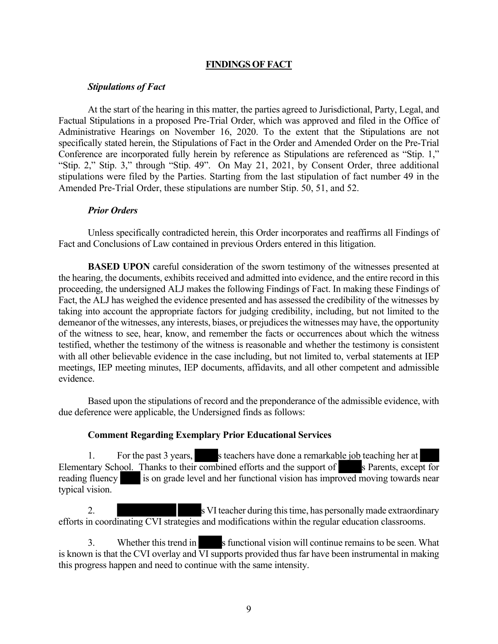#### **FINDINGS OF FACT**

#### *Stipulations of Fact*

At the start of the hearing in this matter, the parties agreed to Jurisdictional, Party, Legal, and Factual Stipulations in a proposed Pre-Trial Order, which was approved and filed in the Office of Administrative Hearings on November 16, 2020. To the extent that the Stipulations are not specifically stated herein, the Stipulations of Fact in the Order and Amended Order on the Pre-Trial Conference are incorporated fully herein by reference as Stipulations are referenced as "Stip. 1," "Stip. 2," Stip. 3," through "Stip. 49". On May 21, 2021, by Consent Order, three additional stipulations were filed by the Parties. Starting from the last stipulation of fact number 49 in the Amended Pre-Trial Order, these stipulations are number Stip. 50, 51, and 52.

#### *Prior Orders*

Unless specifically contradicted herein, this Order incorporates and reaffirms all Findings of Fact and Conclusions of Law contained in previous Orders entered in this litigation.

**BASED UPON** careful consideration of the sworn testimony of the witnesses presented at the hearing, the documents, exhibits received and admitted into evidence, and the entire record in this proceeding, the undersigned ALJ makes the following Findings of Fact. In making these Findings of Fact, the ALJ has weighed the evidence presented and has assessed the credibility of the witnesses by taking into account the appropriate factors for judging credibility, including, but not limited to the demeanor of the witnesses, any interests, biases, or prejudices the witnesses may have, the opportunity of the witness to see, hear, know, and remember the facts or occurrences about which the witness testified, whether the testimony of the witness is reasonable and whether the testimony is consistent with all other believable evidence in the case including, but not limited to, verbal statements at IEP meetings, IEP meeting minutes, IEP documents, affidavits, and all other competent and admissible evidence.

Based upon the stipulations of record and the preponderance of the admissible evidence, with due deference were applicable, the Undersigned finds as follows:

#### **Comment Regarding Exemplary Prior Educational Services**

1. For the past 3 years, s teachers have done a remarkable job teaching her at Elementary School. Thanks to their combined efforts and the support of s Parents, except for reading fluency is on grade level and her functional vision has improved moving towards near typical vision.

2. s VI teacher during this time, has personally made extraordinary efforts in coordinating CVI strategies and modifications within the regular education classrooms.

3. Whether this trend in s functional vision will continue remains to be seen. What is known is that the CVI overlay and  $\overline{VI}$  supports provided thus far have been instrumental in making this progress happen and need to continue with the same intensity.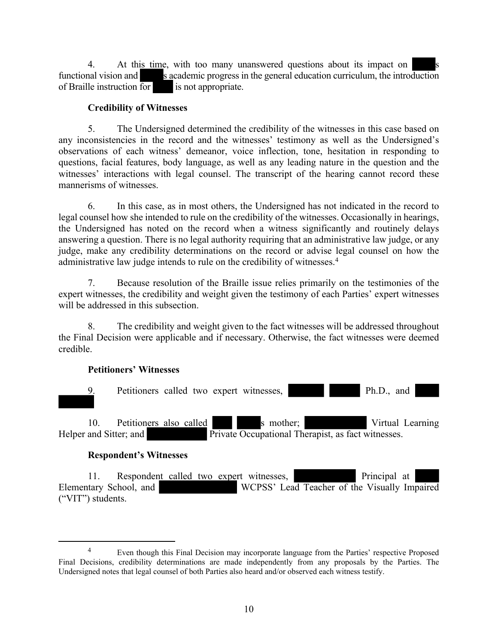4. At this time, with too many unanswered questions about its impact on functional vision and s academic progress in the general education curriculum, the introduction of Braille instruction for is not appropriate.

# **Credibility of Witnesses**

5. The Undersigned determined the credibility of the witnesses in this case based on any inconsistencies in the record and the witnesses' testimony as well as the Undersigned's observations of each witness' demeanor, voice inflection, tone, hesitation in responding to questions, facial features, body language, as well as any leading nature in the question and the witnesses' interactions with legal counsel. The transcript of the hearing cannot record these mannerisms of witnesses.

6. In this case, as in most others, the Undersigned has not indicated in the record to legal counsel how she intended to rule on the credibility of the witnesses. Occasionally in hearings, the Undersigned has noted on the record when a witness significantly and routinely delays answering a question. There is no legal authority requiring that an administrative law judge, or any judge, make any credibility determinations on the record or advise legal counsel on how the administrative law judge intends to rule on the credibility of witnesses.<sup>4</sup>

7. Because resolution of the Braille issue relies primarily on the testimonies of the expert witnesses, the credibility and weight given the testimony of each Parties' expert witnesses will be addressed in this subsection.

8. The credibility and weight given to the fact witnesses will be addressed throughout the Final Decision were applicable and if necessary. Otherwise, the fact witnesses were deemed credible.

#### **Petitioners' Witnesses**



#### **Respondent's Witnesses**

11. Respondent called two expert witnesses, Principal at Elementary School, and WCPSS' Lead Teacher of the Visually Impaired ("VIT") students.

<sup>&</sup>lt;sup>4</sup> Even though this Final Decision may incorporate language from the Parties' respective Proposed Final Decisions, credibility determinations are made independently from any proposals by the Parties. The Undersigned notes that legal counsel of both Parties also heard and/or observed each witness testify.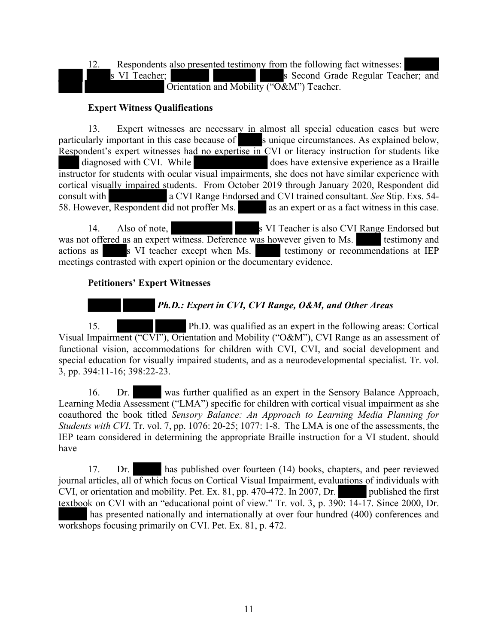12. Respondents also presented testimony from the following fact witnesses: s VI Teacher; s Second Grade Regular Teacher; and Orientation and Mobility ("O&M") Teacher.

## **Expert Witness Qualifications**

13. Expert witnesses are necessary in almost all special education cases but were particularly important in this case because of sunique circumstances. As explained below, Respondent's expert witnesses had no expertise in CVI or literacy instruction for students like diagnosed with CVI. While does have extensive experience as a Braille instructor for students with ocular visual impairments, she does not have similar experience with cortical visually impaired students. From October 2019 through January 2020, Respondent did consult with a CVI Range Endorsed and CVI trained consultant. *See* Stip. Exs. 54- 58. However, Respondent did not proffer Ms. as an expert or as a fact witness in this case.

14. Also of note, so VI Teacher is also CVI Range Endorsed but was not offered as an expert witness. Deference was however given to Ms. testimony and actions as s S VI teacher except when Ms. testimony or recommendations at IEP meetings contrasted with expert opinion or the documentary evidence.

#### **Petitioners' Expert Witnesses**

# *Ph.D.: Expert in CVI, CVI Range, O&M, and Other Areas*

15. Ph.D. was qualified as an expert in the following areas: Cortical Visual Impairment ("CVI"), Orientation and Mobility ("O&M"), CVI Range as an assessment of functional vision, accommodations for children with CVI, CVI, and social development and special education for visually impaired students, and as a neurodevelopmental specialist. Tr. vol. 3, pp. 394:11-16; 398:22-23.

16. Dr. was further qualified as an expert in the Sensory Balance Approach, Learning Media Assessment ("LMA") specific for children with cortical visual impairment as she coauthored the book titled *Sensory Balance: An Approach to Learning Media Planning for Students with CVI*. Tr. vol. 7, pp. 1076: 20-25; 1077: 1-8. The LMA is one of the assessments, the IEP team considered in determining the appropriate Braille instruction for a VI student. should have

17. Dr. has published over fourteen (14) books, chapters, and peer reviewed journal articles, all of which focus on Cortical Visual Impairment, evaluations of individuals with CVI, or orientation and mobility. Pet. Ex. 81, pp. 470-472. In 2007, Dr. CVI, or orientation and mobility. Pet. Ex.  $81$ , pp. 470-472. In 2007, Dr. textbook on CVI with an "educational point of view." Tr. vol. 3, p. 390: 14-17. Since 2000, Dr. has presented nationally and internationally at over four hundred (400) conferences and workshops focusing primarily on CVI. Pet. Ex. 81, p. 472.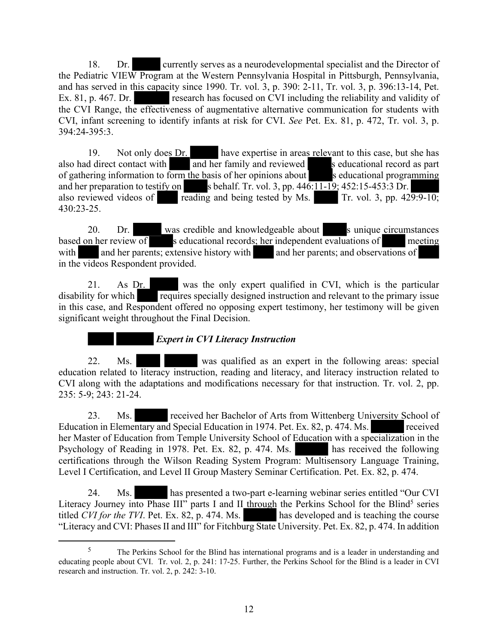18. Dr. currently serves as a neurodevelopmental specialist and the Director of the Pediatric VIEW Program at the Western Pennsylvania Hospital in Pittsburgh, Pennsylvania, and has served in this capacity since 1990. Tr. vol. 3, p. 390: 2-11, Tr. vol. 3, p. 396:13-14, Pet. Ex. 81, p. 467. Dr. research has focused on CVI including the reliability and validity of the CVI Range, the effectiveness of augmentative alternative communication for students with CVI, infant screening to identify infants at risk for CVI. *See* Pet. Ex. 81, p. 472, Tr. vol. 3, p. 394:24-395:3.

19. Not only does Dr. have expertise in areas relevant to this case, but she has also had direct contact with and her family and reviewed s educational record as part of gathering information to form the basis of her opinions about s educational programming and her preparation to testify on s behalf. Tr. vol. 3, pp.  $446:11-19$ ;  $452:15-453:3$  Dr.<br>also reviewed videos of reading and being tested by Ms. Tr. vol. 3, pp.  $429:9-10$ ; also reviewed videos of  $\overline{\mathbf{r}}$  reading and being tested by Ms. 430:23-25.

20. Dr. was credible and knowledgeable about s unique circumstances based on her review of s educational records; her independent evaluations of meeting with and her parents; extensive history with and her parents; and observations of in the videos Respondent provided.

21. As Dr. was the only expert qualified in CVI, which is the particular disability for which requires specially designed instruction and relevant to the primary issue in this case, and Respondent offered no opposing expert testimony, her testimony will be given significant weight throughout the Final Decision.

# *Expert in CVI Literacy Instruction*

22. Ms. was qualified as an expert in the following areas: special education related to literacy instruction, reading and literacy, and literacy instruction related to CVI along with the adaptations and modifications necessary for that instruction. Tr. vol. 2, pp. 235: 5-9; 243: 21-24.

23. Ms. received her Bachelor of Arts from Wittenberg University School of Education in Elementary and Special Education in 1974. Pet. Ex. 82, p. 474. Ms. her Master of Education from Temple University School of Education with a specialization in the Psychology of Reading in 1978. Pet. Ex. 82, p. 474. Ms. has received the following certifications through the Wilson Reading System Program: Multisensory Language Training, Level I Certification, and Level II Group Mastery Seminar Certification. Pet. Ex. 82, p. 474.

24. Ms. has presented a two-part e-learning webinar series entitled "Our CVI Literacy Journey into Phase III" parts I and II through the Perkins School for the Blind<sup>5</sup> series titled *CVI for the TVI*. Pet. Ex. 82, p. 474. Ms. has developed and is teaching the course "Literacy and CVI: Phases II and III" for Fitchburg State University. Pet. Ex. 82, p. 474. In addition

<sup>&</sup>lt;sup>5</sup> The Perkins School for the Blind has international programs and is a leader in understanding and educating people about CVI. Tr. vol. 2, p. 241: 17-25. Further, the Perkins School for the Blind is a leader in CVI research and instruction. Tr. vol. 2, p. 242: 3-10.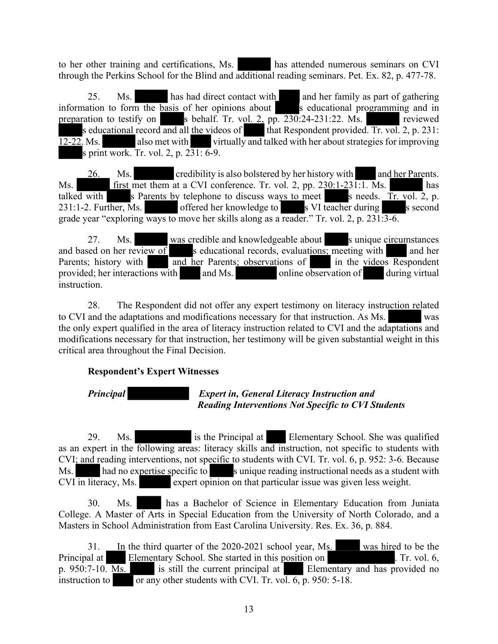to her other training and certifications, Ms. has attended numerous seminars on CVI through the Perkins School for the Blind and additional reading seminars. Pet. Ex. 82, p. 477-78.

25. Ms. has had direct contact with and her family as part of gathering information to form the basis of her opinions about s educational programming and in preparation to testify on s behalf. Tr. vol. 2, pp.  $230:24-231:22$ . Ms. s educational record and all the videos of that Respondent provided. Tr. vol. 2, p. 231: 12-22. Ms. also met with virtually and talked with her about strategies for improving s print work. Tr. vol. 2, p. 231: 6-9.

26. Ms. credibility is also bolstered by her history with and her Parents. Ms. first met them at a CVI conference. Tr. vol. 2, pp. 230:1-231:1. Ms. has talked with s Parents by telephone to discuss ways to meet s needs. Tr. vol. 2, p.  $231:1-2$ . Further, Ms. offered her knowledge to s VI teacher during s second grade year "exploring ways to move her skills along as a reader." Tr. vol. 2, p. 231:3-6.

27. Ms. was credible and knowledgeable about s unique circumstances and based on her review of s educational records, evaluations; meeting with and her Parents; history with and her Parents; observations of in the videos Respondent provided; her interactions with  $\qquad$  and Ms.  $\qquad$  online observation of during virtual instruction.

28. The Respondent did not offer any expert testimony on literacy instruction related to CVI and the adaptations and modifications necessary for that instruction. As Ms. was the only expert qualified in the area of literacy instruction related to CVI and the adaptations and modifications necessary for that instruction, her testimony will be given substantial weight in this critical area throughout the Final Decision.

# **Respondent's Expert Witnesses**

# *Principal Expert in, General Literacy Instruction and Reading Interventions Not Specific to CVI Students*

29. Ms. is the Principal at Elementary School. She was qualified as an expert in the following areas: literacy skills and instruction, not specific to students with CVI; and reading interventions, not specific to students with CVI. Tr. vol. 6, p. 952: 3-6. Because Ms. had no expertise specific to sunique reading instructional needs as a student with  $CVI$  in literacy, Ms. expert opinion on that particular issue was given less weight.

30. Ms. has a Bachelor of Science in Elementary Education from Juniata College. A Master of Arts in Special Education from the University of North Colorado, and a Masters in School Administration from East Carolina University. Res. Ex. 36, p. 884.

31. In the third quarter of the 2020-2021 school year, Ms. was hired to be the Principal at Elementary School. She started in this position on . Tr. vol. 6, p. 950:7-10. Ms. is still the current principal at Elementary and has provided no instruction to  $\overline{\qquad \qquad}$  or any other students with CVI. Tr. vol. 6, p. 950: 5-18.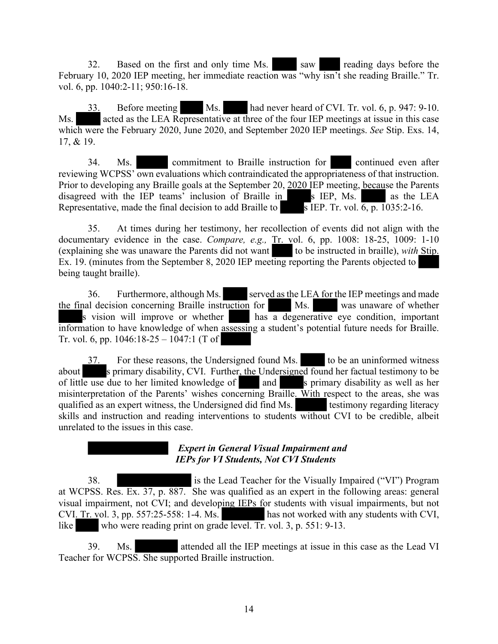32. Based on the first and only time Ms. Saw reading days before the February 10, 2020 IEP meeting, her immediate reaction was "why isn't she reading Braille." Tr. vol. 6, pp. 1040:2-11; 950:16-18.

33. Before meeting Ms. had never heard of CVI. Tr. vol. 6, p. 947: 9-10. Ms. acted as the LEA Representative at three of the four IEP meetings at issue in this case which were the February 2020, June 2020, and September 2020 IEP meetings. *See* Stip. Exs. 14, 17, & 19.

34. Ms. commitment to Braille instruction for continued even after reviewing WCPSS' own evaluations which contraindicated the appropriateness of that instruction. Prior to developing any Braille goals at the September 20, 2020 IEP meeting, because the Parents disagreed with the IEP teams' inclusion of Braille in s IEP, Ms. as the LEA Representative, made the final decision to add Braille to s IEP. Tr. vol.  $\overline{6}$ , p. 1035:2-16.

35. At times during her testimony, her recollection of events did not align with the documentary evidence in the case. *Compare, e.g.,* Tr. vol. 6, pp. 1008: 18-25, 1009: 1-10 (explaining she was unaware the Parents did not want to be instructed in braille), *with* Stip. Ex. 19. (minutes from the September 8, 2020 IEP meeting reporting the Parents objected to being taught braille).

36. Furthermore, although Ms. served as the LEA for the IEP meetings and made the final decision concerning Braille instruction for Ms. Was unaware of whether s vision will improve or whether has a degenerative eye condition, important information to have knowledge of when assessing a student's potential future needs for Braille. Tr. vol. 6, pp. 1046:18-25 – 1047:1 (T of

37. For these reasons, the Undersigned found Ms. to be an uninformed witness about s primary disability, CVI. Further, the Undersigned found her factual testimony to be of little use due to her limited knowledge of and s primary disability as well as her misinterpretation of the Parents' wishes concerning Braille. With respect to the areas, she was qualified as an expert witness, the Undersigned did find Ms. testimony regarding literacy skills and instruction and reading interventions to students without CVI to be credible, albeit unrelated to the issues in this case.

# *Expert in General Visual Impairment and IEPs for VI Students, Not CVI Students*

38. is the Lead Teacher for the Visually Impaired ("VI") Program at WCPSS. Res. Ex. 37, p. 887. She was qualified as an expert in the following areas: general visual impairment, not CVI; and developing IEPs for students with visual impairments, but not CVI. Tr. vol. 3, pp. 557:25-558: 1-4. Ms. has not worked with any students with CVI, like who were reading print on grade level. Tr. vol. 3, p. 551: 9-13.

39. Ms. attended all the IEP meetings at issue in this case as the Lead VI Teacher for WCPSS. She supported Braille instruction.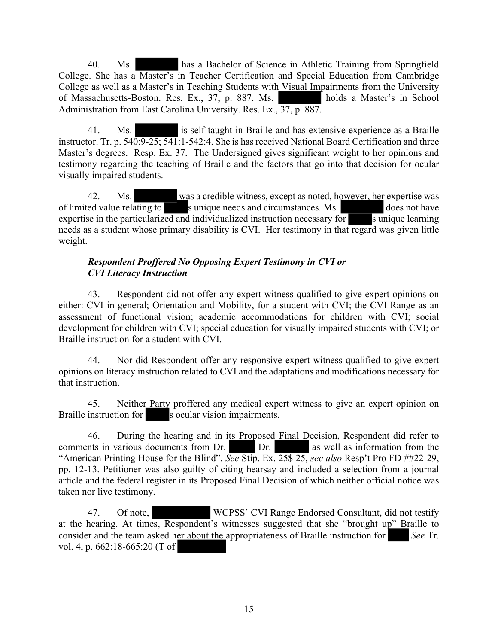40. Ms. has a Bachelor of Science in Athletic Training from Springfield College. She has a Master's in Teacher Certification and Special Education from Cambridge College as well as a Master's in Teaching Students with Visual Impairments from the University of Massachusetts-Boston. Res. Ex., 37, p. 887. Ms. holds a Master's in School Administration from East Carolina University. Res. Ex., 37, p. 887.

41. Ms. is self-taught in Braille and has extensive experience as a Braille instructor. Tr. p. 540:9-25; 541:1-542:4. She is has received National Board Certification and three Master's degrees. Resp. Ex. 37. The Undersigned gives significant weight to her opinions and testimony regarding the teaching of Braille and the factors that go into that decision for ocular visually impaired students.

42. Ms. was a credible witness, except as noted, however, her expertise was of limited value relating to sunique needs and circumstances. Ms. does not have expertise in the particularized and individualized instruction necessary for s unique learning needs as a student whose primary disability is CVI. Her testimony in that regard was given little weight.

## *Respondent Proffered No Opposing Expert Testimony in CVI or CVI Literacy Instruction*

43. Respondent did not offer any expert witness qualified to give expert opinions on either: CVI in general; Orientation and Mobility, for a student with CVI; the CVI Range as an assessment of functional vision; academic accommodations for children with CVI; social development for children with CVI; special education for visually impaired students with CVI; or Braille instruction for a student with CVI.

44. Nor did Respondent offer any responsive expert witness qualified to give expert opinions on literacy instruction related to CVI and the adaptations and modifications necessary for that instruction.

45. Neither Party proffered any medical expert witness to give an expert opinion on Braille instruction for s ocular vision impairments.

46. During the hearing and in its Proposed Final Decision, Respondent did refer to comments in various documents from Dr. Dr. In as well as information from the Dr. as well as information from the "American Printing House for the Blind". *See* Stip. Ex. 25\$ 25, *see also* Resp't Pro FD ##22-29, pp. 12-13. Petitioner was also guilty of citing hearsay and included a selection from a journal article and the federal register in its Proposed Final Decision of which neither official notice was taken nor live testimony.

47. Of note, WCPSS' CVI Range Endorsed Consultant, did not testify at the hearing. At times, Respondent's witnesses suggested that she "brought up" Braille to consider and the team asked her about the appropriateness of Braille instruction for *See* Tr. vol. 4, p. 662:18-665:20 (T of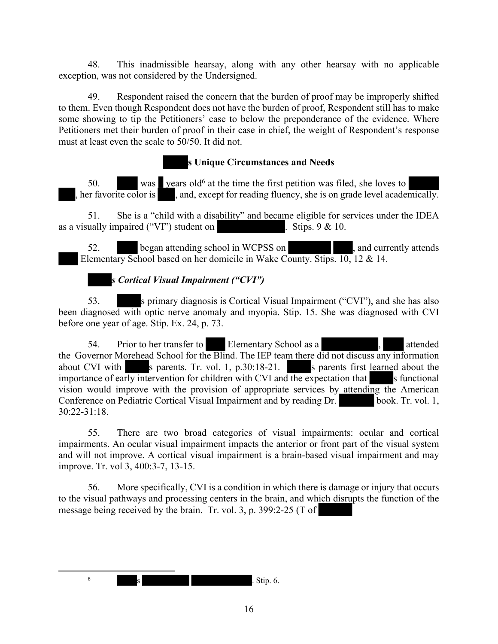48. This inadmissible hearsay, along with any other hearsay with no applicable exception, was not considered by the Undersigned.

49. Respondent raised the concern that the burden of proof may be improperly shifted to them. Even though Respondent does not have the burden of proof, Respondent still has to make some showing to tip the Petitioners' case to below the preponderance of the evidence. Where Petitioners met their burden of proof in their case in chief, the weight of Respondent's response must at least even the scale to 50/50. It did not.

# **s Unique Circumstances and Needs**

50. was vears old<sup>6</sup> at the time the first petition was filed, she loves to , her favorite color is , and, except for reading fluency, she is on grade level academically.

51. She is a "child with a disability" and became eligible for services under the IDEA as a visually impaired ("VI") student on . Stips.  $9 < 10$ .

52. began attending school in WCPSS on , and currently attends Elementary School based on her domicile in Wake County. Stips. 10, 12 & 14.

*s Cortical Visual Impairment ("CVI")*

53. s primary diagnosis is Cortical Visual Impairment ("CVI"), and she has also been diagnosed with optic nerve anomaly and myopia. Stip. 15. She was diagnosed with CVI before one year of age. Stip. Ex. 24, p. 73.

54. Prior to her transfer to Elementary School as a , attended the Governor Morehead School for the Blind. The IEP team there did not discuss any information about CVI with s parents. Tr. vol. 1, p.30:18-21. s parents first learned about the importance of early intervention for children with CVI and the expectation that  $\sim$  s functional vision would improve with the provision of appropriate services by attending the American Conference on Pediatric Cortical Visual Impairment and by reading Dr. book. Tr. vol. 1, 30:22-31:18.

55. There are two broad categories of visual impairments: ocular and cortical impairments. An ocular visual impairment impacts the anterior or front part of the visual system and will not improve. A cortical visual impairment is a brain-based visual impairment and may improve. Tr. vol 3, 400:3-7, 13-15.

56. More specifically, CVI is a condition in which there is damage or injury that occurs to the visual pathways and processing centers in the brain, and which disrupts the function of the message being received by the brain. Tr. vol. 3, p. 399:2-25 (T of

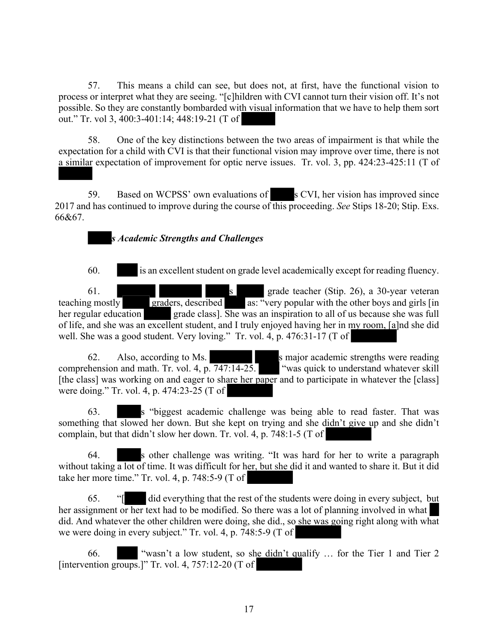57. This means a child can see, but does not, at first, have the functional vision to process or interpret what they are seeing. "[c]hildren with CVI cannot turn their vision off. It's not possible. So they are constantly bombarded with visual information that we have to help them sort out." Tr. vol 3, 400:3-401:14; 448:19-21 (T of

58. One of the key distinctions between the two areas of impairment is that while the expectation for a child with CVI is that their functional vision may improve over time, there is not a similar expectation of improvement for optic nerve issues. Tr. vol. 3, pp. 424:23-425:11 (T of

59. Based on WCPSS' own evaluations of s CVI, her vision has improved since 2017 and has continued to improve during the course of this proceeding. *See* Stips 18-20; Stip. Exs. 66&67.

# *s Academic Strengths and Challenges*

60. is an excellent student on grade level academically except for reading fluency.

61. s grade teacher (Stip. 26), a 30-year veteran teaching mostly graders, described as: "very popular with the other boys and girls [in] her regular education grade class]. She was an inspiration to all of us because she was full of life, and she was an excellent student, and I truly enjoyed having her in my room, [a]nd she did well. She was a good student. Very loving." Tr. vol. 4, p. 476:31-17 (T of

62. Also, according to Ms. s major academic strengths were reading comprehension and math. Tr. vol. 4, p. 747:14-25. "was quick to understand whatever skill [the class] was working on and eager to share her paper and to participate in whatever the [class] were doing." Tr. vol. 4, p. 474:23-25 (T of

63. s "biggest academic challenge was being able to read faster. That was something that slowed her down. But she kept on trying and she didn't give up and she didn't complain, but that didn't slow her down. Tr. vol. 4, p. 748:1-5 (T of

64. s other challenge was writing. "It was hard for her to write a paragraph without taking a lot of time. It was difficult for her, but she did it and wanted to share it. But it did take her more time." Tr. vol. 4, p. 748:5-9 (T of

65. "[ did everything that the rest of the students were doing in every subject, but her assignment or her text had to be modified. So there was a lot of planning involved in what did. And whatever the other children were doing, she did., so she was going right along with what we were doing in every subject." Tr. vol. 4, p. 748:5-9 (T of

66. "wasn't a low student, so she didn't qualify … for the Tier 1 and Tier 2 [intervention groups.]" Tr. vol. 4,  $757:12-20$  (T of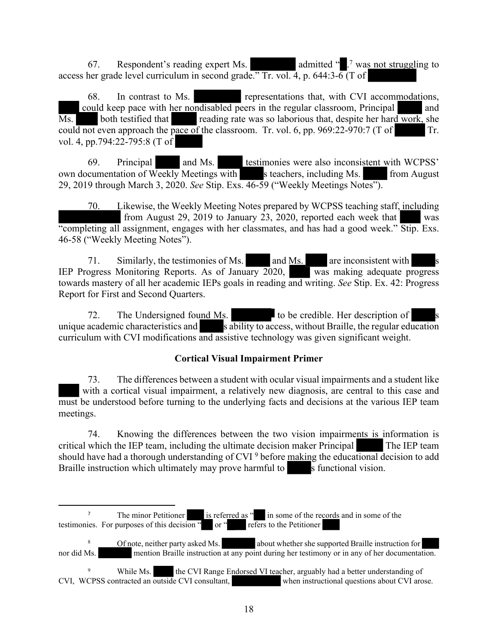67. Respondent's reading expert Ms. admitted " .<sup>7</sup> was not struggling to access her grade level curriculum in second grade." Tr. vol. 4, p. 644:3- $\overline{6}$  (T of

68. In contrast to Ms. **representations that, with CVI accommodations,** could keep pace with her nondisabled peers in the regular classroom, Principal and Ms. both testified that reading rate was so laborious that, despite her hard work, she could not even approach the pace of the classroom. Tr. vol. 6, pp. 969:22-970:7 (T of Tr. vol. 4, pp.794:22-795:8 (T of

69. Principal and Ms. testimonies were also inconsistent with WCPSS' own documentation of Weekly Meetings with s teachers, including Ms. from August 29, 2019 through March 3, 2020. *See* Stip. Exs. 46-59 ("Weekly Meetings Notes").

70. Likewise, the Weekly Meeting Notes prepared by WCPSS teaching staff, including from August 29, 2019 to January 23, 2020, reported each week that "completing all assignment, engages with her classmates, and has had a good week." Stip. Exs. 46-58 ("Weekly Meeting Notes").

71. Similarly, the testimonies of Ms. and Ms. are inconsistent with IEP Progress Monitoring Reports. As of January 2020, was making adequate progress towards mastery of all her academic IEPs goals in reading and writing. *See* Stip. Ex. 42: Progress Report for First and Second Quarters.

72. The Undersigned found Ms. to be credible. Her description of unique academic characteristics and  $\overline{\phantom{a}}$  s ability to access, without Braille, the regular education curriculum with CVI modifications and assistive technology was given significant weight.

# **Cortical Visual Impairment Primer**

73. The differences between a student with ocular visual impairments and a student like with a cortical visual impairment, a relatively new diagnosis, are central to this case and must be understood before turning to the underlying facts and decisions at the various IEP team meetings.

74. Knowing the differences between the two vision impairments is information is critical which the IEP team, including the ultimate decision maker Principal The IEP team should have had a thorough understanding of CVI <sup>9</sup> before making the educational decision to add Braille instruction which ultimately may prove harmful to s functional vision.

<sup>8</sup> Of note, neither party asked Ms. about whether she supported Braille instruction for nor did Ms. mention Braille instruction at any point during her testimony or in any of her documentation.

<sup>&</sup>lt;sup>7</sup> The minor Petitioner is referred as " in some of the records and in some of the testimonies. For purposes of this decision " or " refers to the Petitioner

<sup>&</sup>lt;sup>9</sup> While Ms. the CVI Range Endorsed VI teacher, arguably had a better understanding of CVI, WCPSS contracted an outside CVI consultant, when instructional questions about CVI arose.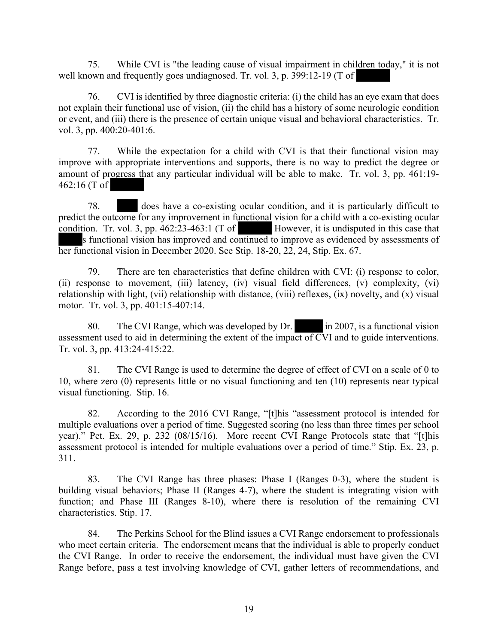75. While CVI is "the leading cause of visual impairment in children today," it is not well known and frequently goes undiagnosed. Tr. vol. 3, p. 399:12-19 (T of

76. CVI is identified by three diagnostic criteria: (i) the child has an eye exam that does not explain their functional use of vision, (ii) the child has a history of some neurologic condition or event, and (iii) there is the presence of certain unique visual and behavioral characteristics. Tr. vol. 3, pp. 400:20-401:6.

77. While the expectation for a child with CVI is that their functional vision may improve with appropriate interventions and supports, there is no way to predict the degree or amount of progress that any particular individual will be able to make. Tr. vol. 3, pp. 461:19- 462:16 (T of

78. does have a co-existing ocular condition, and it is particularly difficult to predict the outcome for any improvement in functional vision for a child with a co-existing ocular condition. Tr. vol. 3, pp.  $462:23-463:1$  (T of However, it is undisputed in this case that s functional vision has improved and continued to improve as evidenced by assessments of her functional vision in December 2020. See Stip. 18-20, 22, 24, Stip. Ex. 67.

79. There are ten characteristics that define children with CVI: (i) response to color, (ii) response to movement, (iii) latency, (iv) visual field differences, (v) complexity, (vi) relationship with light, (vii) relationship with distance, (viii) reflexes, (ix) novelty, and (x) visual motor. Tr. vol. 3, pp. 401:15-407:14.

80. The CVI Range, which was developed by Dr. in 2007, is a functional vision assessment used to aid in determining the extent of the impact of CVI and to guide interventions. Tr. vol. 3, pp. 413:24-415:22.

81. The CVI Range is used to determine the degree of effect of CVI on a scale of 0 to 10, where zero (0) represents little or no visual functioning and ten (10) represents near typical visual functioning. Stip. 16.

82. According to the 2016 CVI Range, "[t]his "assessment protocol is intended for multiple evaluations over a period of time. Suggested scoring (no less than three times per school year)." Pet. Ex. 29, p. 232 (08/15/16). More recent CVI Range Protocols state that "[t]his assessment protocol is intended for multiple evaluations over a period of time." Stip. Ex. 23, p. 311.

83. The CVI Range has three phases: Phase I (Ranges 0-3), where the student is building visual behaviors; Phase II (Ranges 4-7), where the student is integrating vision with function; and Phase III (Ranges 8-10), where there is resolution of the remaining CVI characteristics. Stip. 17.

84. The Perkins School for the Blind issues a CVI Range endorsement to professionals who meet certain criteria. The endorsement means that the individual is able to properly conduct the CVI Range. In order to receive the endorsement, the individual must have given the CVI Range before, pass a test involving knowledge of CVI, gather letters of recommendations, and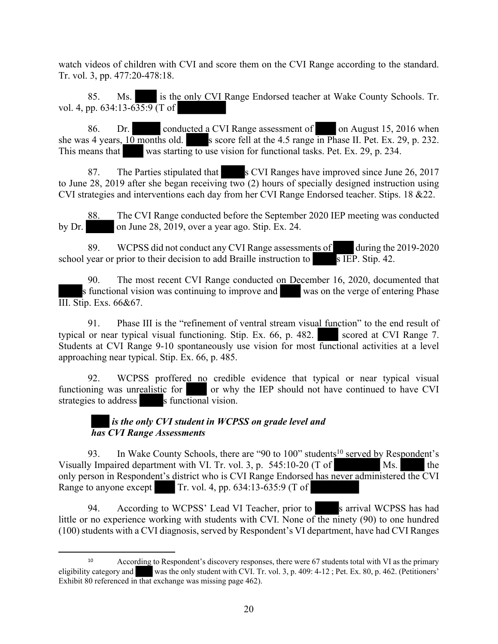watch videos of children with CVI and score them on the CVI Range according to the standard. Tr. vol. 3, pp. 477:20-478:18.

85. Ms. is the only CVI Range Endorsed teacher at Wake County Schools. Tr. vol. 4, pp. 634:13-635:9 (T of

86. Dr. conducted a CVI Range assessment of on August 15, 2016 when she was 4 years,  $10$  months old. s score fell at the 4.5 range in Phase II. Pet. Ex. 29, p. 232. This means that was starting to use vision for functional tasks. Pet. Ex. 29, p. 234.

87. The Parties stipulated that s CVI Ranges have improved since June 26, 2017 to June 28, 2019 after she began receiving two (2) hours of specially designed instruction using CVI strategies and interventions each day from her CVI Range Endorsed teacher. Stips. 18 &22.

88. The CVI Range conducted before the September 2020 IEP meeting was conducted by Dr. on June 28, 2019, over a year ago. Stip. Ex. 24.

89. WCPSS did not conduct any CVI Range assessments of during the 2019-2020 school year or prior to their decision to add Braille instruction to  $\overline{s}$  IEP. Stip. 42.

90. The most recent CVI Range conducted on December 16, 2020, documented that s functional vision was continuing to improve and was on the verge of entering Phase III. Stip. Exs. 66&67.

91. Phase III is the "refinement of ventral stream visual function" to the end result of typical or near typical visual functioning. Stip. Ex. 66, p. 482. scored at CVI Range 7. Students at CVI Range 9-10 spontaneously use vision for most functional activities at a level approaching near typical. Stip. Ex. 66, p. 485.

92. WCPSS proffered no credible evidence that typical or near typical visual functioning was unrealistic for or why the IEP should not have continued to have CVI strategies to address s functional vision.

# *is the only CVI student in WCPSS on grade level and has CVI Range Assessments*

93. In Wake County Schools, there are "90 to 100" students<sup>10</sup> served by Respondent's Visually Impaired department with VI. Tr. vol. 3, p.  $545:10-20$  (T of Ms. the only person in Respondent's district who is CVI Range Endorsed has never administered the CVI Range to anyone except Tr. vol. 4, pp.  $634:13-635:9$  (T of

94. According to WCPSS' Lead VI Teacher, prior to s arrival WCPSS has had little or no experience working with students with CVI. None of the ninety (90) to one hundred (100) students with a CVI diagnosis, served by Respondent's VI department, have had CVI Ranges

<sup>10</sup> According to Respondent's discovery responses, there were 67 students total with VI as the primary eligibility category and was the only student with CVI. Tr. vol. 3, p. 409: 4-12 ; Pet. Ex. 80, p. 462. (Petitioners' Exhibit 80 referenced in that exchange was missing page 462).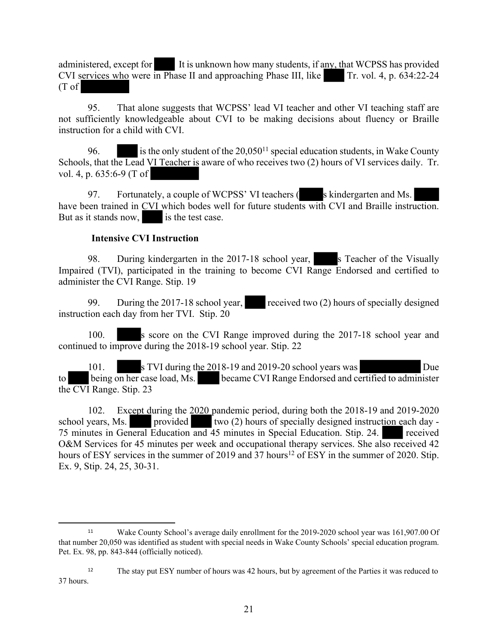administered, except for It is unknown how many students, if any, that WCPSS has provided CVI services who were in Phase II and approaching Phase III, like  $\boxed{\ }$  Tr. vol. 4, p. 634:22-24 (T of

95. That alone suggests that WCPSS' lead VI teacher and other VI teaching staff are not sufficiently knowledgeable about CVI to be making decisions about fluency or Braille instruction for a child with CVI.

96. is the only student of the  $20,050^{11}$  special education students, in Wake County Schools, that the Lead VI Teacher is aware of who receives two (2) hours of VI services daily. Tr. vol. 4, p. 635:6-9 (T of

97. Fortunately, a couple of WCPSS' VI teachers (solid skindergarten and Ms. have been trained in CVI which bodes well for future students with CVI and Braille instruction. But as it stands now, is the test case.

#### **Intensive CVI Instruction**

98. During kindergarten in the 2017-18 school year, s Teacher of the Visually Impaired (TVI), participated in the training to become CVI Range Endorsed and certified to administer the CVI Range. Stip. 19

99. During the 2017-18 school year, received two  $(2)$  hours of specially designed instruction each day from her TVI. Stip. 20

100. S score on the CVI Range improved during the 2017-18 school year and continued to improve during the 2018-19 school year. Stip. 22

101. s TVI during the 2018-19 and 2019-20 school years was Due to being on her case load, Ms. became CVI Range Endorsed and certified to administer the CVI Range. Stip. 23

102. Except during the 2020 pandemic period, during both the 2018-19 and 2019-2020 school years, Ms. provided two  $(2)$  hours of specially designed instruction each day -75 minutes in General Education and 45 minutes in Special Education. Stip. 24. received O&M Services for 45 minutes per week and occupational therapy services. She also received 42 hours of ESY services in the summer of 2019 and 37 hours<sup>12</sup> of ESY in the summer of 2020. Stip. Ex. 9, Stip. 24, 25, 30-31.

<sup>11</sup> Wake County School's average daily enrollment for the 2019-2020 school year was 161,907.00 Of that number 20,050 was identified as student with special needs in Wake County Schools' special education program. Pet. Ex. 98, pp. 843-844 (officially noticed).

<sup>&</sup>lt;sup>12</sup> The stay put ESY number of hours was 42 hours, but by agreement of the Parties it was reduced to 37 hours.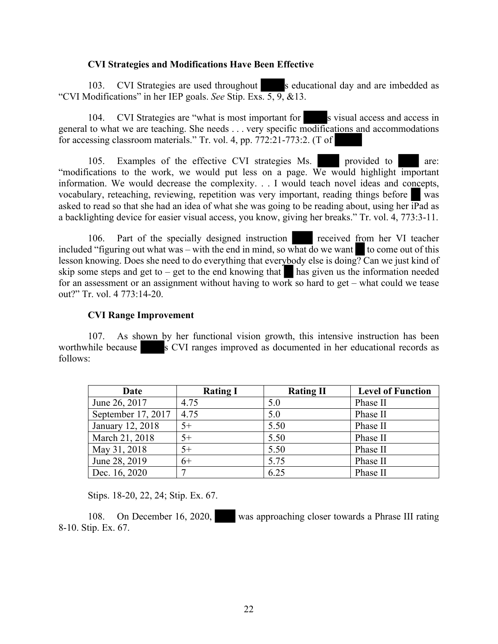#### **CVI Strategies and Modifications Have Been Effective**

103. CVI Strategies are used throughout s educational day and are imbedded as "CVI Modifications" in her IEP goals. *See* Stip. Exs. 5, 9, &13.

104. CVI Strategies are "what is most important for s visual access and access in general to what we are teaching. She needs . . . very specific modifications and accommodations for accessing classroom materials." Tr. vol. 4, pp. 772:21-773:2. (T of

105. Examples of the effective CVI strategies Ms. provided to are: "modifications to the work, we would put less on a page. We would highlight important information. We would decrease the complexity. . . I would teach novel ideas and concepts, vocabulary, reteaching, reviewing, repetition was very important, reading things before was asked to read so that she had an idea of what she was going to be reading about, using her  $\overline{IP}$ ad as a backlighting device for easier visual access, you know, giving her breaks." Tr. vol. 4, 773:3-11.

106. Part of the specially designed instruction received from her VI teacher included "figuring out what was – with the end in mind, so what do we want to come out of this lesson knowing. Does she need to do everything that everybody else is doing? Can we just kind of skip some steps and get to – get to the end knowing that has given us the information needed for an assessment or an assignment without having to work so hard to get – what could we tease out?" Tr. vol. 4 773:14-20.

#### **CVI Range Improvement**

107. As shown by her functional vision growth, this intensive instruction has been worthwhile because s CVI ranges improved as documented in her educational records as follows:

| Date               | <b>Rating I</b> | <b>Rating II</b> | <b>Level of Function</b> |
|--------------------|-----------------|------------------|--------------------------|
| June 26, 2017      | 4.75            | 5.0              | Phase II                 |
| September 17, 2017 | 4.75            | 5.0              | Phase II                 |
| January 12, 2018   | $5+$            | 5.50             | Phase II                 |
| March 21, 2018     | $5+$            | 5.50             | Phase II                 |
| May 31, 2018       | $5+$            | 5.50             | Phase II                 |
| June 28, 2019      | $6+$            | 5.75             | Phase II                 |
| Dec. 16, 2020      | ⇁               | 6.25             | Phase II                 |

Stips. 18-20, 22, 24; Stip. Ex. 67.

108. On December 16, 2020, was approaching closer towards a Phrase III rating 8-10. Stip. Ex. 67.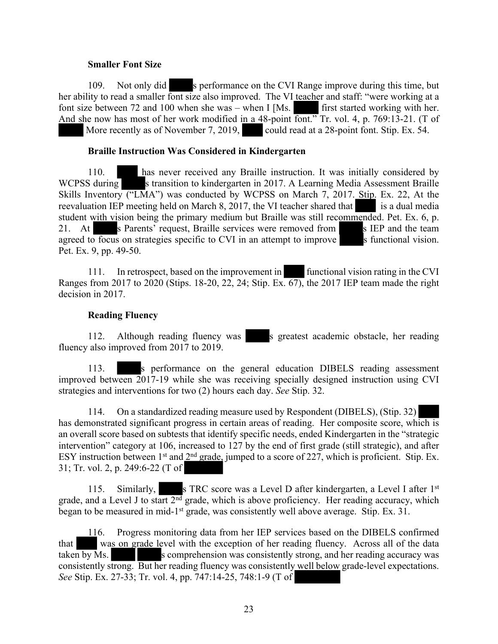#### **Smaller Font Size**

109. Not only did s performance on the CVI Range improve during this time, but her ability to read a smaller font size also improved. The VI teacher and staff: "were working at a font size between 72 and 100 when she was – when I [Ms. first started working with her. And she now has most of her work modified in a 48-point font." Tr. vol. 4, p. 769:13-21. (T of More recently as of November 7, 2019, could read at a 28-point font. Stip. Ex. 54.

#### **Braille Instruction Was Considered in Kindergarten**

110. has never received any Braille instruction. It was initially considered by WCPSS during s transition to kindergarten in 2017. A Learning Media Assessment Braille Skills Inventory ("LMA") was conducted by WCPSS on March 7, 2017. Stip. Ex. 22, At the reevaluation IEP meeting held on March 8, 2017, the VI teacher shared that is a dual media student with vision being the primary medium but Braille was still recommended. Pet. Ex. 6, p. 21. At s Parents' request, Braille services were removed from s IEP and the team agreed to focus on strategies specific to CVI in an attempt to improve  $\blacksquare$  s functional vision. Pet. Ex. 9, pp. 49-50.

111. In retrospect, based on the improvement in functional vision rating in the CVI Ranges from 2017 to 2020 (Stips. 18-20, 22, 24; Stip. Ex. 67), the 2017 IEP team made the right decision in 2017.

#### **Reading Fluency**

112. Although reading fluency was s greatest academic obstacle, her reading fluency also improved from 2017 to 2019.

113. s performance on the general education DIBELS reading assessment improved between 2017-19 while she was receiving specially designed instruction using CVI strategies and interventions for two (2) hours each day. *See* Stip. 32.

114. On a standardized reading measure used by Respondent (DIBELS), (Stip. 32) has demonstrated significant progress in certain areas of reading. Her composite score, which is an overall score based on subtests that identify specific needs, ended Kindergarten in the "strategic intervention" category at 106, increased to 127 by the end of first grade (still strategic), and after ESY instruction between 1<sup>st</sup> and  $2<sup>nd</sup>$  grade, jumped to a score of 227, which is proficient. Stip. Ex. 31; Tr. vol. 2, p. 249:6-22 (T of

115. Similarly, s TRC score was a Level D after kindergarten, a Level I after 1st grade, and a Level J to start  $2<sup>nd</sup>$  grade, which is above proficiency. Her reading accuracy, which began to be measured in mid-1st grade, was consistently well above average. Stip. Ex. 31.

116. Progress monitoring data from her IEP services based on the DIBELS confirmed that was on grade level with the exception of her reading fluency. Across all of the data taken by Ms. s comprehension was consistently strong, and her reading accuracy was consistently strong. But her reading fluency was consistently well below grade-level expectations. *See* Stip. Ex. 27-33; Tr. vol. 4, pp. 747:14-25, 748:1-9 (T of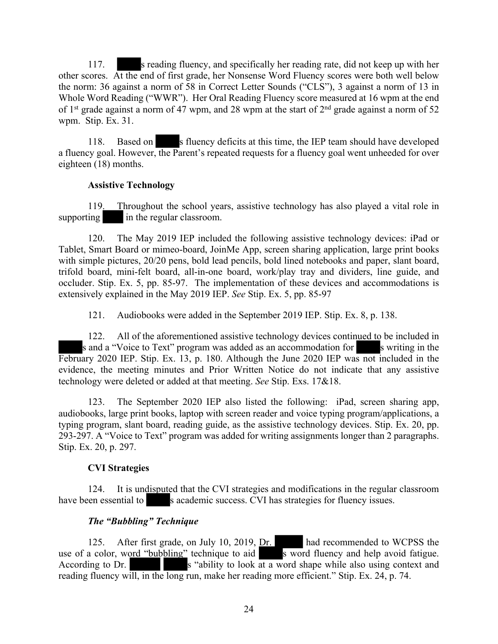117. s reading fluency, and specifically her reading rate, did not keep up with her other scores. At the end of first grade, her Nonsense Word Fluency scores were both well below the norm: 36 against a norm of 58 in Correct Letter Sounds ("CLS"), 3 against a norm of 13 in Whole Word Reading ("WWR"). Her Oral Reading Fluency score measured at 16 wpm at the end of 1<sup>st</sup> grade against a norm of 47 wpm, and 28 wpm at the start of  $2<sup>nd</sup>$  grade against a norm of 52 wpm. Stip. Ex. 31.

118. Based on s fluency deficits at this time, the IEP team should have developed a fluency goal. However, the Parent's repeated requests for a fluency goal went unheeded for over eighteen (18) months.

#### **Assistive Technology**

119. Throughout the school years, assistive technology has also played a vital role in supporting in the regular classroom.

120. The May 2019 IEP included the following assistive technology devices: iPad or Tablet, Smart Board or mimeo-board, JoinMe App, screen sharing application, large print books with simple pictures,  $20/20$  pens, bold lead pencils, bold lined notebooks and paper, slant board, trifold board, mini-felt board, all-in-one board, work/play tray and dividers, line guide, and occluder. Stip. Ex. 5, pp. 85-97. The implementation of these devices and accommodations is extensively explained in the May 2019 IEP. *See* Stip. Ex. 5, pp. 85-97

121. Audiobooks were added in the September 2019 IEP. Stip. Ex. 8, p. 138.

122. All of the aforementioned assistive technology devices continued to be included in s and a "Voice to Text" program was added as an accommodation for s writing in the February 2020 IEP. Stip. Ex. 13, p. 180. Although the June 2020 IEP was not included in the evidence, the meeting minutes and Prior Written Notice do not indicate that any assistive technology were deleted or added at that meeting. *See* Stip. Exs. 17&18.

123. The September 2020 IEP also listed the following: iPad, screen sharing app, audiobooks, large print books, laptop with screen reader and voice typing program/applications, a typing program, slant board, reading guide, as the assistive technology devices. Stip. Ex. 20, pp. 293-297. A "Voice to Text" program was added for writing assignments longer than 2 paragraphs. Stip. Ex. 20, p. 297.

# **CVI Strategies**

124. It is undisputed that the CVI strategies and modifications in the regular classroom have been essential to s academic success. CVI has strategies for fluency issues.

# *The "Bubbling" Technique*

125. After first grade, on July 10, 2019, Dr. had recommended to WCPSS the use of a color, word "bubbling" technique to aid s word fluency and help avoid fatigue. According to Dr.  $\begin{array}{c|c}\n s & \text{ability to look at a word shape while also using context and}\n\end{array}$ reading fluency will, in the long run, make her reading more efficient." Stip. Ex. 24, p. 74.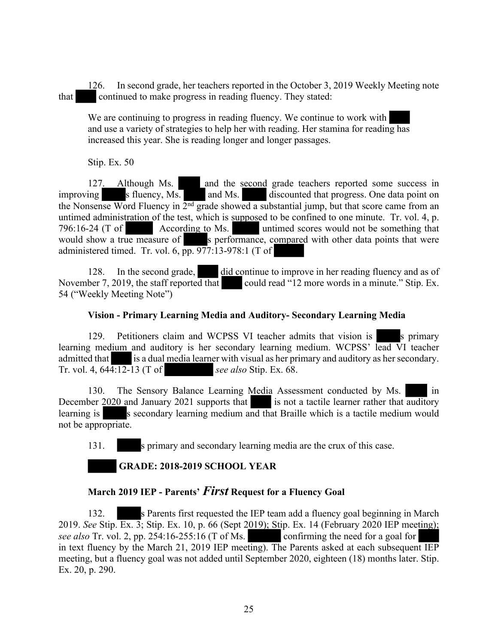126. In second grade, her teachers reported in the October 3, 2019 Weekly Meeting note that continued to make progress in reading fluency. They stated:

We are continuing to progress in reading fluency. We continue to work with and use a variety of strategies to help her with reading. Her stamina for reading has increased this year. She is reading longer and longer passages.

Stip. Ex. 50

and the second grade teachers reported some success in 127. Although Ms. and the second grade teachers reported some success in simproving s fluency, Ms. and Ms. discounted that progress. One data point on the Nonsense Word Fluency in  $2<sup>nd</sup>$  grade showed a substantial jump, but that score came from an untimed administration of the test, which is supposed to be confined to one minute. Tr. vol. 4, p. 796:16-24 (T of According to Ms. untimed scores would not be something that would show a true measure of s performance, compared with other data points that were administered timed. Tr. vol. 6,  $\overline{pp}$ . 977:13-978:1 (T of

128. In the second grade, did continue to improve in her reading fluency and as of November 7, 2019, the staff reported that could read "12 more words in a minute." Stip. Ex. could read "12 more words in a minute." Stip. Ex. 54 ("Weekly Meeting Note")

# **Vision - Primary Learning Media and Auditory- Secondary Learning Media**

129. Petitioners claim and WCPSS VI teacher admits that vision is s primary learning medium and auditory is her secondary learning medium. WCPSS' lead VI teacher admitted that is a dual media learner with visual as her primary and auditory as her secondary. Tr. vol. 4, 644:12-13 (T of *see also* Stip. Ex. 68.

130. The Sensory Balance Learning Media Assessment conducted by Ms. in December 2020 and January 2021 supports that is not a tactile learner rather that auditory learning is secondary learning medium and that Braille which is a tactile medium would not be appropriate.

131. s primary and secondary learning media are the crux of this case.

# **GRADE: 2018-2019 SCHOOL YEAR**

# **March 2019 IEP - Parents'** *First* **Request for a Fluency Goal**

132. s Parents first requested the IEP team add a fluency goal beginning in March 2019. *See* Stip. Ex. 3; Stip. Ex. 10, p. 66 (Sept 2019); Stip. Ex. 14 (February 2020 IEP meeting); *see also* Tr. vol. 2, pp. 254:16-255:16 (T of Ms. confirming the need for a goal for in text fluency by the March 21, 2019 IEP meeting). The Parents asked at each subsequent IEP meeting, but a fluency goal was not added until September 2020, eighteen (18) months later. Stip. Ex. 20, p. 290.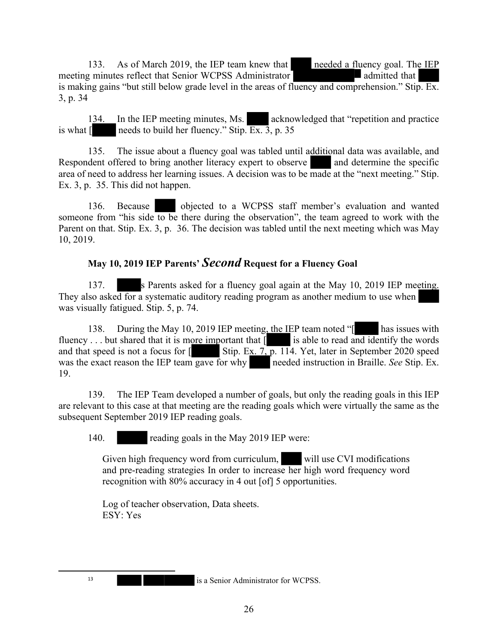133. As of March 2019, the IEP team knew that needed a fluency goal. The IEP meeting minutes reflect that Senior WCPSS Administrator admitted that

is making gains "but still below grade level in the areas of fluency and comprehension." Stip. Ex. 3, p. 34

134. In the IEP meeting minutes, Ms. acknowledged that "repetition and practice" is what  $\lceil \cdot \cdot \cdot \rceil$  needs to build her fluency." Stip.  $\overline{Ex}$ ,  $\overline{3}$ , p. 35

135. The issue about a fluency goal was tabled until additional data was available, and Respondent offered to bring another literacy expert to observe and determine the specific area of need to address her learning issues. A decision was to be made at the "next meeting." Stip. Ex. 3, p. 35. This did not happen.

136. Because objected to a WCPSS staff member's evaluation and wanted someone from "his side to be there during the observation", the team agreed to work with the Parent on that. Stip. Ex. 3, p. 36. The decision was tabled until the next meeting which was May 10, 2019.

# **May 10, 2019 IEP Parents'** *Second* **Request for a Fluency Goal**

137. s Parents asked for a fluency goal again at the May 10, 2019 IEP meeting. They also asked for a systematic auditory reading program as another medium to use when was visually fatigued. Stip. 5, p. 74.

138. During the May 10, 2019 IEP meeting, the IEP team noted "[ has issues with fluency . . . but shared that it is more important that  $\lceil \cdot \cdot \rceil$  is able to read and identify the words and that speed is not a focus for  $\left[ \right.$  Stip. Ex. 7, p. 114. Yet, later in September 2020 speed was the exact reason the IEP team gave for why needed instruction in Braille. *See* Stip. Ex. 19.

139. The IEP Team developed a number of goals, but only the reading goals in this IEP are relevant to this case at that meeting are the reading goals which were virtually the same as the subsequent September 2019 IEP reading goals.

140. reading goals in the May 2019 IEP were:

Given high frequency word from curriculum, will use CVI modifications and pre-reading strategies In order to increase her high word frequency word recognition with 80% accuracy in 4 out [of] 5 opportunities.

Log of teacher observation, Data sheets. ESY: Yes

is a Senior Administrator for WCPSS.

13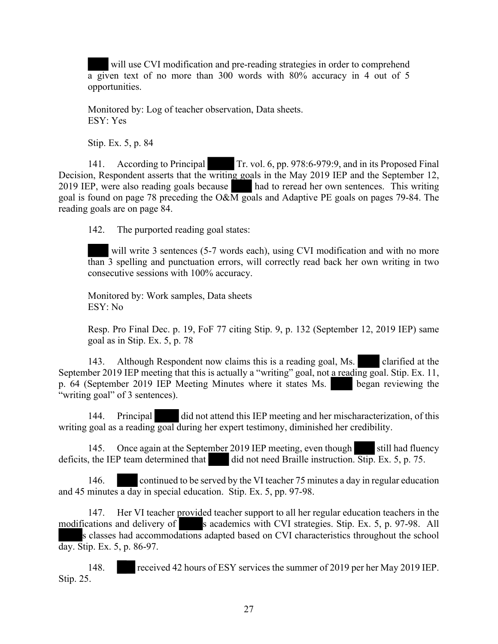will use CVI modification and pre-reading strategies in order to comprehend a given text of no more than 300 words with 80% accuracy in 4 out of 5 opportunities.

Monitored by: Log of teacher observation, Data sheets. ESY: Yes

Stip. Ex. 5, p. 84

141. According to Principal Tr. vol. 6, pp. 978:6-979:9, and in its Proposed Final Decision, Respondent asserts that the writing goals in the May 2019 IEP and the September 12, 2019 IEP, were also reading goals because had to reread her own sentences. This writing goal is found on page 78 preceding the O&M goals and Adaptive PE goals on pages 79-84. The reading goals are on page 84.

142. The purported reading goal states:

will write 3 sentences (5-7 words each), using CVI modification and with no more than 3 spelling and punctuation errors, will correctly read back her own writing in two consecutive sessions with 100% accuracy.

Monitored by: Work samples, Data sheets ESY: No

Resp. Pro Final Dec. p. 19, FoF 77 citing Stip. 9, p. 132 (September 12, 2019 IEP) same goal as in Stip. Ex. 5, p. 78

143. Although Respondent now claims this is a reading goal, Ms. clarified at the September 2019 IEP meeting that this is actually a "writing" goal, not a reading goal. Stip. Ex. 11, p. 64 (September 2019 IEP Meeting Minutes where it states Ms. began reviewing the "writing goal" of 3 sentences).

144. Principal did not attend this IEP meeting and her mischaracterization, of this writing goal as a reading goal during her expert testimony, diminished her credibility.

145. Once again at the September 2019 IEP meeting, even though still had fluency deficits, the IEP team determined that did not need Braille instruction. Stip. Ex. 5, p. 75.

146. continued to be served by the VI teacher 75 minutes a day in regular education and 45 minutes a day in special education. Stip. Ex. 5, pp. 97-98.

147. Her VI teacher provided teacher support to all her regular education teachers in the modifications and delivery of s academics with CVI strategies. Stip. Ex. 5, p. 97-98. All s academics with CVI strategies. Stip. Ex. 5, p. 97-98. All s classes had accommodations adapted based on CVI characteristics throughout the school day. Stip. Ex. 5, p. 86-97.

148. received 42 hours of ESY services the summer of 2019 per her May 2019 IEP. Stip. 25.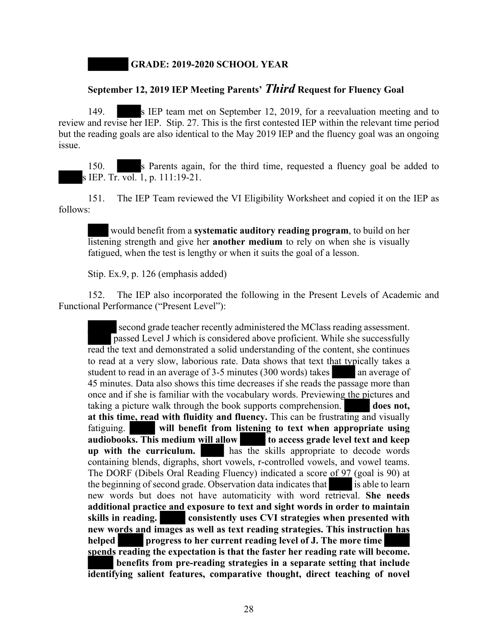**GRADE: 2019-2020 SCHOOL YEAR**

# **September 12, 2019 IEP Meeting Parents'** *Third* **Request for Fluency Goal**

149. s IEP team met on September 12, 2019, for a reevaluation meeting and to review and revise her IEP. Stip. 27. This is the first contested IEP within the relevant time period but the reading goals are also identical to the May 2019 IEP and the fluency goal was an ongoing issue.

150. s Parents again, for the third time, requested a fluency goal be added to s IEP. Tr. vol. 1, p. 111:19-21.

151. The IEP Team reviewed the VI Eligibility Worksheet and copied it on the IEP as follows:

would benefit from a **systematic auditory reading program**, to build on her listening strength and give her **another medium** to rely on when she is visually fatigued, when the test is lengthy or when it suits the goal of a lesson.

Stip. Ex.9, p. 126 (emphasis added)

152. The IEP also incorporated the following in the Present Levels of Academic and Functional Performance ("Present Level"):

second grade teacher recently administered the MClass reading assessment. passed Level J which is considered above proficient. While she successfully read the text and demonstrated a solid understanding of the content, she continues to read at a very slow, laborious rate. Data shows that text that typically takes a student to read in an average of  $3-5$  minutes (300 words) takes an average of 45 minutes. Data also shows this time decreases if she reads the passage more than once and if she is familiar with the vocabulary words. Previewing the pictures and taking a picture walk through the book supports comprehension. **does not, at this time, read with fluidity and fluency.** This can be frustrating and visually fatiguing. **will benefit from listening to text when appropriate using audiobooks. This medium will allow to access grade level text and keep up with the curriculum.** has the skills appropriate to decode words containing blends, digraphs, short vowels, r-controlled vowels, and vowel teams. The DORF (Dibels Oral Reading Fluency) indicated a score of 97 (goal is 90) at the beginning of second grade. Observation data indicates that is able to learn new words but does not have automaticity with word retrieval. **She needs additional practice and exposure to text and sight words in order to maintain skills in reading. consistently uses CVI strategies when presented with new words and images as well as text reading strategies. This instruction has helped progress to her current reading level of J. The more time spends reading the expectation is that the faster her reading rate will become. benefits from pre-reading strategies in a separate setting that include identifying salient features, comparative thought, direct teaching of novel**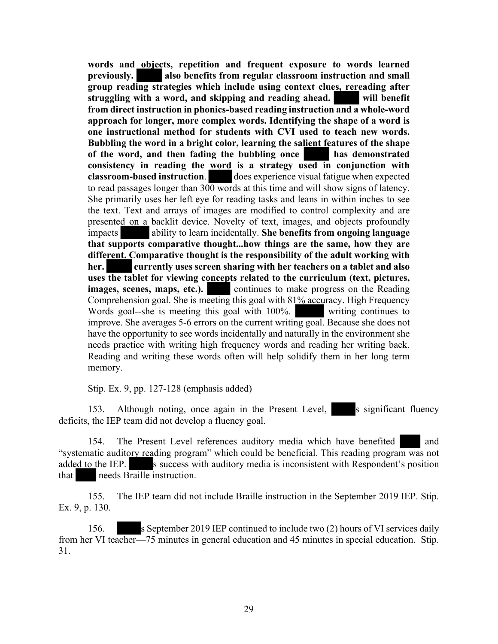**words and objects, repetition and frequent exposure to words learned previously. also benefits from regular classroom instruction and small group reading strategies which include using context clues, rereading after struggling with a word, and skipping and reading ahead. will benefit from direct instruction in phonics-based reading instruction and a whole-word approach for longer, more complex words. Identifying the shape of a word is one instructional method for students with CVI used to teach new words. Bubbling the word in a bright color, learning the salient features of the shape of the word, and then fading the bubbling once has demonstrated consistency in reading the word is a strategy used in conjunction with classroom-based instruction.** does experience visual fatigue when expected does experience visual fatigue when expected to read passages longer than  $300$  words at this time and will show signs of latency. She primarily uses her left eye for reading tasks and leans in within inches to see the text. Text and arrays of images are modified to control complexity and are presented on a backlit device. Novelty of text, images, and objects profoundly impacts ability to learn incidentally. **She benefits from ongoing language that supports comparative thought...how things are the same, how they are different. Comparative thought is the responsibility of the adult working with her. currently uses screen sharing with her teachers on a tablet and also uses the tablet for viewing concepts related to the curriculum (text, pictures, images, scenes, maps, etc.).** continues to make progress on the Reading Comprehension goal. She is meeting this goal with 81% accuracy. High Frequency Words goal--she is meeting this goal with 100%. writing continues to improve. She averages 5-6 errors on the current writing goal. Because she does not have the opportunity to see words incidentally and naturally in the environment she needs practice with writing high frequency words and reading her writing back. Reading and writing these words often will help solidify them in her long term memory.

Stip. Ex. 9, pp. 127-128 (emphasis added)

153. Although noting, once again in the Present Level, s significant fluency deficits, the IEP team did not develop a fluency goal.

154. The Present Level references auditory media which have benefited and "systematic auditory reading program" which could be beneficial. This reading program was not added to the IEP. s success with auditory media is inconsistent with Respondent's position that needs Braille instruction.

155. The IEP team did not include Braille instruction in the September 2019 IEP. Stip. Ex. 9, p. 130.

156. s September 2019 IEP continued to include two (2) hours of VI services daily from her VI teacher—75 minutes in general education and 45 minutes in special education. Stip. 31.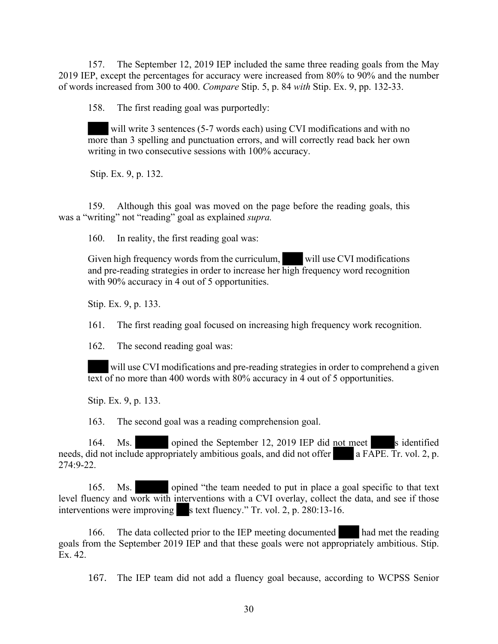157. The September 12, 2019 IEP included the same three reading goals from the May 2019 IEP, except the percentages for accuracy were increased from 80% to 90% and the number of words increased from 300 to 400. *Compare* Stip. 5, p. 84 *with* Stip. Ex. 9, pp. 132-33.

158. The first reading goal was purportedly:

will write 3 sentences (5-7 words each) using CVI modifications and with no more than 3 spelling and punctuation errors, and will correctly read back her own writing in two consecutive sessions with 100% accuracy.

Stip. Ex. 9, p. 132.

159. Although this goal was moved on the page before the reading goals, this was a "writing" not "reading" goal as explained *supra.*

160. In reality, the first reading goal was:

Given high frequency words from the curriculum, will use CVI modifications and pre-reading strategies in order to increase her high frequency word recognition with 90% accuracy in 4 out of 5 opportunities.

Stip. Ex. 9, p. 133.

161. The first reading goal focused on increasing high frequency work recognition.

162. The second reading goal was:

will use CVI modifications and pre-reading strategies in order to comprehend a given text of no more than 400 words with 80% accuracy in 4 out of 5 opportunities.

Stip. Ex. 9, p. 133.

163. The second goal was a reading comprehension goal.

164. Ms. opined the September 12, 2019 IEP did not meet sidentified needs, did not include appropriately ambitious goals, and did not offer a FAPE. Tr. vol. 2, p. 274:9-22.

165. Ms. opined "the team needed to put in place a goal specific to that text level fluency and work with interventions with a CVI overlay, collect the data, and see if those interventions were improving s text fluency." Tr. vol. 2, p. 280:13-16.

166. The data collected prior to the IEP meeting documented had met the reading goals from the September 2019 IEP and that these goals were not appropriately ambitious. Stip. Ex. 42.

167. The IEP team did not add a fluency goal because, according to WCPSS Senior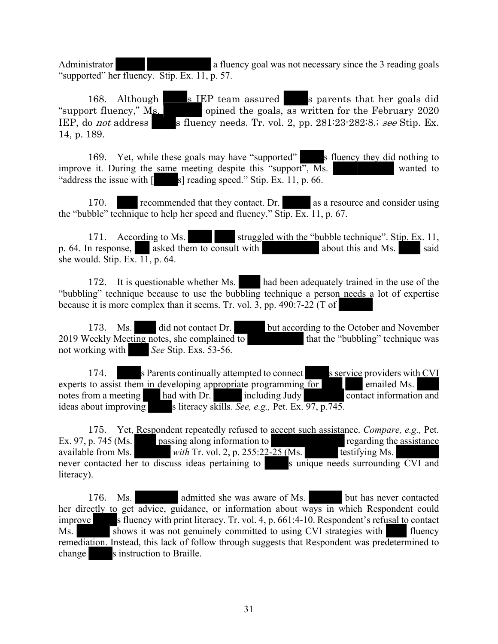Administrator **a a** fluency goal was not necessary since the 3 reading goals "supported" her fluency. Stip. Ex. 11, p. 57.

168. Although s IEP team assured s parents that her goals did "support fluency,"  $M_s$  opined the goals, as written for the February 2020 IEP, do *not* address s fluency needs. Tr. vol. 2, pp.  $281:23:282:8$ ; *see* Stip. Ex. 14, p. 189.

169. Yet, while these goals may have "supported" s fluency they did nothing to improve it. During the same meeting despite this "support", Ms. wanted to "address the issue with  $\lceil$  s] reading speed." Stip. Ex. 11, p. 66.

170. recommended that they contact. Dr. as a resource and consider using the "bubble" technique to help her speed and fluency." Stip. Ex. 11, p. 67.

171. According to Ms. struggled with the "bubble technique". Stip. Ex. 11, p. 64. In response, asked them to consult with about this and Ms. said she would. Stip. Ex. 11, p. 64.

172. It is questionable whether Ms. had been adequately trained in the use of the "bubbling" technique because to use the bubbling technique a person needs a lot of expertise because it is more complex than it seems. Tr. vol. 3, pp. 490:7-22 (T of

173. Ms. did not contact Dr. but according to the October and November 2019 Weekly Meeting notes, she complained to that the "bubbling" technique was not working with *See* Stip. Exs. 53-56.

174. s Parents continually attempted to connect s service providers with CVI experts to assist them in developing appropriate programming for emailed Ms. notes from a meeting had with Dr. including Judy contact information and ideas about improving s literacy skills. *See, e.g.*, Pet. Ex. 97, p.745.

175. Yet, Respondent repeatedly refused to accept such assistance. *Compare, e.g.,* Pet. Ex. 97, p. 745 (Ms. passing along information to regarding the assistance available from Ms. *with Tr. vol. 2, p. 255:22-25 (Ms.* testifying Ms. never contacted her to discuss ideas pertaining to s unique needs surrounding CVI and literacy).

176. Ms. admitted she was aware of Ms. but has never contacted her directly to get advice, guidance, or information about ways in which Respondent could improve s fluency with print literacy. Tr. vol. 4, p. 661:4-10. Respondent's refusal to contact Ms. Shows it was not genuinely committed to using CVI strategies with fluency remediation. Instead, this lack of follow through suggests that Respondent was predetermined to change s instruction to Braille.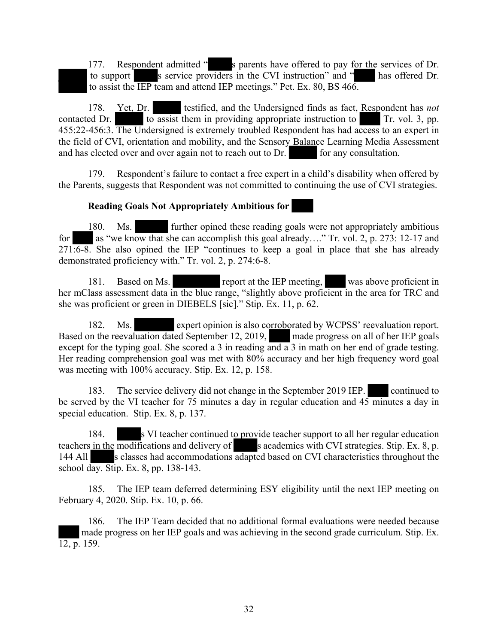177. Respondent admitted " s parents have offered to pay for the services of Dr. to support s service providers in the CVI instruction" and " has offered Dr. to assist the IEP team and attend IEP meetings." Pet. Ex. 80, BS 466.

178. Yet, Dr. testified, and the Undersigned finds as fact, Respondent has *not*  contacted Dr. to assist them in providing appropriate instruction to Tr. vol. 3, pp. 455:22-456:3. The Undersigned is extremely troubled Respondent has had access to an expert in the field of CVI, orientation and mobility, and the Sensory Balance Learning Media Assessment and has elected over and over again not to reach out to Dr. for any consultation.

179. Respondent's failure to contact a free expert in a child's disability when offered by the Parents, suggests that Respondent was not committed to continuing the use of CVI strategies.

#### **Reading Goals Not Appropriately Ambitious for**

180. Ms. further opined these reading goals were not appropriately ambitious for as "we know that she can accomplish this goal already...." Tr. vol. 2, p. 273: 12-17 and  $271.6-8$ . She also opined the IEP "continues to keep a goal in place that she has already demonstrated proficiency with." Tr. vol. 2, p. 274:6-8.

181. Based on Ms. report at the IEP meeting, was above proficient in her mClass assessment data in the blue range, "slightly above proficient in the area for TRC and she was proficient or green in DIEBELS [sic]." Stip. Ex. 11, p. 62.

182. Ms. expert opinion is also corroborated by WCPSS' reevaluation report. Based on the reevaluation dated September 12, 2019, made progress on all of her IEP goals except for the typing goal. She scored a 3 in reading and a 3 in math on her end of grade testing. Her reading comprehension goal was met with 80% accuracy and her high frequency word goal was meeting with 100% accuracy. Stip. Ex. 12, p. 158.

183. The service delivery did not change in the September 2019 IEP. continued to be served by the VI teacher for 75 minutes a day in regular education and 45 minutes a day in special education. Stip. Ex. 8, p. 137.

184. S VI teacher continued to provide teacher support to all her regular education teachers in the modifications and delivery of s academics with CVI strategies. Stip. Ex. 8, p. 144 All s classes had accommodations adapted based on CVI characteristics throughout the school day. Stip. Ex. 8, pp. 138-143.

185. The IEP team deferred determining ESY eligibility until the next IEP meeting on February 4, 2020. Stip. Ex. 10, p. 66.

186. The IEP Team decided that no additional formal evaluations were needed because made progress on her IEP goals and was achieving in the second grade curriculum. Stip. Ex. 12, p. 159.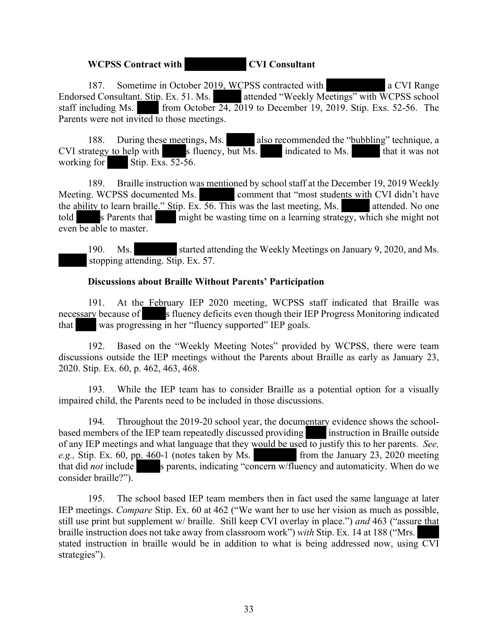# **WCPSS Contract with CVI Consultant**

187. Sometime in October 2019, WCPSS contracted with a CVI Range Endorsed Consultant. Stip. Ex. 51. Ms. attended "Weekly Meetings" with WCPSS school staff including Ms. from October 24, 2019 to December 19, 2019. Stip. Exs. 52-56. The Parents were not invited to those meetings.

188. During these meetings, Ms. also recommended the "bubbling" technique, a  $CVI$  strategy to help with s fluency, but Ms. indicated to Ms. that it was not working for Stip. Exs.  $52-56$ .

189. Braille instruction was mentioned by school staff at the December 19, 2019 Weekly Meeting. WCPSS documented Ms. comment that "most students with CVI didn't have the ability to learn braille." Stip. Ex. 56. This was the last meeting, Ms. attended. No one told s Parents that might be wasting time on a learning strategy, which she might not even be able to master.

190. Ms. started attending the Weekly Meetings on January 9, 2020, and Ms. stopping attending. Stip. Ex. 57.

# **Discussions about Braille Without Parents' Participation**

191. At the February IEP 2020 meeting, WCPSS staff indicated that Braille was necessary because of s fluency deficits even though their IEP Progress Monitoring indicated that was progressing in her "fluency supported" IEP goals.

192. Based on the "Weekly Meeting Notes" provided by WCPSS, there were team discussions outside the IEP meetings without the Parents about Braille as early as January 23, 2020. Stip. Ex. 60, p. 462, 463, 468.

193. While the IEP team has to consider Braille as a potential option for a visually impaired child, the Parents need to be included in those discussions.

194. Throughout the 2019-20 school year, the documentary evidence shows the schoolbased members of the IEP team repeatedly discussed providing instruction in Braille outside of any IEP meetings and what language that they would be used to justify this to her parents. *See, e.g.*, Stip. Ex. 60, pp. 460-1 (notes taken by Ms. from the January 23, 2020 meeting that did *not* include s parents, indicating "concern w/fluency and automaticity. When do we consider braille?").

195. The school based IEP team members then in fact used the same language at later IEP meetings. *Compare* Stip. Ex. 60 at 462 ("We want her to use her vision as much as possible, still use print but supplement w/ braille. Still keep CVI overlay in place.") *and* 463 ("assure that braille instruction does not take away from classroom work") *with* Stip. Ex. 14 at 188 ("Mrs. stated instruction in braille would be in addition to what is being addressed now, using CVI strategies").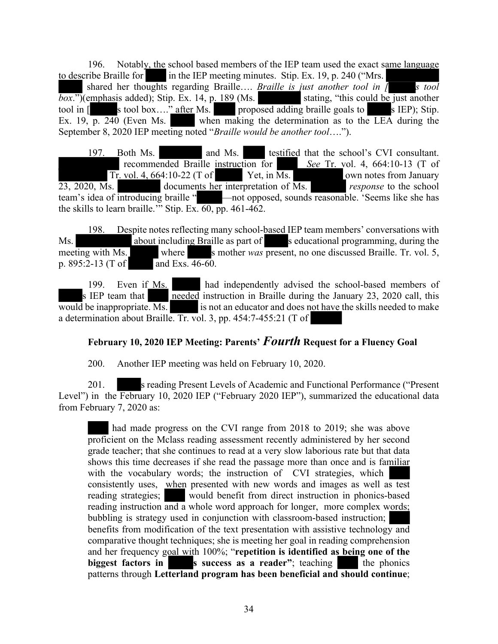196. Notably, the school based members of the IEP team used the exact same language to describe Braille for in the IEP meeting minutes. Stip. Ex.  $19$ , p. 240 ("Mrs.

shared her thoughts regarding Braille…. *Braille is just another tool in [ s tool*   $\overline{box."}$ )(emphasis added); Stip. Ex. 14, p. 189 (Ms. stating, "this could be just another tool in [stating, "after Ms. stating, "this could be just another stating, "this could be just another stating, stating, stating, tool in  $\begin{bmatrix} \cos \theta & \sin \theta \\ \sin \theta & \sin \theta \end{bmatrix}$  is tool box...." after Ms. proposed adding braille goals to s IEP); Stip. Ex. 19,  $\overline{p}$ . 240 (Even Ms. when making the determination as to the LEA during the September 8, 2020 IEP meeting noted "*Braille would be another tool*….").

197. Both Ms. and Ms. testified that the school's CVI consultant. recommended Braille instruction for *See* Tr. vol. 4, 664:10-13 (T of Tr. vol. 4, 664:10-22 (T of Yet, in Ms. own notes from January 23, 2020, Ms. documents her interpretation of Ms. *response* to the school team's idea of introducing braille " —not opposed, sounds reasonable. 'Seems like she has the skills to learn braille.'" Stip. Ex.  $\overline{60}$ , pp. 461-462.

198. Despite notes reflecting many school-based IEP team members' conversations with Ms. About including Braille as part of seducational programming, during the meeting with Ms. where s mother *was* present, no one discussed Braille. Tr. vol. 5, p. 895:2-13 (T of and Exs. 46-60.

199. Even if Ms. had independently advised the school-based members of s IEP team that  $\sqrt{\frac{\text{needed}}{\text{instead}}}$  instruction in Braille during the January 23, 2020 call, this would be inappropriate.  $\overline{Ms}$  is not an educator and does not have the skills needed to make a determination about Braille. Tr. vol. 3, pp. 454:7-455:21 (T of

# **February 10, 2020 IEP Meeting: Parents'** *Fourth* **Request for a Fluency Goal**

200. Another IEP meeting was held on February 10, 2020.

201. s reading Present Levels of Academic and Functional Performance ("Present Level") in the February 10, 2020 IEP ("February 2020 IEP"), summarized the educational data from February 7, 2020 as:

had made progress on the CVI range from 2018 to 2019; she was above proficient on the Mclass reading assessment recently administered by her second grade teacher; that she continues to read at a very slow laborious rate but that data shows this time decreases if she read the passage more than once and is familiar with the vocabulary words; the instruction of CVI strategies, which consistently uses, when presented with new words and images as well as test reading strategies; would benefit from direct instruction in phonics-based reading instruction and a whole word approach for longer, more complex words; bubbling is strategy used in conjunction with classroom-based instruction; benefits from modification of the text presentation with assistive technology and comparative thought techniques; she is meeting her goal in reading comprehension and her frequency goal with 100%; "**repetition is identified as being one of the biggest factors in success as a reader"**; teaching the phonics patterns through **Letterland program has been beneficial and should continue**;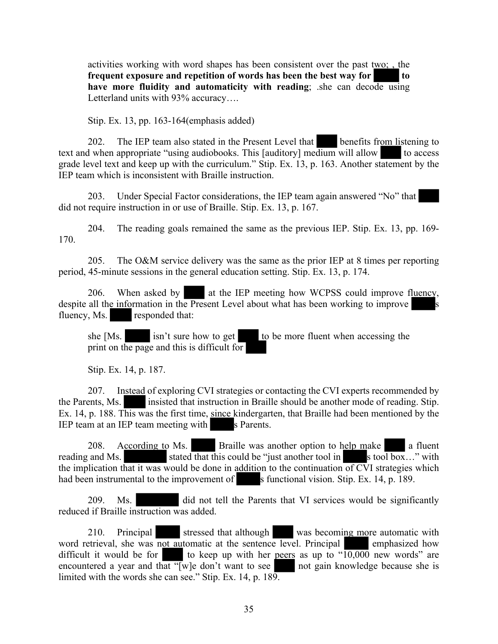activities working with word shapes has been consistent over the past  $t_{WQ}$ ; the **frequent exposure and repetition of words has been the best way for to have more fluidity and automaticity with reading**; .she can decode using Letterland units with 93% accuracy....

Stip. Ex. 13, pp. 163-164(emphasis added)

202. The IEP team also stated in the Present Level that benefits from listening to text and when appropriate "using audiobooks. This [auditory] medium will allow to access grade level text and keep up with the curriculum." Stip. Ex. 13, p. 163. Another statement by the IEP team which is inconsistent with Braille instruction.

203. Under Special Factor considerations, the IEP team again answered "No" that did not require instruction in or use of Braille. Stip. Ex. 13, p. 167.

204. The reading goals remained the same as the previous IEP. Stip. Ex. 13, pp. 169- 170.

205. The O&M service delivery was the same as the prior IEP at 8 times per reporting period, 45-minute sessions in the general education setting. Stip. Ex. 13, p. 174.

206. When asked by at the IEP meeting how WCPSS could improve fluency, despite all the information in the Present Level about what has been working to improve fluency, Ms. responded that:

she  $[Ms.$  isn't sure how to get to be more fluent when accessing the print on the page and this is difficult for

Stip. Ex. 14, p. 187.

207. Instead of exploring CVI strategies or contacting the CVI experts recommended by the Parents, Ms. insisted that instruction in Braille should be another mode of reading. Stip. Ex. 14, p. 188. This was the first time, since kindergarten, that Braille had been mentioned by the IEP team at an IEP team meeting with s Parents.

208. According to Ms. Braille was another option to help make a fluent reading and Ms. stated that this could be "just another tool in s tool box..." with the implication that it was would be done in addition to the continuation of CVI strategies which had been instrumental to the improvement of s functional vision. Stip. Ex. 14, p. 189.

209. Ms. did not tell the Parents that VI services would be significantly reduced if Braille instruction was added.

210. Principal stressed that although was becoming more automatic with word retrieval, she was not automatic at the sentence level. Principal emphasized how difficult it would be for to keep up with her peers as up to " $\overline{10,000}$  new words" are encountered a year and that " $\sqrt{w}$ ] e don't want to see not gain knowledge because she is limited with the words she can see." Stip. Ex. 14, p. 189.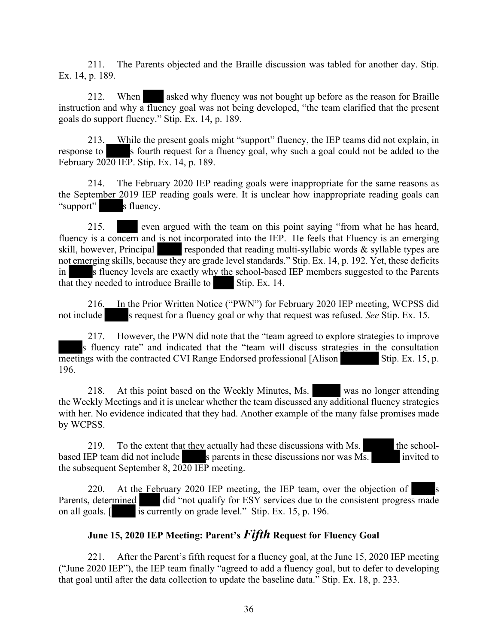211. The Parents objected and the Braille discussion was tabled for another day. Stip. Ex. 14, p. 189.

212. When asked why fluency was not bought up before as the reason for Braille instruction and why a fluency goal was not being developed, "the team clarified that the present goals do support fluency." Stip. Ex. 14, p. 189.

213. While the present goals might "support" fluency, the IEP teams did not explain, in response to s fourth request for a fluency goal, why such a goal could not be added to the February 2020 IEP. Stip. Ex. 14, p. 189.

214. The February 2020 IEP reading goals were inappropriate for the same reasons as the September 2019 IEP reading goals were. It is unclear how inappropriate reading goals can "support" s fluency.

215. even argued with the team on this point saying "from what he has heard, fluency is a concern and is not incorporated into the IEP. He feels that Fluency is an emerging skill, however, Principal responded that reading multi-syllabic words  $\&$  syllable types are not emerging skills, because they are grade level standards." Stip. Ex. 14, p. 192. Yet, these deficits in s fluency levels are exactly why the school-based IEP members suggested to the Parents that they needed to introduce Braille to Stip. Ex. 14.

216. In the Prior Written Notice ("PWN") for February 2020 IEP meeting, WCPSS did not include s request for a fluency goal or why that request was refused. *See* Stip. Ex. 15.

217. However, the PWN did note that the "team agreed to explore strategies to improve s fluency rate" and indicated that the "team will discuss strategies in the consultation meetings with the contracted CVI Range Endorsed professional [Alison Stip. Ex. 15, p. 196.

218. At this point based on the Weekly Minutes, Ms. was no longer attending the Weekly Meetings and it is unclear whether the team discussed any additional fluency strategies with her. No evidence indicated that they had. Another example of the many false promises made by WCPSS.

219. To the extent that they actually had these discussions with Ms. the schoolbased IEP team did not include s parents in these discussions nor was Ms. invited to the subsequent September 8, 2020 IEP meeting.

220. At the February 2020 IEP meeting, the IEP team, over the objection of Parents, determined did "not qualify for ESY services due to the consistent progress made on all goals. [ is currently on grade level." Stip. Ex. 15, p. 196.

# **June 15, 2020 IEP Meeting: Parent's** *Fifth* **Request for Fluency Goal**

221. After the Parent's fifth request for a fluency goal, at the June 15, 2020 IEP meeting ("June 2020 IEP"), the IEP team finally "agreed to add a fluency goal, but to defer to developing that goal until after the data collection to update the baseline data." Stip. Ex. 18, p. 233.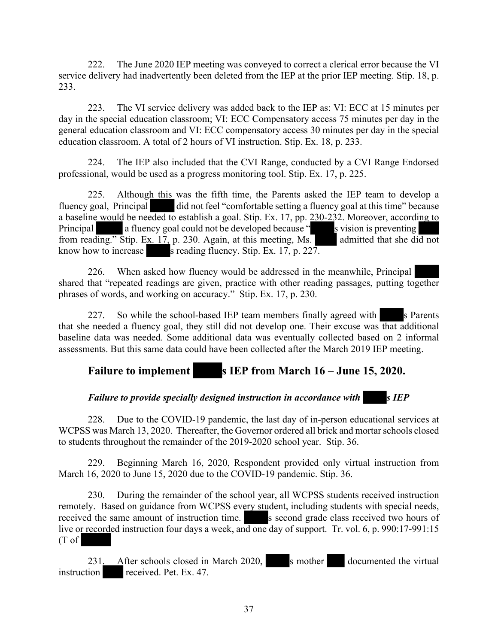222. The June 2020 IEP meeting was conveyed to correct a clerical error because the VI service delivery had inadvertently been deleted from the IEP at the prior IEP meeting. Stip. 18, p. 233.

223. The VI service delivery was added back to the IEP as: VI: ECC at 15 minutes per day in the special education classroom; VI: ECC Compensatory access 75 minutes per day in the general education classroom and VI: ECC compensatory access 30 minutes per day in the special education classroom. A total of 2 hours of VI instruction. Stip. Ex. 18, p. 233.

224. The IEP also included that the CVI Range, conducted by a CVI Range Endorsed professional, would be used as a progress monitoring tool. Stip. Ex. 17, p. 225.

225. Although this was the fifth time, the Parents asked the IEP team to develop a fluency goal, Principal did not feel "comfortable setting a fluency goal at this time" because a baseline would be needed to establish a goal. Stip. Ex. 17, pp. 230-232. Moreover, according to Principal a fluency goal could not be developed because " s vision is preventing from reading." Stip. Ex. 17, p. 230. Again, at this meeting, Ms. admitted that she did not know how to increase s reading fluency. Stip. Ex.  $17$ , p.  $227$ .

226. When asked how fluency would be addressed in the meanwhile, Principal shared that "repeated readings are given, practice with other reading passages, putting together phrases of words, and working on accuracy." Stip. Ex. 17, p. 230.

227. So while the school-based IEP team members finally agreed with s Parents that she needed a fluency goal, they still did not develop one. Their excuse was that additional baseline data was needed. Some additional data was eventually collected based on 2 informal assessments. But this same data could have been collected after the March 2019 IEP meeting.

# Failure to implement s IEP from March 16 – June 15, 2020.

# *Failure to provide specially designed instruction in accordance with* s *IEP*

228. Due to the COVID-19 pandemic, the last day of in-person educational services at WCPSS was March 13, 2020. Thereafter, the Governor ordered all brick and mortar schools closed to students throughout the remainder of the 2019-2020 school year. Stip. 36.

229. Beginning March 16, 2020, Respondent provided only virtual instruction from March 16, 2020 to June 15, 2020 due to the COVID-19 pandemic. Stip. 36.

230. During the remainder of the school year, all WCPSS students received instruction remotely. Based on guidance from WCPSS every student, including students with special needs, received the same amount of instruction time. S second grade class received two hours of live or recorded instruction four days a week, and one day of support. Tr. vol. 6, p. 990:17-991:15 (T of

231. After schools closed in March 2020, s mother documented the virtual instruction received. Pet. Ex. 47.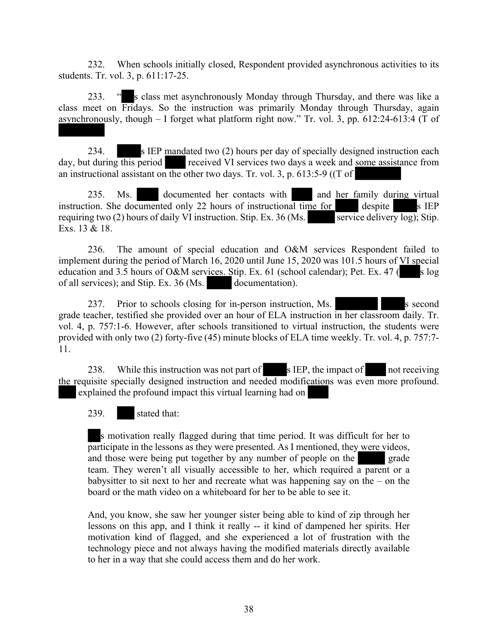232. When schools initially closed, Respondent provided asynchronous activities to its students. Tr. vol. 3, p. 611:17-25.

233. " s class met asynchronously Monday through Thursday, and there was like a class meet on Fridays. So the instruction was primarily Monday through Thursday, again asynchronously, though  $-$  I forget what platform right now." Tr. vol. 3, pp. 612:24-613:4 (T of

234. s IEP mandated two (2) hours per day of specially designed instruction each day, but during this period received VI services two days a week and some assistance from an instructional assistant on the other two days. Tr. vol. 3, p. 613:5-9 ( $(T \text{ of }$ 

235. Ms. documented her contacts with and her family during virtual instruction. She documented only 22 hours of instructional time for despite s IEP requiring two (2) hours of daily VI instruction. Stip. Ex. 36 (Ms. requiring two  $(2)$  hours of daily VI instruction. Stip. Ex. 36 (Ms. Exs. 13 & 18.

236. The amount of special education and O&M services Respondent failed to implement during the period of March 16, 2020 until June 15, 2020 was 101.5 hours of VI special education and 3.5 hours of O&M services. Stip. Ex. 61 (school calendar); Pet. Ex. 47 ( $s \log$ of all services); and Stip. Ex. 36 (Ms. documentation).

237. Prior to schools closing for in-person instruction, Ms. grade teacher, testified she provided over an hour of ELA instruction in her classroom daily. Tr. vol. 4, p. 757:1-6. However, after schools transitioned to virtual instruction, the students were provided with only two (2) forty-five (45) minute blocks of ELA time weekly. Tr. vol. 4, p. 757:7- 11.

238. While this instruction was not part of s IEP, the impact of not receiving the requisite specially designed instruction and needed modifications was even more profound. explained the profound impact this virtual learning had on

239. stated that:

s motivation really flagged during that time period. It was difficult for her to participate in the lessons as they were presented. As I mentioned, they were videos, and those were being put together by any number of people on the grade team. They weren't all visually accessible to her, which required a parent or a babysitter to sit next to her and recreate what was happening say on the – on the board or the math video on a whiteboard for her to be able to see it.

And, you know, she saw her younger sister being able to kind of zip through her lessons on this app, and I think it really -- it kind of dampened her spirits. Her motivation kind of flagged, and she experienced a lot of frustration with the technology piece and not always having the modified materials directly available to her in a way that she could access them and do her work.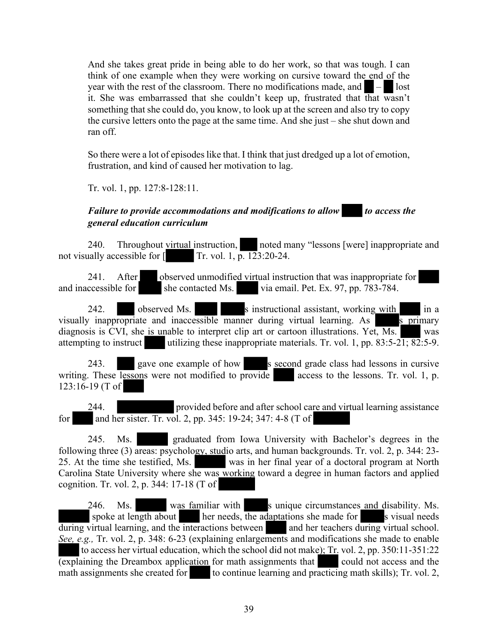And she takes great pride in being able to do her work, so that was tough. I can think of one example when they were working on cursive toward the end of the year with the rest of the classroom. There no modifications made, and  $\blacksquare - \blacksquare$  lost it. She was embarrassed that she couldn't keep up, frustrated that that wasn't something that she could do, you know, to look up at the screen and also try to copy the cursive letters onto the page at the same time. And she just – she shut down and ran off.

So there were a lot of episodes like that. I think that just dredged up a lot of emotion, frustration, and kind of caused her motivation to lag.

Tr. vol. 1, pp. 127:8-128:11.

## *Failure to provide accommodations and modifications to allow* to access the *general education curriculum*

240. Throughout virtual instruction, noted many "lessons [were] inappropriate and not visually accessible for  $\lceil$  Tr. vol. 1,  $\bar{p}$ . 123:20-24.

241. After observed unmodified virtual instruction that was inappropriate for and inaccessible for she contacted Ms. via email. Pet. Ex. 97, pp. 783-784.

242. observed Ms. s instructional assistant, working with in a visually inappropriate and inaccessible manner during virtual learning. As  $\overline{s}$  primary diagnosis is CVI, she is unable to interpret clip art or cartoon illustrations. Yet,  $\overline{Ms}$  was attempting to instruct utilizing these inappropriate materials. Tr. vol. 1, pp.  $83:5-21$ ;  $82:5-9$ .

243. gave one example of how s second grade class had lessons in cursive writing. These lessons were not modified to provide access to the lessons. Tr. vol. 1, p. 123:16-19 (T of

244. provided before and after school care and virtual learning assistance for and her sister. Tr. vol. 2, pp. 345: 19-24; 347: 4-8 (T of

245. Ms. graduated from Iowa University with Bachelor's degrees in the following three (3) areas: psychology, studio arts, and human backgrounds. Tr. vol. 2, p. 344: 23-<br>25. At the time she testified, Ms. was in her final year of a doctoral program at North was in her final year of a doctoral program at North Carolina State University where she was working toward a degree in human factors and applied cognition. Tr. vol. 2, p. 344: 17-18 (T of

246. Ms. was familiar with s unique circumstances and disability. Ms. spoke at length about her needs, the adaptations she made for s visual needs during virtual learning, and the interactions between and her teachers during virtual school. *See, e.g.,* Tr. vol. 2, p. 348: 6-23 (explaining enlargements and modifications she made to enable to access her virtual education, which the school did not make);  $Tr$  vol. 2, pp. 350:11-351:22  $\overline{(explaining the Dreambox application for math assignments that could not access and the$ math assignments she created for to continue learning and practicing math skills); Tr. vol. 2,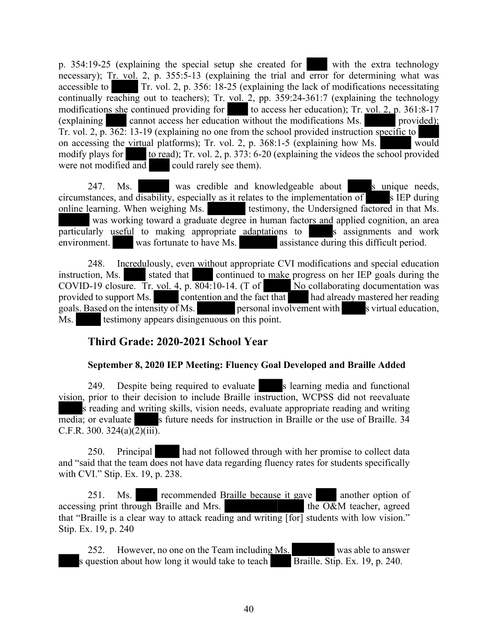p. 354:19-25 (explaining the special setup she created for with the extra technology necessary); Tr. vol. 2, p. 355:5-13 (explaining the trial and error for determining what was accessible to Tr. vol. 2, p. 356: 18-25 (explaining the lack of modifications necessitating continually reaching out to teachers); Tr. vol. 2, pp. 359:24-361:7 (explaining the technology modifications she continued providing for to access her education); Tr. vol. 2, p.  $361:8-17$ (explaining cannot access her education without the modifications Ms. provided); Tr. vol. 2, p. 362: 13-19 (explaining no one from the school provided instruction specific to on accessing the virtual platforms); Tr. vol. 2, p. 368:1-5 (explaining how Ms. would modify plays for to read); Tr. vol. 2, p.  $373: 6-20$  (explaining the videos the school provided were not modified and could rarely see them).

247. Ms. was credible and knowledgeable about s unique needs, circumstances, and disability, especially as it relates to the implementation of s IEP during online learning. When weighing Ms. testimony, the Undersigned factored in that Ms. was working toward a graduate degree in human factors and applied cognition, an area particularly useful to making appropriate adaptations to s assignments and work environment. was fortunate to have Ms. assistance during this difficult period.

248. Incredulously, even without appropriate CVI modifications and special education instruction, Ms. stated that continued to make progress on her IEP goals during the COVID-19 closure. Tr. vol. 4, p.  $\overline{804:}10-14$ . (T of No collaborating documentation was provided to support Ms. contention and the fact that had already mastered her reading goals. Based on the intensity of Ms. personal involvement with s virtual education, Ms. testimony appears disingenuous on this point.

# **Third Grade: 2020-2021 School Year**

# **September 8, 2020 IEP Meeting: Fluency Goal Developed and Braille Added**

249. Despite being required to evaluate s learning media and functional vision, prior to their decision to include Braille instruction, WCPSS did not reevaluate s reading and writing skills, vision needs, evaluate appropriate reading and writing media; or evaluate s future needs for instruction in Braille or the use of Braille. 34 C.F.R. 300. 324(a) $\overline{(2)(iii)}$ .

250. Principal had not followed through with her promise to collect data and "said that the team does not have data regarding fluency rates for students specifically with CVI." Stip. Ex. 19, p. 238.

251. Ms. recommended Braille because it gave another option of accessing print through Braille and Mrs.  $\qquad \qquad$  the O&M teacher, agreed that "Braille is a clear way to attack reading and writing [for] students with low vision." Stip. Ex. 19, p. 240

252. However, no one on the Team including Ms. was able to answer s question about how long it would take to teach  $\overline{\text{Braille}}$ . Stip. Ex. 19, p. 240.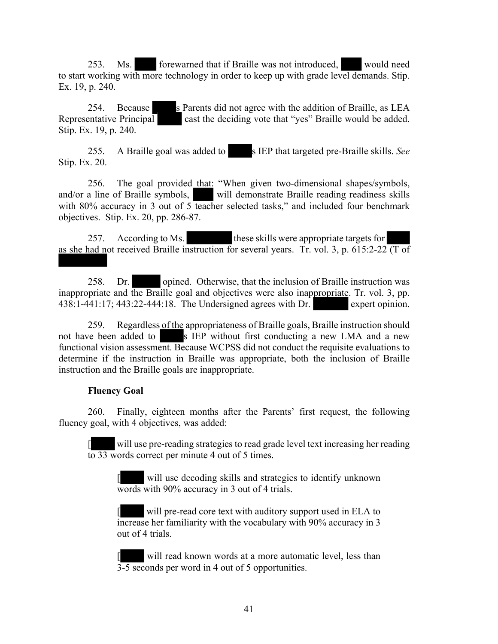253. Ms. forewarned that if Braille was not introduced, would need to start working with more technology in order to keep up with grade level demands. Stip. Ex. 19, p. 240.

254. Because s Parents did not agree with the addition of Braille, as LEA Representative Principal cast the deciding vote that "yes" Braille would be added. Stip. Ex. 19, p. 240.

255. A Braille goal was added to s IEP that targeted pre-Braille skills. *See* Stip. Ex. 20.

256. The goal provided that: "When given two-dimensional shapes/symbols, and/or a line of Braille symbols, will demonstrate Braille reading readiness skills with 80% accuracy in 3 out of 5 teacher selected tasks," and included four benchmark objectives. Stip. Ex. 20, pp. 286-87.

257. According to Ms. these skills were appropriate targets for as she had not received Braille instruction for several years. Tr. vol. 3, p. 615:2-22  $\overline{(T \text{ of })}$ 

258. Dr. opined. Otherwise, that the inclusion of Braille instruction was inappropriate and the Braille goal and objectives were also inappropriate. Tr. vol. 3, pp. 438:1-441:17; 443:22-444:18. The Undersigned agrees with Dr. expert opinion.

259. Regardless of the appropriateness of Braille goals, Braille instruction should not have been added to s IEP without first conducting a new LMA and a new functional vision assessment. Because WCPSS did not conduct the requisite evaluations to determine if the instruction in Braille was appropriate, both the inclusion of Braille instruction and the Braille goals are inappropriate.

#### **Fluency Goal**

 $\overline{\phantom{a}}$ 

260. Finally, eighteen months after the Parents' first request, the following fluency goal, with 4 objectives, was added:

[ will use pre-reading strategies to read grade level text increasing her reading to 33 words correct per minute 4 out of 5 times.

will use decoding skills and strategies to identify unknown words with 90% accuracy in 3 out of 4 trials.

will pre-read core text with auditory support used in ELA to increase her familiarity with the vocabulary with 90% accuracy in 3 out of 4 trials.

will read known words at a more automatic level, less than 3-5 seconds per word in 4 out of 5 opportunities.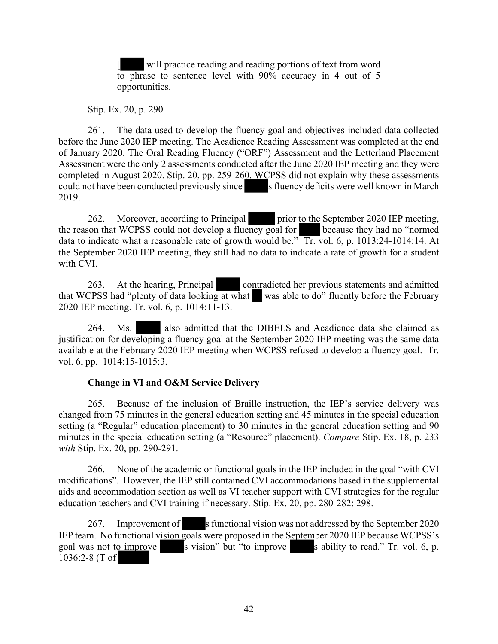will practice reading and reading portions of text from word to phrase to sentence level with 90% accuracy in 4 out of 5 opportunities.

Stip. Ex. 20, p. 290

261. The data used to develop the fluency goal and objectives included data collected before the June 2020 IEP meeting. The Acadience Reading Assessment was completed at the end of January 2020. The Oral Reading Fluency ("ORF") Assessment and the Letterland Placement Assessment were the only 2 assessments conducted after the June 2020 IEP meeting and they were completed in August 2020. Stip. 20, pp. 259-260. WCPSS did not explain why these assessments could not have been conducted previously since s fluency deficits were well known in March 2019.

262. Moreover, according to Principal prior to the September 2020 IEP meeting, the reason that WCPSS could not develop a fluency goal for because they had no "normed data to indicate what a reasonable rate of growth would be." Tr. vol. 6, p. 1013:24-1014:14. At the September 2020 IEP meeting, they still had no data to indicate a rate of growth for a student with CVI.

263. At the hearing, Principal contradicted her previous statements and admitted that WCPSS had "plenty of data looking at what was able to do" fluently before the February 2020 IEP meeting. Tr. vol. 6, p. 1014:11-13.

264. Ms. also admitted that the DIBELS and Acadience data she claimed as justification for developing a fluency goal at the September 2020 IEP meeting was the same data available at the February 2020 IEP meeting when WCPSS refused to develop a fluency goal. Tr. vol. 6, pp. 1014:15-1015:3.

# **Change in VI and O&M Service Delivery**

265. Because of the inclusion of Braille instruction, the IEP's service delivery was changed from 75 minutes in the general education setting and 45 minutes in the special education setting (a "Regular" education placement) to 30 minutes in the general education setting and 90 minutes in the special education setting (a "Resource" placement). *Compare* Stip. Ex. 18, p. 233 *with* Stip. Ex. 20, pp. 290-291.

266. None of the academic or functional goals in the IEP included in the goal "with CVI modifications". However, the IEP still contained CVI accommodations based in the supplemental aids and accommodation section as well as VI teacher support with CVI strategies for the regular education teachers and CVI training if necessary. Stip. Ex. 20, pp. 280-282; 298.

267. Improvement of s functional vision was not addressed by the September 2020 IEP team. No functional vision goals were proposed in the September 2020 IEP because WCPSS's goal was not to improve  $\overline{\phantom{a}}$  s vision" but "to improve  $\overline{\phantom{a}}$  s ability to read." Tr. vol. 6, p. 1036:2-8 (T of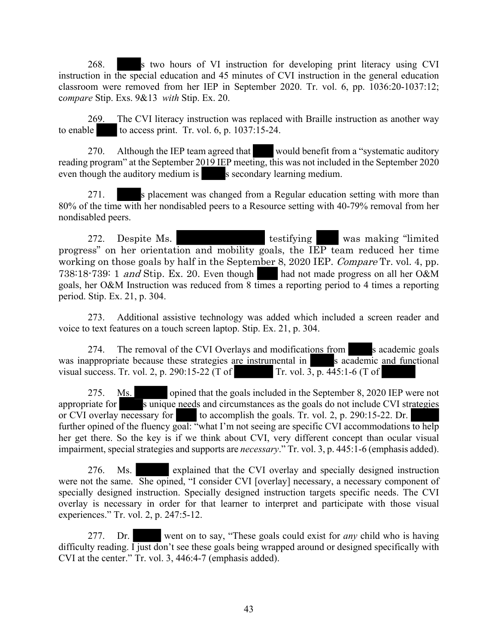268. s two hours of VI instruction for developing print literacy using CVI instruction in the special education and 45 minutes of CVI instruction in the general education classroom were removed from her IEP in September 2020. Tr. vol. 6, pp. 1036:20-1037:12; c*ompare* Stip. Exs. 9&13 *with* Stip. Ex. 20.

269. The CVI literacy instruction was replaced with Braille instruction as another way to enable to access print. Tr. vol.  $6$ , p.  $1037:15-24$ .

270. Although the IEP team agreed that would benefit from a "systematic auditory" reading program" at the September 2019 IEP meeting, this was not included in the September 2020 even though the auditory medium is secondary learning medium.

271. S placement was changed from a Regular education setting with more than 80% of the time with her nondisabled peers to a Resource setting with 40-79% removal from her nondisabled peers.

272. Despite Ms. testifying was making "limited progress" on her orientation and mobility goals, the IEP team reduced her time working on those goals by half in the September 8, 2020 IEP. *Compare* Tr. vol. 4, pp. 738:18-739: 1 *and* Stip. Ex. 20. Even though had not made progress on all her O&M goals, her O&M Instruction was reduced from 8 times a reporting period to 4 times a reporting period. Stip. Ex. 21, p. 304.

273. Additional assistive technology was added which included a screen reader and voice to text features on a touch screen laptop. Stip. Ex. 21, p. 304.

274. The removal of the CVI Overlays and modifications from s academic goals was inappropriate because these strategies are instrumental in s academic and functional visual success. Tr. vol. 2, p. 290:15-22 (T of Tr. vol. 3, p. 445:1-6 (T of

275. Ms. opined that the goals included in the September 8, 2020 IEP were not appropriate for s unique needs and circumstances as the goals do not include CVI strategies or CVI overlay necessary for to accomplish the goals. Tr. vol. 2, p. 290:15-22. Dr. further opined of the fluency goal: "what I'm not seeing are specific CVI accommodations to help her get there. So the key is if we think about CVI, very different concept than ocular visual impairment, special strategies and supports are *necessary*." Tr. vol. 3, p. 445:1-6 (emphasis added).

276. Ms. explained that the CVI overlay and specially designed instruction were not the same. She opined, "I consider CVI [overlay] necessary, a necessary component of specially designed instruction. Specially designed instruction targets specific needs. The CVI overlay is necessary in order for that learner to interpret and participate with those visual experiences." Tr. vol. 2, p. 247:5-12.

277. Dr. went on to say, "These goals could exist for *any* child who is having difficulty reading. I just don't see these goals being wrapped around or designed specifically with CVI at the center." Tr. vol. 3, 446:4-7 (emphasis added).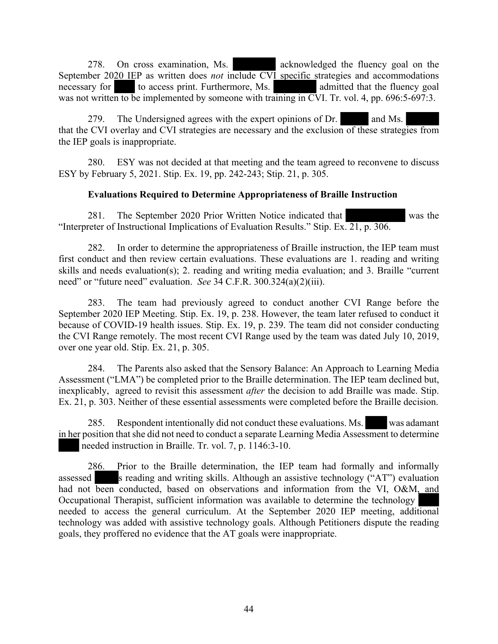278. On cross examination, Ms. acknowledged the fluency goal on the September 2020 IEP as written does *not* include CVI specific strategies and accommodations necessary for to access print. Furthermore, Ms. admitted that the fluency goal was not written to be implemented by someone with training in CVI. Tr. vol. 4, pp. 696:5-697:3.

279. The Undersigned agrees with the expert opinions of Dr. and Ms. that the CVI overlay and CVI strategies are necessary and the exclusion of these strategies from the IEP goals is inappropriate.

280. ESY was not decided at that meeting and the team agreed to reconvene to discuss ESY by February 5, 2021. Stip. Ex. 19, pp. 242-243; Stip. 21, p. 305.

## **Evaluations Required to Determine Appropriateness of Braille Instruction**

281. The September 2020 Prior Written Notice indicated that was the "Interpreter of Instructional Implications of Evaluation Results." Stip. Ex. 21, p. 306.

282. In order to determine the appropriateness of Braille instruction, the IEP team must first conduct and then review certain evaluations. These evaluations are 1. reading and writing skills and needs evaluation(s); 2. reading and writing media evaluation; and 3. Braille "current need" or "future need" evaluation. *See* 34 C.F.R. 300.324(a)(2)(iii).

283. The team had previously agreed to conduct another CVI Range before the September 2020 IEP Meeting. Stip. Ex. 19, p. 238. However, the team later refused to conduct it because of COVID-19 health issues. Stip. Ex. 19, p. 239. The team did not consider conducting the CVI Range remotely. The most recent CVI Range used by the team was dated July 10, 2019, over one year old. Stip. Ex. 21, p. 305.

284. The Parents also asked that the Sensory Balance: An Approach to Learning Media Assessment ("LMA") be completed prior to the Braille determination. The IEP team declined but, inexplicably, agreed to revisit this assessment *after* the decision to add Braille was made. Stip. Ex. 21, p. 303. Neither of these essential assessments were completed before the Braille decision.

285. Respondent intentionally did not conduct these evaluations. Ms. was adamant in her position that she did not need to conduct a separate Learning Media Assessment to determine needed instruction in Braille. Tr. vol. 7, p. 1146:3-10.

286. Prior to the Braille determination, the IEP team had formally and informally assessed s reading and writing skills. Although an assistive technology ("AT") evaluation had not been conducted, based on observations and information from the VI, O&M, and Occupational Therapist, sufficient information was available to determine the technology needed to access the general curriculum. At the September 2020 IEP meeting, additional technology was added with assistive technology goals. Although Petitioners dispute the reading goals, they proffered no evidence that the AT goals were inappropriate.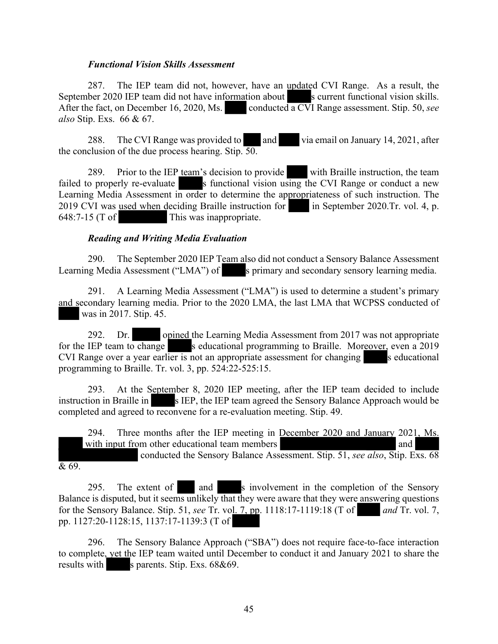#### *Functional Vision Skills Assessment*

287. The IEP team did not, however, have an updated CVI Range. As a result, the September 2020 IEP team did not have information about s current functional vision skills. After the fact, on December 16, 2020, Ms. conducted a CVI Range assessment. Stip. 50, *see also* Stip. Exs. 66 & 67.

288. The CVI Range was provided to and via email on January 14, 2021, after the conclusion of the due process hearing. Stip. 50.

289. Prior to the IEP team's decision to provide with Braille instruction, the team failed to properly re-evaluate s functional vision using the CVI Range or conduct a new Learning Media Assessment in order to determine the appropriateness of such instruction. The 2019 CVI was used when deciding Braille instruction for in September 2020.Tr. vol. 4, p. 648:7-15 (T of This was inappropriate.

#### *Reading and Writing Media Evaluation*

290. The September 2020 IEP Team also did not conduct a Sensory Balance Assessment Learning Media Assessment ("LMA") of s primary and secondary sensory learning media.

291. A Learning Media Assessment ("LMA") is used to determine a student's primary and secondary learning media. Prior to the 2020 LMA, the last LMA that WCPSS conducted of was in 2017. Stip. 45.

292. Dr. opined the Learning Media Assessment from 2017 was not appropriate for the IEP team to change seducational programming to Braille. Moreover, even a 2019  $CVI$  Range over a year earlier is not an appropriate assessment for changing s educational programming to Braille. Tr. vol. 3, pp. 524:22-525:15.

293. At the September 8, 2020 IEP meeting, after the IEP team decided to include instruction in Braille in s IEP, the IEP team agreed the Sensory Balance Approach would be completed and agreed to reconvene for a re-evaluation meeting. Stip. 49.

294. Three months after the IEP meeting in December 2020 and January 2021, Ms. with input from other educational team members and and conducted the Sensory Balance Assessment. Stip. 51, *see also*, Stip. Exs. 68  $\overline{\& 69}$ .

295. The extent of and s involvement in the completion of the Sensory Balance is disputed, but it seems unlikely that they were aware that they were answering questions for the Sensory Balance. Stip. 51, *see* Tr. vol. 7, pp. 1118:17-1119:18 (T of *and* Tr. vol. 7, pp. 1127:20-1128:15, 1137:17-1139:3 (T of

296. The Sensory Balance Approach ("SBA") does not require face-to-face interaction to complete, yet the IEP team waited until December to conduct it and January 2021 to share the results with s parents. Stip. Exs. 68&69.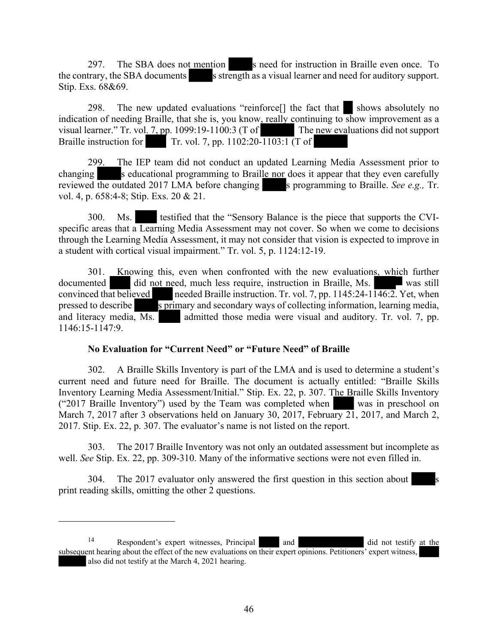297. The SBA does not mention s need for instruction in Braille even once. To the contrary, the SBA documents s strength as a visual learner and need for auditory support. Stip. Exs. 68&69.

298. The new updated evaluations "reinforce<sup>[]</sup> the fact that shows absolutely no indication of needing Braille, that she is, you know, really continuing to show improvement as a visual learner." Tr. vol. 7, pp. 1099:19-1100:3 (T of The new evaluations did not support Braille instruction for Tr. vol. 7, pp. 1102:20-1103:1 (T of

299. The IEP team did not conduct an updated Learning Media Assessment prior to changing s educational programming to Braille nor does it appear that they even carefully reviewed the outdated 2017 LMA before changing s programming to Braille. *See e.g.*, Tr. vol. 4, p. 658:4-8; Stip. Exs. 20 & 21.

300. Ms. testified that the "Sensory Balance is the piece that supports the CVIspecific areas that a Learning Media Assessment may not cover. So when we come to decisions through the Learning Media Assessment, it may not consider that vision is expected to improve in a student with cortical visual impairment." Tr. vol. 5, p. 1124:12-19.

301. Knowing this, even when confronted with the new evaluations, which further documented did not need, much less require, instruction in Braille, Ms. was still convinced that believed needed Braille instruction. Tr. vol. 7, pp. 1145:24-1146:2. Yet, when needed Braille instruction. Tr. vol. 7, pp. 1145:24-1 $\overline{146:2}$ . Yet, when pressed to describe s primary and secondary ways of collecting information, learning media, and literacy media, Ms. admitted those media were visual and auditory. Tr. vol. 7, pp. 1146:15-1147:9.

#### **No Evaluation for "Current Need" or "Future Need" of Braille**

302. A Braille Skills Inventory is part of the LMA and is used to determine a student's current need and future need for Braille. The document is actually entitled: "Braille Skills Inventory Learning Media Assessment/Initial." Stip. Ex. 22, p. 307. The Braille Skills Inventory ("2017 Braille Inventory") used by the Team was completed when was in preschool on March 7, 2017 after 3 observations held on January 30, 2017, February 21, 2017, and March 2, 2017. Stip. Ex. 22, p. 307. The evaluator's name is not listed on the report.

303. The 2017 Braille Inventory was not only an outdated assessment but incomplete as well. *See* Stip. Ex. 22, pp. 309-310. Many of the informative sections were not even filled in.

304. The 2017 evaluator only answered the first question in this section about print reading skills, omitting the other 2 questions.

<sup>&</sup>lt;sup>14</sup> Respondent's expert witnesses, Principal and and did not testify at the subsequent hearing about the effect of the new evaluations on their expert opinions. Petitioners' expert witness, also did not testify at the March 4, 2021 hearing.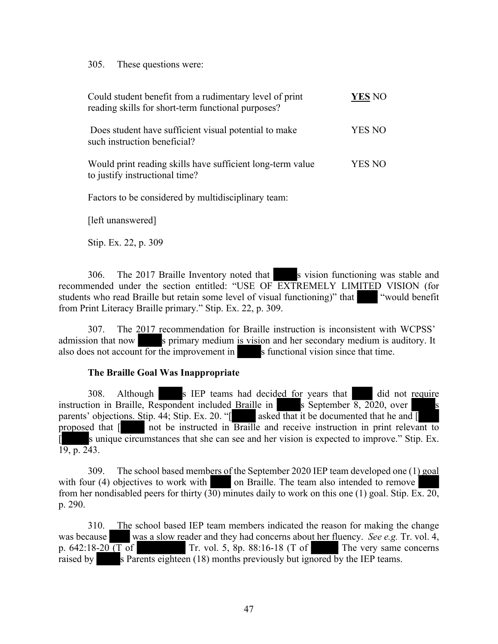305. These questions were:

| Could student benefit from a rudimentary level of print<br>reading skills for short-term functional purposes? | YES NO |
|---------------------------------------------------------------------------------------------------------------|--------|
| Does student have sufficient visual potential to make<br>such instruction beneficial?                         | YES NO |
| Would print reading skills have sufficient long-term value<br>to justify instructional time?                  | YES NO |
| Factors to be considered by multidisciplinary team:                                                           |        |

[left unanswered]

Stip. Ex. 22, p. 309

306. The 2017 Braille Inventory noted that s vision functioning was stable and recommended under the section entitled: "USE OF EXTREMELY LIMITED VISION (for students who read Braille but retain some level of visual functioning)" that "would benefit from Print Literacy Braille primary." Stip. Ex. 22, p. 309.

307. The 2017 recommendation for Braille instruction is inconsistent with WCPSS' admission that now s primary medium is vision and her secondary medium is auditory. It also does not account for the improvement in s functional vision since that time.

#### **The Braille Goal Was Inappropriate**

308. Although s IEP teams had decided for years that did not require instruction in Braille, Respondent included Braille in s September  $\overline{8, 2020}$ , over parents' objections. Stip. 44; Stip. Ex. 20. "[ asked that it be documented that he and [ proposed that [ not be instructed in Braille and receive instruction in print relevant to s unique circumstances that she can see and her vision is expected to improve." Stip. Ex.  $19, p. 243.$ 

309. The school based members of the September 2020 IEP team developed one (1) goal with four (4) objectives to work with on Braille. The team also intended to remove from her nondisabled peers for thirty  $(30)$  minutes daily to work on this one (1) goal. Stip. Ex. 20, p. 290.

310. The school based IEP team members indicated the reason for making the change was because was a slow reader and they had concerns about her fluency. *See e.g.* Tr. vol. 4, p. 642:18<u>-20 (T</u> of Tr. vol. 5, 8p. 88:16-18 (T of The very same concerns Tr. vol. 5, 8p. 88:16-18 (T of The very same concerns raised by s Parents eighteen (18) months previously but ignored by the IEP teams.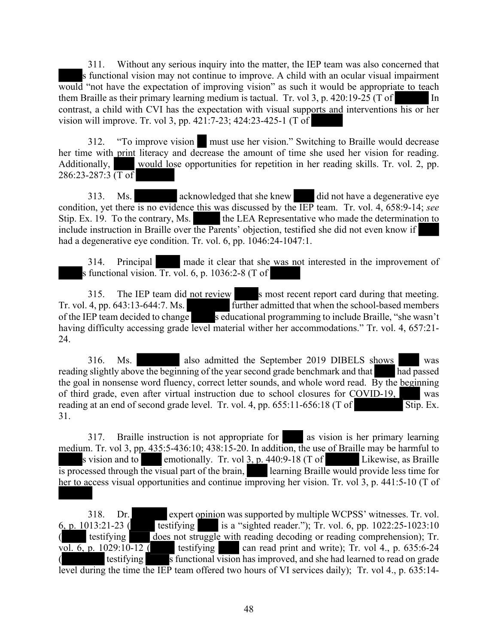311. Without any serious inquiry into the matter, the IEP team was also concerned that s functional vision may not continue to improve. A child with an ocular visual impairment would "not have the expectation of improving vision" as such it would be appropriate to teach them Braille as their primary learning medium is tactual. Tr. vol 3, p. 420:19-25 (T of In contrast, a child with CVI has the expectation with visual supports and interventions his or her vision will improve. Tr. vol 3, pp. 421:7-23; 424:23-425-1 (T of

312. "To improve vision must use her vision." Switching to Braille would decrease her time with print literacy and decrease the amount of time she used her vision for reading. Additionally, would lose opportunities for repetition in her reading skills. Tr. vol. 2, pp. 286:23-287:3  $\overline{(T \text{ of })}$ 

313. Ms. acknowledged that she knew did not have a degenerative eye condition, yet there is no evidence this was discussed by the IEP team. Tr. vol. 4, 658:9-14; *see* Stip. Ex. 19. To the contrary, Ms. the LEA Representative who made the determination to include instruction in Braille over the Parents' objection, testified she did not even know if had a degenerative eye condition. Tr. vol. 6, pp. 1046:24-1047:1.

314. Principal made it clear that she was not interested in the improvement of s functional vision. Tr. vol. 6, p. 1036:2-8 (T of

315. The IEP team did not review s most recent report card during that meeting. Tr. vol. 4, pp. 643:13-644:7. Ms. further admitted that when the school-based members of the IEP team decided to change seducational programming to include Braille, "she wasn't having difficulty accessing grade level material wither her accommodations." Tr. vol. 4, 657:21-24.

316. Ms. also admitted the September 2019 DIBELS shows was reading slightly above the beginning of the year second grade benchmark and that had passed the goal in nonsense word fluency, correct letter sounds, and whole word read. By the beginning of third grade, even after virtual instruction due to school closures for COVID-19, was reading at an end of second grade level. Tr. vol. 4, pp.  $655:11-656:18$  (T of Stip. Ex. 31.

317. Braille instruction is not appropriate for as vision is her primary learning medium. Tr. vol 3, pp. 435:5-436:10; 438:15-20. In addition, the use of Braille may be harmful to s vision and to emotionally. Tr. vol  $3$ , p. 440:9-18 (T of Likewise, as Braille is processed through the visual part of the brain, learning Braille would provide less time for her to access visual opportunities and continue improving her vision. Tr. vol 3, p. 441:5-10 (T of

318. Dr. expert opinion was supported by multiple WCPSS' witnesses. Tr. vol. 6, p. 1013:21-23 ( testifying is a "sighted reader."); Tr. vol. 6, pp. 1022:25-1023:10 testifying does not struggle with reading decoding or reading comprehension); Tr. vol. 6, p. 1029:10-12 ( testifying can read print and write); Tr. vol 4., p. 635:6-24 ( testifying s functional vision has improved, and she had learned to read on grade level during the time the IEP team offered two hours of VI services daily); Tr. vol 4., p. 635:14-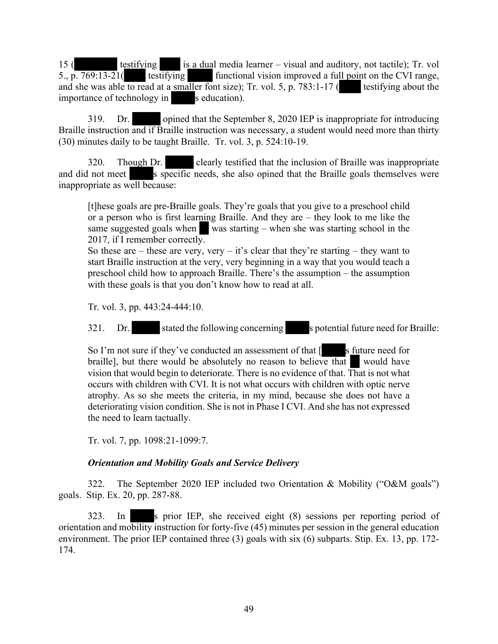15 ( testifying is a dual media learner – visual and auditory, not tactile); Tr. vol 5.,  $p. 769:13-21$  testifying functional vision improved a full point on the CVI range, and she was able to read at a smaller font size); Tr. vol. 5, p. 783:1-17 (testifying about the importance of technology in s education).

319. Dr. opined that the September 8, 2020 IEP is inappropriate for introducing Braille instruction and if Braille instruction was necessary, a student would need more than thirty (30) minutes daily to be taught Braille. Tr. vol. 3, p. 524:10-19.

320. Though Dr. clearly testified that the inclusion of Braille was inappropriate and did not meet s specific needs, she also opined that the Braille goals themselves were inappropriate as well because:

[t]hese goals are pre-Braille goals. They're goals that you give to a preschool child or a person who is first learning Braille. And they are – they look to me like the same suggested goals when was starting – when she was starting school in the 2017, if I remember correctly.

So these are – these are very, very – it's clear that they're starting – they want to start Braille instruction at the very, very beginning in a way that you would teach a preschool child how to approach Braille. There's the assumption – the assumption with these goals is that you don't know how to read at all.

Tr. vol. 3, pp. 443:24-444:10.

321. Dr. stated the following concerning spotential future need for Braille:

So I'm not sure if they've conducted an assessment of that  $\lceil$  s future need for braille], but there would be absolutely no reason to believe that would have vision that would begin to deteriorate. There is no evidence of that. That is not what occurs with children with CVI. It is not what occurs with children with optic nerve atrophy. As so she meets the criteria, in my mind, because she does not have a deteriorating vision condition. She is not in Phase I CVI. And she has not expressed the need to learn tactually.

Tr. vol. 7, pp. 1098:21-1099:7.

# *Orientation and Mobility Goals and Service Delivery*

322. The September 2020 IEP included two Orientation & Mobility ("O&M goals") goals. Stip. Ex. 20, pp. 287-88.

323. In s prior IEP, she received eight (8) sessions per reporting period of orientation and mobility instruction for forty-five (45) minutes per session in the general education environment. The prior IEP contained three (3) goals with six (6) subparts. Stip. Ex. 13, pp. 172- 174.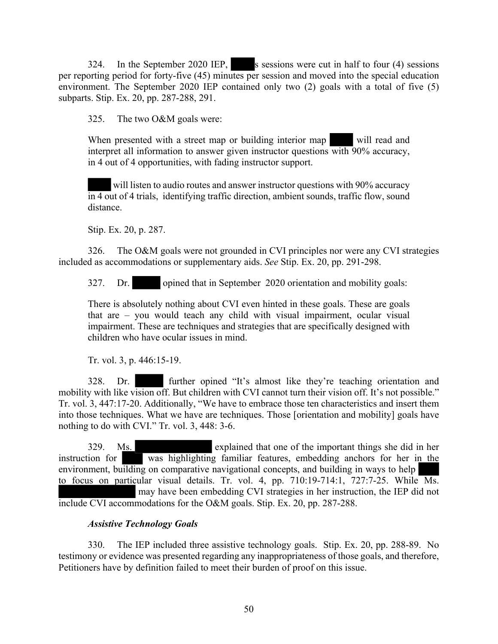324. In the September 2020 IEP, s sessions were cut in half to four (4) sessions per reporting period for forty-five (45) minutes per session and moved into the special education environment. The September 2020 IEP contained only two (2) goals with a total of five (5) subparts. Stip. Ex. 20, pp. 287-288, 291.

325. The two O&M goals were:

When presented with a street map or building interior map will read and interpret all information to answer given instructor questions with 90% accuracy, in 4 out of 4 opportunities, with fading instructor support.

will listen to audio routes and answer instructor questions with 90% accuracy in 4 out of 4 trials, identifying traffic direction, ambient sounds, traffic flow, sound distance.

Stip. Ex. 20, p. 287.

326. The O&M goals were not grounded in CVI principles nor were any CVI strategies included as accommodations or supplementary aids. *See* Stip. Ex. 20, pp. 291-298.

327. Dr. opined that in September 2020 orientation and mobility goals:

There is absolutely nothing about CVI even hinted in these goals. These are goals that are – you would teach any child with visual impairment, ocular visual impairment. These are techniques and strategies that are specifically designed with children who have ocular issues in mind.

Tr. vol. 3, p. 446:15-19.

328. Dr. further opined "It's almost like they're teaching orientation and mobility with like vision off. But children with CVI cannot turn their vision off. It's not possible." Tr. vol. 3, 447:17-20. Additionally, "We have to embrace those ten characteristics and insert them into those techniques. What we have are techniques. Those [orientation and mobility] goals have nothing to do with CVI." Tr. vol. 3, 448: 3-6.

329. Ms. explained that one of the important things she did in her instruction for was highlighting familiar features, embedding anchors for her in the environment, building on comparative navigational concepts, and building in ways to help to focus on particular visual details. Tr. vol. 4, pp. 710:19-714:1, 727:7-25. While Ms. may have been embedding CVI strategies in her instruction, the IEP did not include CVI accommodations for the O&M goals. Stip. Ex. 20, pp. 287-288.

# *Assistive Technology Goals*

330. The IEP included three assistive technology goals. Stip. Ex. 20, pp. 288-89. No testimony or evidence was presented regarding any inappropriateness of those goals, and therefore, Petitioners have by definition failed to meet their burden of proof on this issue.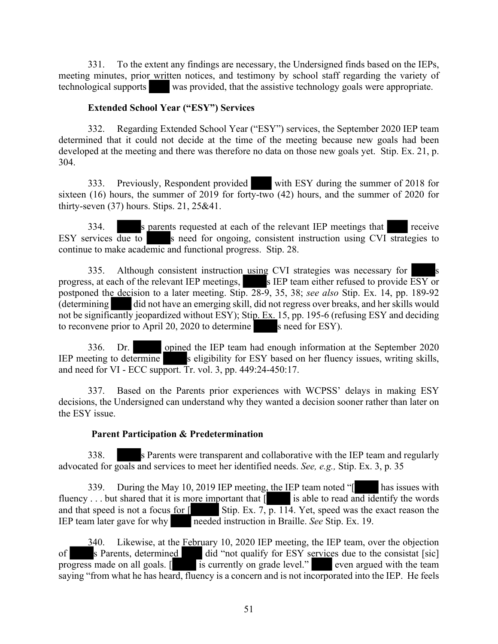331. To the extent any findings are necessary, the Undersigned finds based on the IEPs, meeting minutes, prior written notices, and testimony by school staff regarding the variety of technological supports was provided, that the assistive technology goals were appropriate.

#### **Extended School Year ("ESY") Services**

332. Regarding Extended School Year ("ESY") services, the September 2020 IEP team determined that it could not decide at the time of the meeting because new goals had been developed at the meeting and there was therefore no data on those new goals yet. Stip. Ex. 21, p. 304.

333. Previously, Respondent provided with ESY during the summer of 2018 for sixteen (16) hours, the summer of 2019 for forty-two (42) hours, and the summer of 2020 for thirty-seven (37) hours. Stips. 21, 25&41.

334. S parents requested at each of the relevant IEP meetings that receive ESY services  $\overline{due to}$  s need for ongoing, consistent instruction using CVI strategies to continue to make academic and functional progress. Stip. 28.

335. Although consistent instruction using CVI strategies was necessary for progress, at each of the relevant IEP meetings, s IEP team either refused to provide ESY or postponed the decision to a later meeting. Stip. 28-9, 35, 38; *see also* Stip. Ex. 14, pp. 189-92 (determining did not have an emerging skill, did not regress over breaks, and her skills would not be significantly jeopardized without ESY); Stip. Ex. 15, pp. 195-6 (refusing ESY and deciding to reconvene prior to April 20, 2020 to determine s need for ESY).

336. Dr. opined the IEP team had enough information at the September 2020 IEP meeting to determine s eligibility for ESY based on her fluency issues, writing skills, and need for VI - ECC support. Tr. vol. 3, pp. 449:24-450:17.

337. Based on the Parents prior experiences with WCPSS' delays in making ESY decisions, the Undersigned can understand why they wanted a decision sooner rather than later on the ESY issue.

# **Parent Participation & Predetermination**

338. s Parents were transparent and collaborative with the IEP team and regularly advocated for goals and services to meet her identified needs. *See, e.g.,* Stip. Ex. 3, p. 35

339. During the May 10, 2019 IEP meeting, the IEP team noted "<sup>[1866</sup>] has issues with fluency . . . but shared that it is more important that  $\overline{[}$  is able to read and identify the words and that speed is not a focus for  $\lceil \cdot \cdot \rceil$  Stip. Ex. 7, p. 114. Yet, speed was the exact reason the IEP team later gave for why needed instruction in Braille. *See* Stip. Ex. 19.

340. Likewise, at the February 10, 2020 IEP meeting, the IEP team, over the objection of s Parents, determined did "not qualify for ESY services due to the consistat [sic] progress made on all goals. [ is currently on grade level." even argued with the team saying "from what he has heard, fluency is a concern and is not incorporated into the IEP. He feels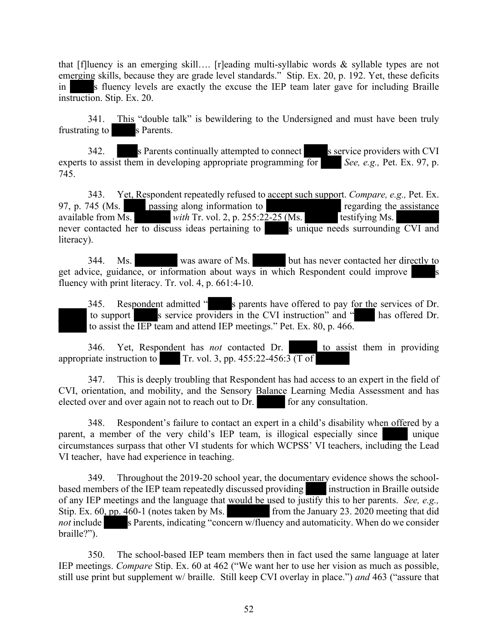that [f]luency is an emerging skill.... [r]eading multi-syllabic words  $\&$  syllable types are not emerging skills, because they are grade level standards." Stip. Ex. 20, p. 192. Yet, these deficits in s fluency levels are exactly the excuse the IEP team later gave for including Braille instruction. Stip. Ex. 20.

341. This "double talk" is bewildering to the Undersigned and must have been truly frustrating to s Parents.

342. s Parents continually attempted to connect s service providers with CVI experts to assist them in developing appropriate programming for *See, e.g.,* Pet. Ex. 97, p. 745.

343. Yet, Respondent repeatedly refused to accept such support. *Compare, e.g.,* Pet. Ex. 97, p. 745 (Ms. passing along information to regarding the assistance available from Ms. *with Tr. vol. 2, p. 255:22-25 (Ms.* testifying Ms. never contacted her to discuss ideas pertaining to surrounding CVI and new surrounding CVI and literacy).

344. Ms. was aware of Ms. but has never contacted her directly to get advice, guidance, or information about ways in which Respondent could improve fluency with print literacy. Tr. vol. 4, p. 661:4-10.

345. Respondent admitted " s parents have offered to pay for the services of Dr. to support s service providers in the CVI instruction" and " has offered Dr. to assist the IEP team and attend IEP meetings." Pet. Ex. 80, p. 466.

346. Yet, Respondent has *not* contacted Dr. to assist them in providing appropriate instruction to Tr. vol. 3, pp.  $455:22-456:3$  (T of

347. This is deeply troubling that Respondent has had access to an expert in the field of CVI, orientation, and mobility, and the Sensory Balance Learning Media Assessment and has elected over and over again not to reach out to Dr. for any consultation.

348. Respondent's failure to contact an expert in a child's disability when offered by a parent, a member of the very child's IEP team, is illogical especially since unique circumstances surpass that other VI students for which WCPSS' VI teachers, including the Lead VI teacher, have had experience in teaching.

349. Throughout the 2019-20 school year, the documentary evidence shows the schoolbased members of the IEP team repeatedly discussed providing instruction in Braille outside of any IEP meetings and the language that would be used to justify this to her parents. *See, e.g.,*  Stip. Ex. 60, pp. 460-1 (notes taken by Ms. from the January 23. 2020 meeting that did *not* include s Parents, indicating "concern w/fluency and automaticity. When do we consider braille?").

350. The school-based IEP team members then in fact used the same language at later IEP meetings. *Compare* Stip. Ex. 60 at 462 ("We want her to use her vision as much as possible, still use print but supplement w/ braille. Still keep CVI overlay in place.") *and* 463 ("assure that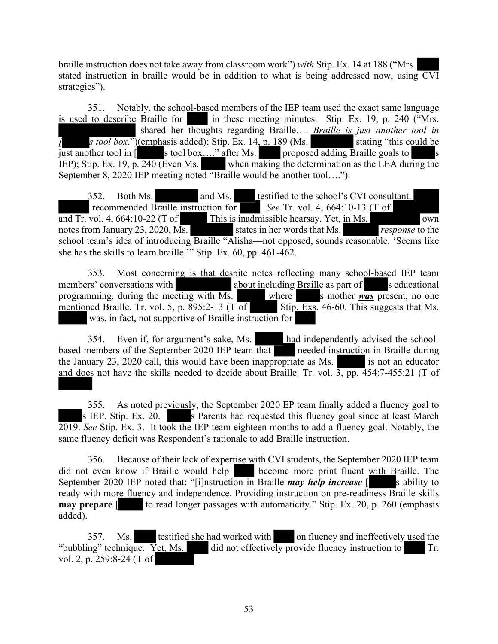braille instruction does not take away from classroom work") *with* Stip. Ex. 14 at 188 ("Mrs. stated instruction in braille would be in addition to what is being addressed now, using CVI strategies").

351. Notably, the school-based members of the IEP team used the exact same language is used to describe Braille for  $\blacksquare$  in these meeting minutes. Stip. Ex. 19, p. 240 ("Mrs. shared her thoughts regarding Braille…. *Braille is just another tool in I s tool box*.")(emphasis added); Stip. Ex.  $14, p. 189$  (Ms. stating "this could be just another tool in [ s tool box...." after Ms. proposed adding Braille goals to s IEP); Stip. Ex. 19, p. 240 (Even Ms. when making the determination as the LEA during the September 8, 2020 IEP meeting noted "Braille would be another tool….").

352. Both Ms. and Ms. testified to the school's CVI consultant. recommended Braille instruction for *See* Tr. vol. 4, 664:10-13 (T of and Tr. vol. 4, 664:10-22 (T of This is inadmissible hearsay. Yet, in Ms. notes from January 23, 2020, Ms. states in her words that Ms. *response* to the school team's idea of introducing Braille "Alisha—not opposed, sounds reasonable. 'Seems like she has the skills to learn braille." Stip. Ex. 60, pp. 461-462.

353. Most concerning is that despite notes reflecting many school-based IEP team members' conversations with about including Braille as part of seducational programming, during the meeting with Ms. where s mother *was* present, no one mentioned Braille. Tr. vol. 5, p. 895:2-13 (T of Stip. Exs. 46-60. This suggests that Ms. was, in fact, not supportive of Braille instruction for

354. Even if, for argument's sake, Ms. had independently advised the schoolbased members of the September 2020 IEP team that needed instruction in Braille during the January  $23$ ,  $2020$  call, this would have been inappropriate as Ms. is not an educator and does not have the skills needed to decide about Braille. Tr. vol.  $\overline{3}$ , pp. 454:7-455:21 (T of

355. As noted previously, the September 2020 EP team finally added a fluency goal to s IEP. Stip. Ex. 20. s Parents had requested this fluency goal since at least March 2019. *See* Stip. Ex. 3. It took the IEP team eighteen months to add a fluency goal. Notably, the same fluency deficit was Respondent's rationale to add Braille instruction.

356. Because of their lack of expertise with CVI students, the September 2020 IEP team did not even know if Braille would help become more print fluent with Braille. The September 2020 IEP noted that: "[i]nstruction in Braille *may help increase* [ s ability to ready with more fluency and independence. Providing instruction on pre-readiness Braille skills **may prepare**  $\lceil \cdot \cdot \rceil$  to read longer passages with automaticity." Stip. Ex. 20, p. 260 (emphasis added).

357. Ms. testified she had worked with on fluency and ineffectively used the "bubbling" technique. Yet, Ms. did not effectively provide fluency instruction to Tr. vol. 2, p. 259:8-24 (T of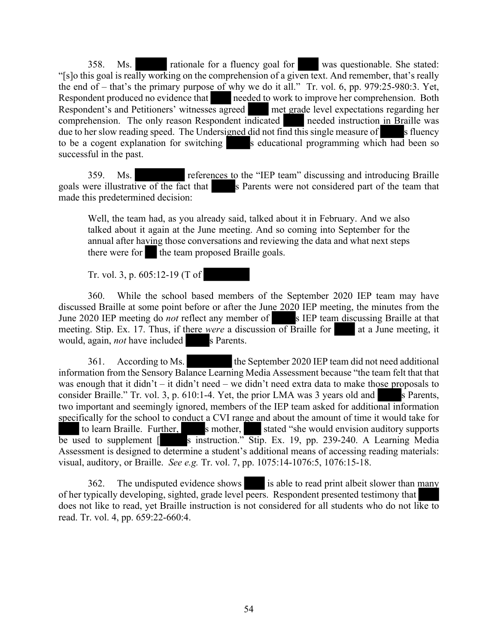358. Ms. rationale for a fluency goal for was questionable. She stated: "[s]o this goal is really working on the comprehension of a given text. And remember, that's really the end of – that's the primary purpose of why we do it all." Tr. vol. 6, pp. 979:25-980:3. Yet, Respondent produced no evidence that needed to work to improve her comprehension. Both Respondent's and Petitioners' witnesses agreed met grade level expectations regarding her comprehension. The only reason Respondent indicated needed instruction in Braille was due to her slow reading speed. The Undersigned did not find this single measure of s fluency to be a cogent explanation for switching  $\blacksquare$  s educational programming which had been so successful in the past.

359. Ms. references to the "IEP team" discussing and introducing Braille goals were illustrative of the fact that s Parents were not considered part of the team that made this predetermined decision:

Well, the team had, as you already said, talked about it in February. And we also talked about it again at the June meeting. And so coming into September for the annual after having those conversations and reviewing the data and what next steps there were for the team proposed Braille goals.

Tr. vol. 3, p. 605:12-19 (T of

360. While the school based members of the September 2020 IEP team may have discussed Braille at some point before or after the June 2020 IEP meeting, the minutes from the June 2020 IEP meeting do *not* reflect any member of s IEP team discussing Braille at that meeting. Stip. Ex. 17. Thus, if there *were* a discussion of Braille for at a June meeting, it would, again, *not* have included s Parents.

361. According to Ms. the September 2020 IEP team did not need additional information from the Sensory Balance Learning Media Assessment because "the team felt that that was enough that it didn't – it didn't need – we didn't need extra data to make those proposals to consider Braille." Tr. vol. 3, p.  $610:1-4$ . Yet, the prior LMA was 3 years old and s Parents, two important and seemingly ignored, members of the IEP team asked for additional information specifically for the school to conduct a CVI range and about the amount of time it would take for to learn Braille. Further, s mother, stated "she would envision auditory supports be used to supplement  $\lceil \cdot \cdot \rceil$  is instruction." Stip. Ex. 19, pp. 239-240. A Learning Media Assessment is designed to determine a student's additional means of accessing reading materials: visual, auditory, or Braille. *See e.g.* Tr. vol. 7, pp. 1075:14-1076:5, 1076:15-18.

362. The undisputed evidence shows is able to read print albeit slower than many of her typically developing, sighted, grade level peers. Respondent presented testimony that does not like to read, yet Braille instruction is not considered for all students who do not like to read. Tr. vol. 4, pp. 659:22-660:4.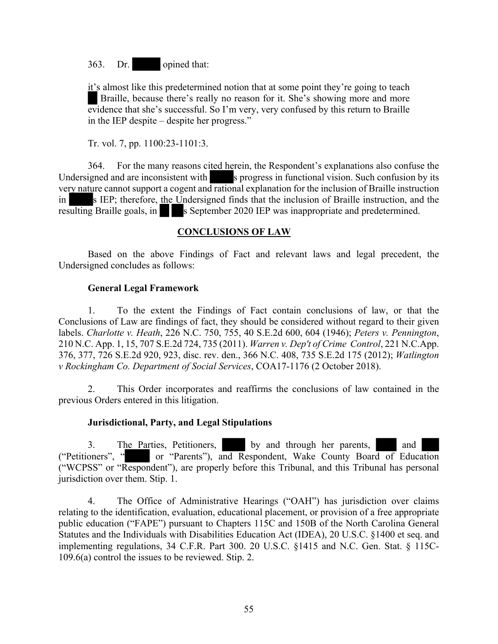363. Dr. opined that:

it's almost like this predetermined notion that at some point they're going to teach Braille, because there's really no reason for it. She's showing more and more evidence that she's successful. So I'm very, very confused by this return to Braille in the IEP despite – despite her progress."

Tr. vol. 7, pp. 1100:23-1101:3.

364. For the many reasons cited herein, the Respondent's explanations also confuse the Undersigned and are inconsistent with s progress in functional vision. Such confusion by its very nature cannot support a cogent and rational explanation for the inclusion of Braille instruction in s IEP; therefore, the Undersigned finds that the inclusion of Braille instruction, and the resulting Braille goals, in s September 2020 IEP was inappropriate and predetermined.

## **CONCLUSIONS OF LAW**

Based on the above Findings of Fact and relevant laws and legal precedent, the Undersigned concludes as follows:

#### **General Legal Framework**

1. To the extent the Findings of Fact contain conclusions of law, or that the Conclusions of Law are findings of fact, they should be considered without regard to their given labels. *Charlotte v. Heath*, 226 N.C. 750, 755, 40 S.E.2d 600, 604 (1946); *Peters v. Pennington*, 210 N.C. App. 1, 15, 707 S.E.2d 724, 735 (2011). *Warren v. Dep't of Crime Control*, 221 N.C.App. 376, 377, 726 S.E.2d 920, 923, disc. rev. den., 366 N.C. 408, 735 S.E.2d 175 (2012); *Watlington v Rockingham Co. Department of Social Services*, COA17-1176 (2 October 2018).

2. This Order incorporates and reaffirms the conclusions of law contained in the previous Orders entered in this litigation.

#### **Jurisdictional, Party, and Legal Stipulations**

3. The Parties, Petitioners, by and through her parents, and ("Petitioners", " or "Parents"), and Respondent, Wake County Board of Education ("WCPSS" or "Respondent"), are properly before this Tribunal, and this Tribunal has personal jurisdiction over them. Stip. 1.

4. The Office of Administrative Hearings ("OAH") has jurisdiction over claims relating to the identification, evaluation, educational placement, or provision of a free appropriate public education ("FAPE") pursuant to Chapters 115C and 150B of the North Carolina General Statutes and the Individuals with Disabilities Education Act (IDEA), 20 U.S.C. §1400 et seq. and implementing regulations, 34 C.F.R. Part 300. 20 U.S.C. §1415 and N.C. Gen. Stat. § 115C-109.6(a) control the issues to be reviewed. Stip. 2.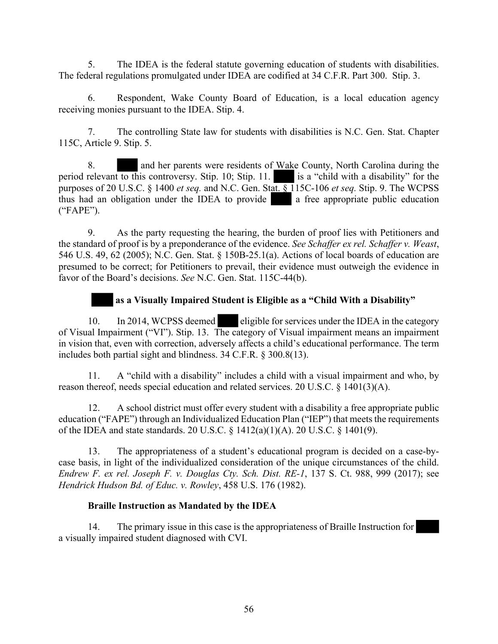5. The IDEA is the federal statute governing education of students with disabilities. The federal regulations promulgated under IDEA are codified at 34 C.F.R. Part 300. Stip. 3.

6. Respondent, Wake County Board of Education, is a local education agency receiving monies pursuant to the IDEA. Stip. 4.

7. The controlling State law for students with disabilities is N.C. Gen. Stat. Chapter 115C, Article 9. Stip. 5.

8. and her parents were residents of Wake County, North Carolina during the period relevant to this controversy. Stip. 10; Stip. 11. is a "child with a disability" for the purposes of 20 U.S.C. § 1400 *et seq.* and N.C. Gen. Stat. § 115C-106 *et seq.* Stip. 9. The WCPSS thus had an obligation under the IDEA to provide a free appropriate public education ("FAPE").

9. As the party requesting the hearing, the burden of proof lies with Petitioners and the standard of proof is by a preponderance of the evidence. *See Schaffer ex rel. Schaffer v. Weast*, 546 U.S. 49, 62 (2005); N.C. Gen. Stat. § 150B-25.1(a). Actions of local boards of education are presumed to be correct; for Petitioners to prevail, their evidence must outweigh the evidence in favor of the Board's decisions. *See* N.C. Gen. Stat. 115C-44(b).

# **as a Visually Impaired Student is Eligible as a "Child With a Disability"**

10. In 2014, WCPSS deemed eligible for services under the IDEA in the category of Visual Impairment ("VI"). Stip. 13. The category of Visual impairment means an impairment in vision that, even with correction, adversely affects a child's educational performance. The term includes both partial sight and blindness. 34 C.F.R. § 300.8(13).

11. A "child with a disability" includes a child with a visual impairment and who, by reason thereof, needs special education and related services. 20 U.S.C. § 1401(3)(A).

12. A school district must offer every student with a disability a free appropriate public education ("FAPE") through an Individualized Education Plan ("IEP") that meets the requirements of the IDEA and state standards. 20 U.S.C. § 1412(a)(1)(A). 20 U.S.C. § 1401(9).

13. The appropriateness of a student's educational program is decided on a case-bycase basis, in light of the individualized consideration of the unique circumstances of the child. *Endrew F. ex rel. Joseph F. v. Douglas Cty. Sch. Dist. RE-1*, 137 S. Ct. 988, 999 (2017); see *Hendrick Hudson Bd. of Educ. v. Rowley*, 458 U.S. 176 (1982).

# **Braille Instruction as Mandated by the IDEA**

14. The primary issue in this case is the appropriateness of Braille Instruction for a visually impaired student diagnosed with CVI.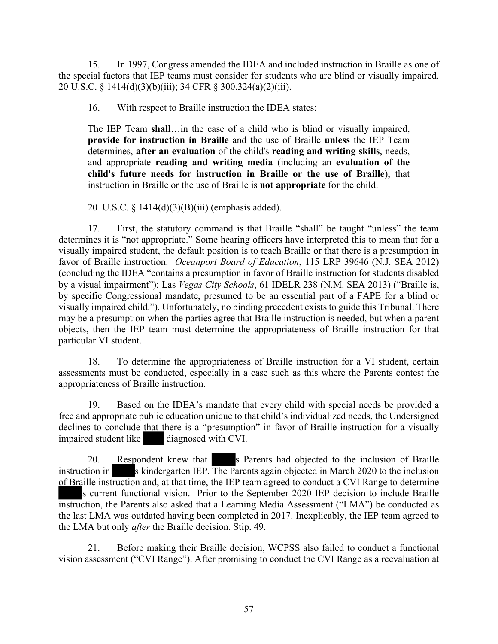15. In 1997, Congress amended the IDEA and included instruction in Braille as one of the special factors that IEP teams must consider for students who are blind or visually impaired. 20 U.S.C. § 1414(d)(3)(b)(iii); 34 CFR § 300.324(a)(2)(iii).

16. With respect to Braille instruction the IDEA states:

The IEP Team **shall**…in the case of a child who is blind or visually impaired, **provide for instruction in Braille** and the use of Braille **unless** the IEP Team determines, **after an evaluation** of the child's **reading and writing skills**, needs, and appropriate **reading and writing media** (including an **evaluation of the child's future needs for instruction in Braille or the use of Braille**), that instruction in Braille or the use of Braille is **not appropriate** for the child.

20 U.S.C. § 1414(d)(3)(B)(iii) (emphasis added).

17. First, the statutory command is that Braille "shall" be taught "unless" the team determines it is "not appropriate." Some hearing officers have interpreted this to mean that for a visually impaired student, the default position is to teach Braille or that there is a presumption in favor of Braille instruction. *Oceanport Board of Education*, 115 LRP 39646 (N.J. SEA 2012) (concluding the IDEA "contains a presumption in favor of Braille instruction for students disabled by a visual impairment"); Las *Vegas City Schools*, 61 IDELR 238 (N.M. SEA 2013) ("Braille is, by specific Congressional mandate, presumed to be an essential part of a FAPE for a blind or visually impaired child."). Unfortunately, no binding precedent exists to guide this Tribunal. There may be a presumption when the parties agree that Braille instruction is needed, but when a parent objects, then the IEP team must determine the appropriateness of Braille instruction for that particular VI student.

18. To determine the appropriateness of Braille instruction for a VI student, certain assessments must be conducted, especially in a case such as this where the Parents contest the appropriateness of Braille instruction.

19. Based on the IDEA's mandate that every child with special needs be provided a free and appropriate public education unique to that child's individualized needs, the Undersigned declines to conclude that there is a "presumption" in favor of Braille instruction for a visually impaired student like diagnosed with CVI.

20. Respondent knew that s Parents had objected to the inclusion of Braille instruction in s kindergarten IEP. The Parents again objected in March 2020 to the inclusion of Braille instruction and, at that time, the IEP team agreed to conduct a CVI Range to determine s current functional vision. Prior to the September 2020 IEP decision to include Braille instruction, the Parents also asked that a Learning Media Assessment ("LMA") be conducted as the last LMA was outdated having been completed in 2017. Inexplicably, the IEP team agreed to the LMA but only *after* the Braille decision. Stip. 49.

21. Before making their Braille decision, WCPSS also failed to conduct a functional vision assessment ("CVI Range"). After promising to conduct the CVI Range as a reevaluation at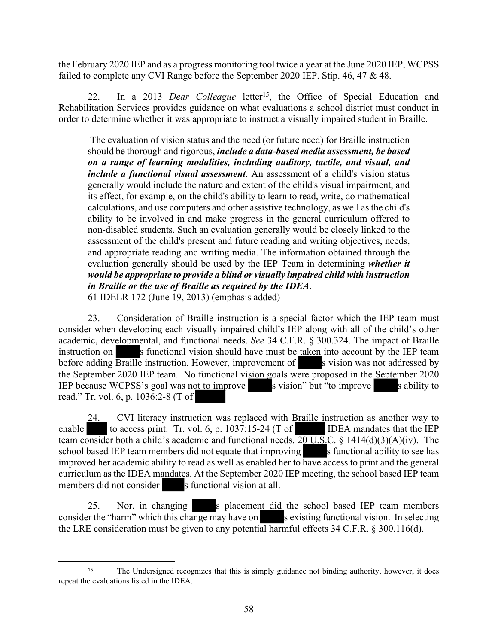the February 2020 IEP and as a progress monitoring tool twice a year at the June 2020 IEP, WCPSS failed to complete any CVI Range before the September 2020 IEP. Stip. 46, 47 & 48.

22. In a 2013 *Dear Colleague* letter<sup>15</sup>, the Office of Special Education and Rehabilitation Services provides guidance on what evaluations a school district must conduct in order to determine whether it was appropriate to instruct a visually impaired student in Braille.

 The evaluation of vision status and the need (or future need) for Braille instruction should be thorough and rigorous, *include a data-based media assessment, be based on a range of learning modalities, including auditory, tactile, and visual, and include a functional visual assessment*. An assessment of a child's vision status generally would include the nature and extent of the child's visual impairment, and its effect, for example, on the child's ability to learn to read, write, do mathematical calculations, and use computers and other assistive technology, as well as the child's ability to be involved in and make progress in the general curriculum offered to non-disabled students. Such an evaluation generally would be closely linked to the assessment of the child's present and future reading and writing objectives, needs, and appropriate reading and writing media. The information obtained through the evaluation generally should be used by the IEP Team in determining *whether it would be appropriate to provide a blind or visually impaired child with instruction in Braille or the use of Braille as required by the IDEA*. 61 IDELR 172 (June 19, 2013) (emphasis added)

23. Consideration of Braille instruction is a special factor which the IEP team must consider when developing each visually impaired child's IEP along with all of the child's other academic, developmental, and functional needs. *See* 34 C.F.R. § 300.324. The impact of Braille instruction on s functional vision should have must be taken into account by the IEP team before adding Braille instruction. However, improvement of s vision was not addressed by the September 2020 IEP team. No functional vision goals were proposed in the September 2020 IEP because WCPSS's goal was not to improve s vision" but "to improve s ability to read." Tr. vol. 6, p. 1036:2-8 (T of

24. CVI literacy instruction was replaced with Braille instruction as another way to enable to access print. Tr. vol. 6, p. 1037:15-24 (T of IDEA mandates that the IEP team consider both a child's academic and functional needs.  $20 \text{ U.S. C. }$  § 1414(d)(3)(A)(iv). The school based IEP team members did not equate that improving s functional ability to see has improved her academic ability to read as well as enabled her to have access to print and the general curriculum as the IDEA mandates. At the September 2020 IEP meeting, the school based IEP team members did not consider s functional vision at all.

25. Nor, in changing s placement did the school based IEP team members consider the "harm" which this change may have on s existing functional vision. In selecting the LRE consideration must be given to any potential harmful effects 34 C.F.R. § 300.116(d).

<sup>&</sup>lt;sup>15</sup> The Undersigned recognizes that this is simply guidance not binding authority, however, it does repeat the evaluations listed in the IDEA.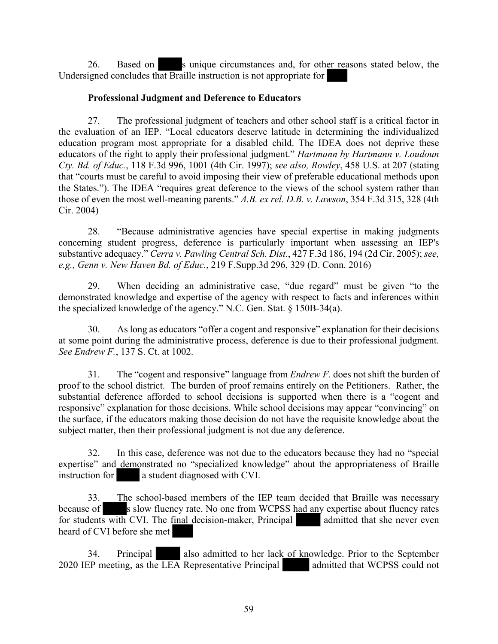26. Based on s unique circumstances and, for other reasons stated below, the Undersigned concludes that Braille instruction is not appropriate for

## **Professional Judgment and Deference to Educators**

27. The professional judgment of teachers and other school staff is a critical factor in the evaluation of an IEP. "Local educators deserve latitude in determining the individualized education program most appropriate for a disabled child. The IDEA does not deprive these educators of the right to apply their professional judgment." *Hartmann by Hartmann v. Loudoun Cty. Bd. of Educ.*, 118 F.3d 996, 1001 (4th Cir. 1997); *see also, Rowley*, 458 U.S. at 207 (stating that "courts must be careful to avoid imposing their view of preferable educational methods upon the States."). The IDEA "requires great deference to the views of the school system rather than those of even the most well-meaning parents." *A.B. ex rel. D.B. v. Lawson*, 354 F.3d 315, 328 (4th Cir. 2004)

28. "Because administrative agencies have special expertise in making judgments concerning student progress, deference is particularly important when assessing an IEP's substantive adequacy." *Cerra v. Pawling Central Sch. Dist.*, 427 F.3d 186, 194 (2d Cir. 2005); *see, e.g., Genn v. New Haven Bd. of Educ.*, 219 F.Supp.3d 296, 329 (D. Conn. 2016)

29. When deciding an administrative case, "due regard" must be given "to the demonstrated knowledge and expertise of the agency with respect to facts and inferences within the specialized knowledge of the agency." N.C. Gen. Stat. § 150B-34(a).

30. As long as educators "offer a cogent and responsive" explanation for their decisions at some point during the administrative process, deference is due to their professional judgment. *See Endrew F.*, 137 S. Ct. at 1002.

31. The "cogent and responsive" language from *Endrew F.* does not shift the burden of proof to the school district. The burden of proof remains entirely on the Petitioners. Rather, the substantial deference afforded to school decisions is supported when there is a "cogent and responsive" explanation for those decisions. While school decisions may appear "convincing" on the surface, if the educators making those decision do not have the requisite knowledge about the subject matter, then their professional judgment is not due any deference.

32. In this case, deference was not due to the educators because they had no "special expertise" and demonstrated no "specialized knowledge" about the appropriateness of Braille instruction for a student diagnosed with CVI.

33. The school-based members of the IEP team decided that Braille was necessary because of s slow fluency rate. No one from WCPSS had any expertise about fluency rates for students with CVI. The final decision-maker, Principal admitted that she never even heard of CVI before she met

34. Principal also admitted to her lack of knowledge. Prior to the September 2020 IEP meeting, as the LEA Representative Principal admitted that WCPSS could not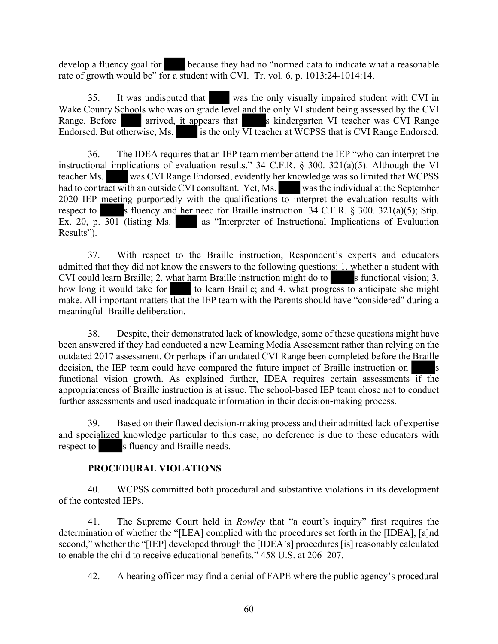develop a fluency goal for because they had no "normed data to indicate what a reasonable rate of growth would be" for a student with CVI. Tr. vol. 6, p.  $1013:24-1014:14$ .

35. It was undisputed that was the only visually impaired student with CVI in Wake County Schools who was on grade level and the only VI student being assessed by the CVI Range. Before arrived, it appears that s kindergarten VI teacher was CVI Range Range. Before arrived, it appears that s kindergarten VI teacher was CVI Range Endorsed. But otherwise, Ms. is the only VI teacher at WCPSS that is CVI Range Endorsed.

36. The IDEA requires that an IEP team member attend the IEP "who can interpret the instructional implications of evaluation results." 34 C.F.R. § 300. 321(a)(5). Although the VI teacher Ms. was CVI Range Endorsed, evidently her knowledge was so limited that WCPSS had to contract with an outside CVI consultant. Yet, Ms. was the individual at the September 2020 IEP meeting purportedly with the qualifications to interpret the evaluation results with respect to s fluency and her need for Braille instruction.  $34$  C.F.R. § 300.  $321(a)(5)$ ; Stip. Ex. 20, p.  $\overline{301}$  (listing Ms. as "Interpreter of Instructional Implications of Evaluation Results").

37. With respect to the Braille instruction, Respondent's experts and educators admitted that they did not know the answers to the following questions: 1. whether a student with CVI could learn Braille; 2. what harm Braille instruction might do to s functional vision; 3. how long it would take for to learn Braille; and 4. what progress to anticipate she might make. All important matters that the IEP team with the Parents should have "considered" during a meaningful Braille deliberation.

38. Despite, their demonstrated lack of knowledge, some of these questions might have been answered if they had conducted a new Learning Media Assessment rather than relying on the outdated 2017 assessment. Or perhaps if an undated CVI Range been completed before the Braille decision, the IEP team could have compared the future impact of Braille instruction on s functional vision growth. As explained further, IDEA requires certain assessments if the appropriateness of Braille instruction is at issue. The school-based IEP team chose not to conduct further assessments and used inadequate information in their decision-making process.

39. Based on their flawed decision-making process and their admitted lack of expertise and specialized knowledge particular to this case, no deference is due to these educators with respect to s fluency and Braille needs.

# **PROCEDURAL VIOLATIONS**

40. WCPSS committed both procedural and substantive violations in its development of the contested IEPs.

41. The Supreme Court held in *Rowley* that "a court's inquiry" first requires the determination of whether the "[LEA] complied with the procedures set forth in the [IDEA], [a]nd second," whether the "[IEP] developed through the [IDEA's] procedures [is] reasonably calculated to enable the child to receive educational benefits." 458 U.S. at 206–207.

42. A hearing officer may find a denial of FAPE where the public agency's procedural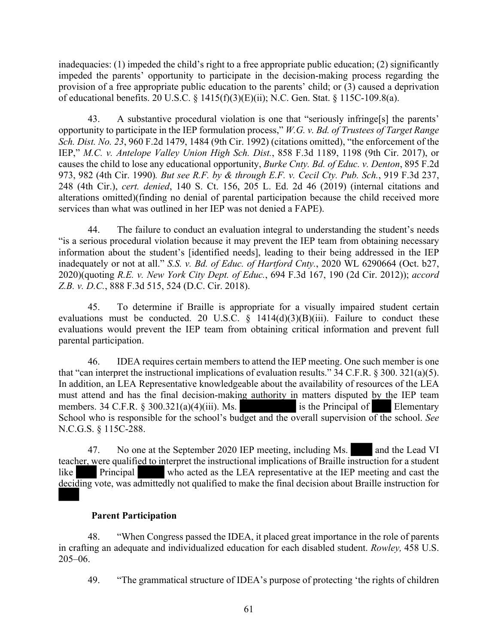inadequacies: (1) impeded the child's right to a free appropriate public education; (2) significantly impeded the parents' opportunity to participate in the decision-making process regarding the provision of a free appropriate public education to the parents' child; or (3) caused a deprivation of educational benefits. 20 U.S.C. § 1415(f)(3)(E)(ii); N.C. Gen. Stat. § 115C-109.8(a).

43. A substantive procedural violation is one that "seriously infringe[s] the parents' opportunity to participate in the IEP formulation process," *W.G. v. Bd. of Trustees of Target Range Sch. Dist. No. 23*, 960 F.2d 1479, 1484 (9th Cir. 1992) (citations omitted), "the enforcement of the IEP," *M.C. v. Antelope Valley Union High Sch. Dist.*, 858 F.3d 1189, 1198 (9th Cir. 2017), or causes the child to lose any educational opportunity, *Burke Cnty. Bd. of Educ. v. Denton*, 895 F.2d 973, 982 (4th Cir. 1990)*. But see R.F. by & through E.F. v. Cecil Cty. Pub. Sch.*, 919 F.3d 237, 248 (4th Cir.), *cert. denied*, 140 S. Ct. 156, 205 L. Ed. 2d 46 (2019) (internal citations and alterations omitted)(finding no denial of parental participation because the child received more services than what was outlined in her IEP was not denied a FAPE).

44. The failure to conduct an evaluation integral to understanding the student's needs "is a serious procedural violation because it may prevent the IEP team from obtaining necessary information about the student's [identified needs], leading to their being addressed in the IEP inadequately or not at all." *S.S. v. Bd. of Educ. of Hartford Cnty.*, 2020 WL 6290664 (Oct. b27, 2020)(quoting *R.E. v. New York City Dept. of Educ.*, 694 F.3d 167, 190 (2d Cir. 2012)); *accord Z.B. v. D.C.*, 888 F.3d 515, 524 (D.C. Cir. 2018).

45. To determine if Braille is appropriate for a visually impaired student certain evaluations must be conducted. 20 U.S.C.  $\hat{\S}$  1414(d)(3)(B)(iii). Failure to conduct these evaluations would prevent the IEP team from obtaining critical information and prevent full parental participation.

46. IDEA requires certain members to attend the IEP meeting. One such member is one that "can interpret the instructional implications of evaluation results." 34 C.F.R. § 300. 321(a)(5). In addition, an LEA Representative knowledgeable about the availability of resources of the LEA must attend and has the final decision-making authority in matters disputed by the IEP team members. 34 C.F.R. § 300.321(a)(4)(iii). Ms. is the Principal of Elementary School who is responsible for the school's budget and the overall supervision of the school. *See* N.C.G.S. § 115C-288.

47. No one at the September 2020 IEP meeting, including Ms. and the Lead VI teacher, were qualified to interpret the instructional implications of Braille instruction for a student like Principal who acted as the LEA representative at the IEP meeting and cast the deciding vote, was admittedly not qualified to make the final decision about Braille instruction for

# **Parent Participation**

48. "When Congress passed the IDEA, it placed great importance in the role of parents in crafting an adequate and individualized education for each disabled student. *Rowley,* 458 U.S. 205–06.

49. "The grammatical structure of IDEA's purpose of protecting 'the rights of children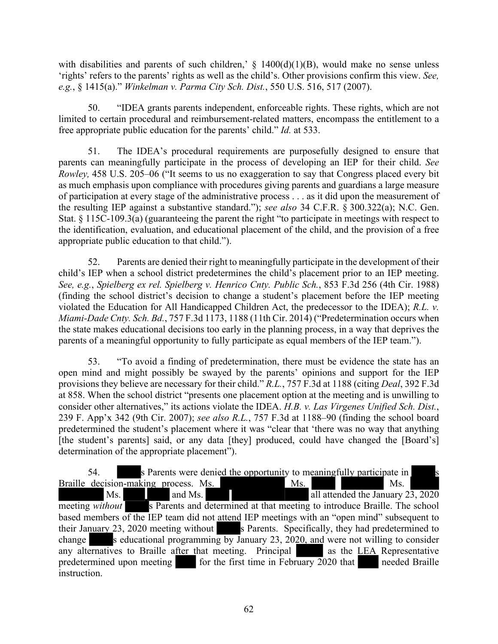with disabilities and parents of such children,'  $\S$  1400(d)(1)(B), would make no sense unless 'rights' refers to the parents' rights as well as the child's. Other provisions confirm this view. *See, e.g.*, § 1415(a)." *Winkelman v. Parma City Sch. Dist.*, 550 U.S. 516, 517 (2007).

50. "IDEA grants parents independent, enforceable rights. These rights, which are not limited to certain procedural and reimbursement-related matters, encompass the entitlement to a free appropriate public education for the parents' child." *Id.* at 533.

51. The IDEA's procedural requirements are purposefully designed to ensure that parents can meaningfully participate in the process of developing an IEP for their child. *See Rowley,* 458 U.S. 205–06 ("It seems to us no exaggeration to say that Congress placed every bit as much emphasis upon compliance with procedures giving parents and guardians a large measure of participation at every stage of the administrative process . . . as it did upon the measurement of the resulting IEP against a substantive standard."); *see also* 34 C.F.R. § 300.322(a); N.C. Gen. Stat. § 115C-109.3(a) (guaranteeing the parent the right "to participate in meetings with respect to the identification, evaluation, and educational placement of the child, and the provision of a free appropriate public education to that child.").

52. Parents are denied their right to meaningfully participate in the development of their child's IEP when a school district predetermines the child's placement prior to an IEP meeting. *See, e.g.*, *Spielberg ex rel. Spielberg v. Henrico Cnty. Public Sch.*, 853 F.3d 256 (4th Cir. 1988) (finding the school district's decision to change a student's placement before the IEP meeting violated the Education for All Handicapped Children Act, the predecessor to the IDEA); *R.L. v. Miami-Dade Cnty. Sch. Bd.*, 757 F.3d 1173, 1188 (11th Cir. 2014) ("Predetermination occurs when the state makes educational decisions too early in the planning process, in a way that deprives the parents of a meaningful opportunity to fully participate as equal members of the IEP team.").

53. "To avoid a finding of predetermination, there must be evidence the state has an open mind and might possibly be swayed by the parents' opinions and support for the IEP provisions they believe are necessary for their child." *R.L.*, 757 F.3d at 1188 (citing *Deal*, 392 F.3d at 858. When the school district "presents one placement option at the meeting and is unwilling to consider other alternatives," its actions violate the IDEA. *H.B. v. Las Virgenes Unified Sch. Dist.*, 239 F. App'x 342 (9th Cir. 2007); *see also R.L.*, 757 F.3d at 1188–90 (finding the school board predetermined the student's placement where it was "clear that 'there was no way that anything [the student's parents] said, or any data [they] produced, could have changed the [Board's] determination of the appropriate placement").

54. s Parents were denied the opportunity to meaningfully participate in Braille decision-making process. Ms. Ms. Ms. Ms. Ms. Ms. and Ms. **and Ms. all attended the January 23, 2020** meeting *without* s Parents and determined at that meeting to introduce Braille. The school based members of the IEP team did not attend IEP meetings with an "open mind" subsequent to their January 23, 2020 meeting without s Parents. Specifically, they had predetermined to change s educational programming by January 23, 2020, and were not willing to consider any alternatives to Braille after that meeting. Principal as the LEA Representative predetermined upon meeting for the first time in February  $2020$  that needed Braille instruction.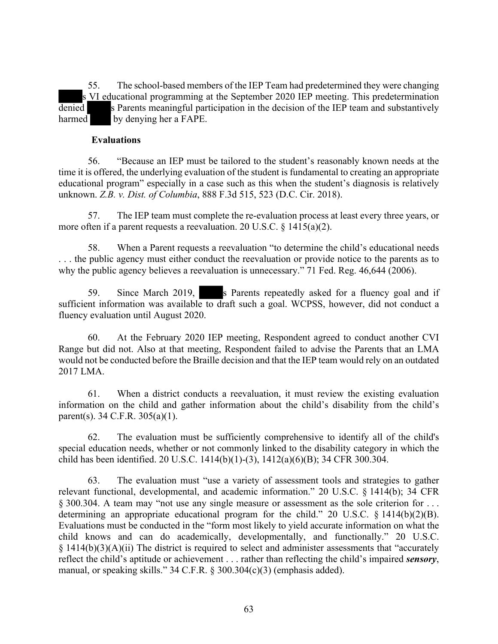55. The school-based members of the IEP Team had predetermined they were changing s VI educational programming at the September 2020 IEP meeting. This predetermination denied s Parents meaningful participation in the decision of the IEP team and substantively harmed by denying her a FAPE.

#### **Evaluations**

56. "Because an IEP must be tailored to the student's reasonably known needs at the time it is offered, the underlying evaluation of the student is fundamental to creating an appropriate educational program" especially in a case such as this when the student's diagnosis is relatively unknown. *Z.B. v. Dist. of Columbia*, 888 F.3d 515, 523 (D.C. Cir. 2018).

57. The IEP team must complete the re-evaluation process at least every three years, or more often if a parent requests a reevaluation. 20 U.S.C. § 1415(a)(2).

58. When a Parent requests a reevaluation "to determine the child's educational needs . . . the public agency must either conduct the reevaluation or provide notice to the parents as to why the public agency believes a reevaluation is unnecessary." 71 Fed. Reg. 46,644 (2006).

59. Since March 2019, s Parents repeatedly asked for a fluency goal and if sufficient information was available to draft such a goal. WCPSS, however, did not conduct a fluency evaluation until August 2020.

60. At the February 2020 IEP meeting, Respondent agreed to conduct another CVI Range but did not. Also at that meeting, Respondent failed to advise the Parents that an LMA would not be conducted before the Braille decision and that the IEP team would rely on an outdated 2017 LMA.

61. When a district conducts a reevaluation, it must review the existing evaluation information on the child and gather information about the child's disability from the child's parent(s). 34 C.F.R. 305(a)(1).

62. The evaluation must be sufficiently comprehensive to identify all of the child's special education needs, whether or not commonly linked to the disability category in which the child has been identified. 20 U.S.C. 1414(b)(1)-(3), 1412(a)(6)(B); 34 CFR 300.304.

63. The evaluation must "use a variety of assessment tools and strategies to gather relevant functional, developmental, and academic information." 20 U.S.C. § 1414(b); 34 CFR § 300.304. A team may "not use any single measure or assessment as the sole criterion for . . . determining an appropriate educational program for the child." 20 U.S.C. § 1414(b)(2)(B). Evaluations must be conducted in the "form most likely to yield accurate information on what the child knows and can do academically, developmentally, and functionally." 20 U.S.C.  $§$  1414(b)(3)(A)(ii) The district is required to select and administer assessments that "accurately reflect the child's aptitude or achievement . . . rather than reflecting the child's impaired *sensory*, manual, or speaking skills." 34 C.F.R. § 300.304(c)(3) (emphasis added).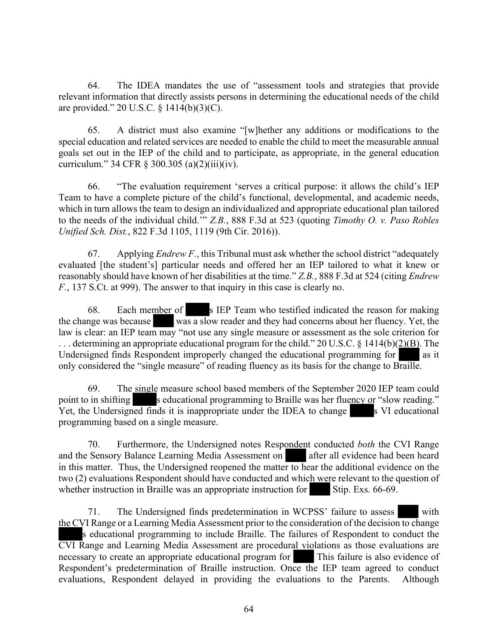64. The IDEA mandates the use of "assessment tools and strategies that provide relevant information that directly assists persons in determining the educational needs of the child are provided." 20 U.S.C. § 1414(b)(3)(C).

65. A district must also examine "[w]hether any additions or modifications to the special education and related services are needed to enable the child to meet the measurable annual goals set out in the IEP of the child and to participate, as appropriate, in the general education curriculum." 34 CFR § 300.305 (a)(2)(iii)(iv).

66. "The evaluation requirement 'serves a critical purpose: it allows the child's IEP Team to have a complete picture of the child's functional, developmental, and academic needs, which in turn allows the team to design an individualized and appropriate educational plan tailored to the needs of the individual child.'" *Z.B.*, 888 F.3d at 523 (quoting *Timothy O. v. Paso Robles Unified Sch. Dist.*, 822 F.3d 1105, 1119 (9th Cir. 2016)).

67. Applying *Endrew F.*, this Tribunal must ask whether the school district "adequately evaluated [the student's] particular needs and offered her an IEP tailored to what it knew or reasonably should have known of her disabilities at the time." *Z.B.*, 888 F.3d at 524 (citing *Endrew F.*, 137 S.Ct. at 999). The answer to that inquiry in this case is clearly no.

68. Each member of s IEP Team who testified indicated the reason for making the change was because was a slow reader and they had concerns about her fluency. Yet, the law is clear: an IEP team may "not use any single measure or assessment as the sole criterion for ... determining an appropriate educational program for the child." 20 U.S.C. § 1414(b)(2)(B). The Undersigned finds Respondent improperly changed the educational programming for as it only considered the "single measure" of reading fluency as its basis for the change to Braille.

69. The single measure school based members of the September 2020 IEP team could point to in shifting seducational programming to Braille was her fluency or "slow reading." Yet, the Undersigned finds it is inappropriate under the IDEA to change s VI educational programming based on a single measure.

70. Furthermore, the Undersigned notes Respondent conducted *both* the CVI Range and the Sensory Balance Learning Media Assessment on after all evidence had been heard in this matter. Thus, the Undersigned reopened the matter to hear the additional evidence on the two (2) evaluations Respondent should have conducted and which were relevant to the question of whether instruction in Braille was an appropriate instruction for Stip. Exs. 66-69.

71. The Undersigned finds predetermination in WCPSS' failure to assess with the CVI Range or a Learning Media Assessment prior to the consideration of the decision to change s educational programming to include Braille. The failures of Respondent to conduct the CVI Range and Learning Media Assessment are procedural violations as those evaluations are necessary to create an appropriate educational program for This failure is also evidence of Respondent's predetermination of Braille instruction. Once the IEP team agreed to conduct evaluations, Respondent delayed in providing the evaluations to the Parents. Although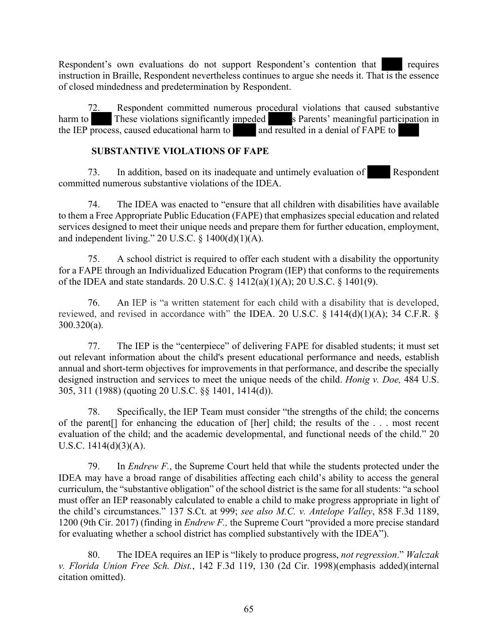Respondent's own evaluations do not support Respondent's contention that requires instruction in Braille, Respondent nevertheless continues to argue she needs it. That is the essence of closed mindedness and predetermination by Respondent.

72. Respondent committed numerous procedural violations that caused substantive harm to These violations significantly impeded s Parents' meaningful participation in the IEP process, caused educational harm to and resulted in a denial of FAPE to

# **SUBSTANTIVE VIOLATIONS OF FAPE**

73. In addition, based on its inadequate and untimely evaluation of Respondent committed numerous substantive violations of the IDEA.

74. The IDEA was enacted to "ensure that all children with disabilities have available to them a Free Appropriate Public Education (FAPE) that emphasizes special education and related services designed to meet their unique needs and prepare them for further education, employment, and independent living." 20 U.S.C.  $\S$  1400(d)(1)(A).

75. A school district is required to offer each student with a disability the opportunity for a FAPE through an Individualized Education Program (IEP) that conforms to the requirements of the IDEA and state standards. 20 U.S.C. § 1412(a)(1)(A); 20 U.S.C. § 1401(9).

76. An IEP is "a written statement for each child with a disability that is developed, reviewed, and revised in accordance with" the IDEA. 20 U.S.C.  $\S$  1414(d)(1)(A); 34 C.F.R.  $\S$ 300.320(a).

77. The IEP is the "centerpiece" of delivering FAPE for disabled students; it must set out relevant information about the child's present educational performance and needs, establish annual and short-term objectives for improvements in that performance, and describe the specially designed instruction and services to meet the unique needs of the child. *Honig v. Doe,* 484 U.S. 305, 311 (1988) (quoting 20 U.S.C. §§ 1401, 1414(d)).

78. Specifically, the IEP Team must consider "the strengths of the child; the concerns of the parent[] for enhancing the education of [her] child; the results of the . . . most recent evaluation of the child; and the academic developmental, and functional needs of the child." 20 U.S.C.  $1414(d)(3)(A)$ .

79. In *Endrew F.*, the Supreme Court held that while the students protected under the IDEA may have a broad range of disabilities affecting each child's ability to access the general curriculum, the "substantive obligation" of the school district is the same for all students: "a school must offer an IEP reasonably calculated to enable a child to make progress appropriate in light of the child's circumstances." 137 S.Ct. at 999; *see also M.C. v. Antelope Valley*, 858 F.3d 1189, 1200 (9th Cir. 2017) (finding in *Endrew F.,* the Supreme Court "provided a more precise standard for evaluating whether a school district has complied substantively with the IDEA").

80. The IDEA requires an IEP is "likely to produce progress, *not regression*." *Walczak v. Florida Union Free Sch. Dist.*, 142 F.3d 119, 130 (2d Cir. 1998)(emphasis added)(internal citation omitted).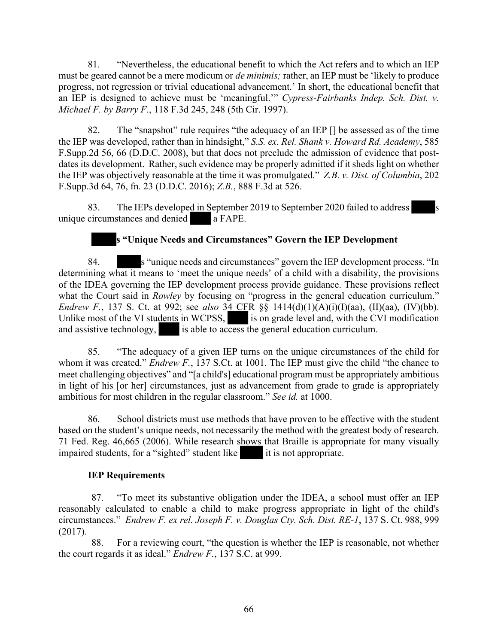81. "Nevertheless, the educational benefit to which the Act refers and to which an IEP must be geared cannot be a mere modicum or *de minimis;* rather, an IEP must be 'likely to produce progress, not regression or trivial educational advancement.' In short, the educational benefit that an IEP is designed to achieve must be 'meaningful.'" *Cypress-Fairbanks Indep. Sch. Dist. v. Michael F. by Barry F*., 118 F.3d 245, 248 (5th Cir. 1997).

82. The "snapshot" rule requires "the adequacy of an IEP [] be assessed as of the time the IEP was developed, rather than in hindsight," *S.S. ex. Rel. Shank v. Howard Rd. Academy*, 585 F.Supp.2d 56, 66 (D.D.C. 2008), but that does not preclude the admission of evidence that postdates its development. Rather, such evidence may be properly admitted if it sheds light on whether the IEP was objectively reasonable at the time it was promulgated." *Z.B. v. Dist. of Columbia*, 202 F.Supp.3d 64, 76, fn. 23 (D.D.C. 2016); *Z.B.*, 888 F.3d at 526.

83. The IEPs developed in September 2019 to September 2020 failed to address unique circumstances and denied a FAPE.

# **s "Unique Needs and Circumstances" Govern the IEP Development**

84. s "unique needs and circumstances" govern the IEP development process. "In determining what it means to 'meet the unique needs' of a child with a disability, the provisions of the IDEA governing the IEP development process provide guidance. These provisions reflect what the Court said in *Rowley* by focusing on "progress in the general education curriculum." *Endrew F.*, 137 S. Ct. at 992; see *also* 34 CFR §§ 1414(d)(1)(A)(i)(I)(aa), (II)(aa), (IV)(bb). Unlike most of the VI students in WCPSS, is on grade level and, with the CVI modification and assistive technology, is able to access the general education curriculum.

85. "The adequacy of a given IEP turns on the unique circumstances of the child for whom it was created." *Endrew F.*, 137 S.Ct. at 1001. The IEP must give the child "the chance to meet challenging objectives" and "[a child's] educational program must be appropriately ambitious in light of his [or her] circumstances, just as advancement from grade to grade is appropriately ambitious for most children in the regular classroom." *See id.* at 1000.

86. School districts must use methods that have proven to be effective with the student based on the student's unique needs, not necessarily the method with the greatest body of research. 71 Fed. Reg. 46,665 (2006). While research shows that Braille is appropriate for many visually impaired students, for a "sighted" student like it is not appropriate.

#### **IEP Requirements**

87. "To meet its substantive obligation under the IDEA, a school must offer an IEP reasonably calculated to enable a child to make progress appropriate in light of the child's circumstances." *Endrew F. ex rel. Joseph F. v. Douglas Cty. Sch. Dist. RE-1*, 137 S. Ct. 988, 999 (2017).

88. For a reviewing court, "the question is whether the IEP is reasonable, not whether the court regards it as ideal." *Endrew F.*, 137 S.C. at 999.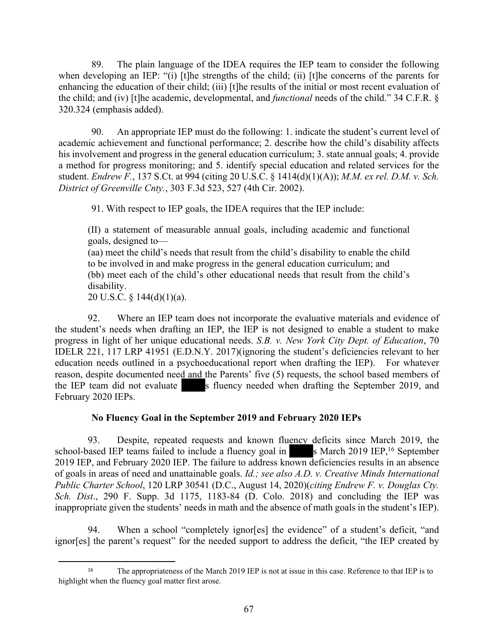89. The plain language of the IDEA requires the IEP team to consider the following when developing an IEP: "(i) [t]he strengths of the child; (ii) [t]he concerns of the parents for enhancing the education of their child; (iii) [t]he results of the initial or most recent evaluation of the child; and (iv) [t]he academic, developmental, and *functional* needs of the child." 34 C.F.R. § 320.324 (emphasis added).

90. An appropriate IEP must do the following: 1. indicate the student's current level of academic achievement and functional performance; 2. describe how the child's disability affects his involvement and progress in the general education curriculum; 3. state annual goals; 4. provide a method for progress monitoring; and 5. identify special education and related services for the student. *Endrew F.*, 137 S.Ct. at 994 (citing 20 U.S.C. § 1414(d)(1)(A)); *M.M. ex rel. D.M. v. Sch. District of Greenville Cnty.*, 303 F.3d 523, 527 (4th Cir. 2002).

91. With respect to IEP goals, the IDEA requires that the IEP include:

(II) a statement of measurable annual goals, including academic and functional goals, designed to—

(aa) meet the child's needs that result from the child's disability to enable the child to be involved in and make progress in the general education curriculum; and (bb) meet each of the child's other educational needs that result from the child's disability.

20 U.S.C. §  $144(d)(1)(a)$ .

92. Where an IEP team does not incorporate the evaluative materials and evidence of the student's needs when drafting an IEP, the IEP is not designed to enable a student to make progress in light of her unique educational needs. *S.B. v. New York City Dept. of Education*, 70 IDELR 221, 117 LRP 41951 (E.D.N.Y. 2017)(ignoring the student's deficiencies relevant to her education needs outlined in a psychoeducational report when drafting the IEP). For whatever reason, despite documented need and the Parents' five (5) requests, the school based members of the IEP team did not evaluate s fluency needed when drafting the September 2019, and February 2020 IEPs.

# **No Fluency Goal in the September 2019 and February 2020 IEPs**

93. Despite, repeated requests and known fluency deficits since March 2019, the school-based IEP teams failed to include a fluency goal in  $\blacksquare$  s March 2019 IEP,<sup>16</sup> September 2019 IEP, and February 2020 IEP. The failure to address known deficiencies results in an absence of goals in areas of need and unattainable goals. *Id.; see also A.D. v. Creative Minds International Public Charter School*, 120 LRP 30541 (D.C., August 14, 2020)(*citing Endrew F. v. Douglas Cty. Sch. Dist*., 290 F. Supp. 3d 1175, 1183-84 (D. Colo. 2018) and concluding the IEP was inappropriate given the students' needs in math and the absence of math goals in the student's IEP).

94. When a school "completely ignor[es] the evidence" of a student's deficit, "and ignor[es] the parent's request" for the needed support to address the deficit, "the IEP created by

<sup>&</sup>lt;sup>16</sup> The appropriateness of the March 2019 IEP is not at issue in this case. Reference to that IEP is to highlight when the fluency goal matter first arose.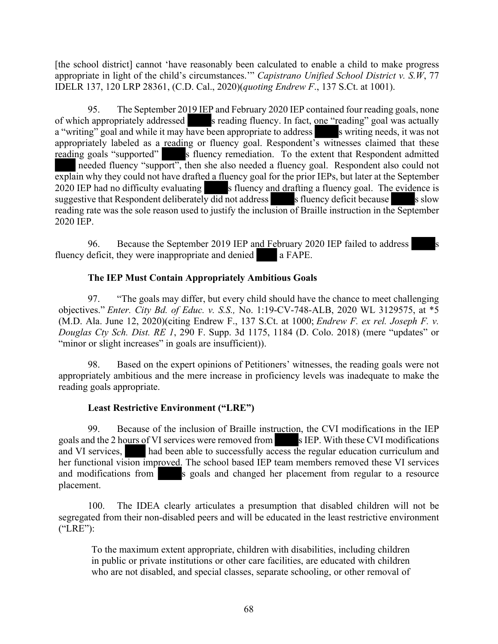[the school district] cannot 'have reasonably been calculated to enable a child to make progress appropriate in light of the child's circumstances.'" *Capistrano Unified School District v. S.W*, 77 IDELR 137, 120 LRP 28361, (C.D. Cal., 2020)(*quoting Endrew F*., 137 S.Ct. at 1001).

95. The September 2019 IEP and February 2020 IEP contained four reading goals, none of which appropriately addressed s reading fluency. In fact, one "reading" goal was actually a "writing" goal and while it may have been appropriate to address soluting needs, it was not appropriately labeled as a reading or fluency goal. Respondent's witnesses claimed that these reading goals "supported" s fluency remediation. To the extent that Respondent admitted needed fluency "support", then she also needed a fluency goal. Respondent also could not explain why they could not have drafted a fluency goal for the prior IEPs, but later at the September 2020 IEP had no difficulty evaluating s fluency and drafting a fluency goal. The evidence is suggestive that Respondent deliberately  $\frac{d}{d}$  not address s fluency deficit because s slow reading rate was the sole reason used to justify the inclusion of Braille instruction in the September 2020 IEP.

96. Because the September 2019 IEP and February 2020 IEP failed to address fluency deficit, they were inappropriate and denied a FAPE.

## **The IEP Must Contain Appropriately Ambitious Goals**

97. "The goals may differ, but every child should have the chance to meet challenging objectives." *Enter. City Bd. of Educ. v. S.S.,* No. 1:19-CV-748-ALB, 2020 WL 3129575, at \*5 (M.D. Ala. June 12, 2020)(citing Endrew F., 137 S.Ct. at 1000; *Endrew F. ex rel. Joseph F. v. Douglas Cty Sch. Dist. RE 1*, 290 F. Supp. 3d 1175, 1184 (D. Colo. 2018) (mere "updates" or "minor or slight increases" in goals are insufficient)).

98. Based on the expert opinions of Petitioners' witnesses, the reading goals were not appropriately ambitious and the mere increase in proficiency levels was inadequate to make the reading goals appropriate.

#### **Least Restrictive Environment ("LRE")**

99. Because of the inclusion of Braille instruction, the CVI modifications in the IEP goals and the 2 hours of VI services were removed from s IEP. With these CVI modifications and VI services, had been able to successfully access the regular education curriculum and her functional vision improved. The school based IEP team members removed these VI services and modifications from s goals and changed her placement from regular to a resource placement.

100. The IDEA clearly articulates a presumption that disabled children will not be segregated from their non-disabled peers and will be educated in the least restrictive environment ("LRE"):

To the maximum extent appropriate, children with disabilities, including children in public or private institutions or other care facilities, are educated with children who are not disabled, and special classes, separate schooling, or other removal of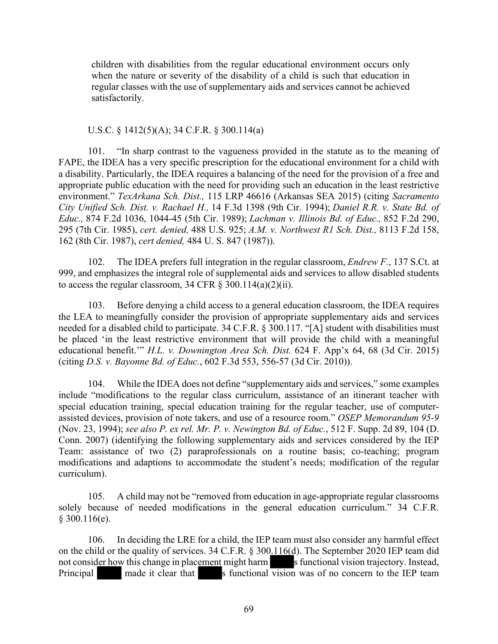children with disabilities from the regular educational environment occurs only when the nature or severity of the disability of a child is such that education in regular classes with the use of supplementary aids and services cannot be achieved satisfactorily.

#### U.S.C. § 1412(5)(A); 34 C.F.R. § 300.114(a)

101. "In sharp contrast to the vagueness provided in the statute as to the meaning of FAPE, the IDEA has a very specific prescription for the educational environment for a child with a disability. Particularly, the IDEA requires a balancing of the need for the provision of a free and appropriate public education with the need for providing such an education in the least restrictive environment." *TexArkana Sch. Dist.,* 115 LRP 46616 (Arkansas SEA 2015) (citing *Sacramento City Unified Sch. Dist. v. Rachael H.,* 14 F.3d 1398 (9th Cir. 1994); *Daniel R.R. v. State Bd. of Educ.,* 874 F.2d 1036, 1044-45 (5th Cir. 1989); *Lachman v. Illinois Bd. of Educ.,* 852 F.2d 290, 295 (7th Cir. 1985), *cert. denied,* 488 U.S. 925; *A.M. v. Northwest R1 Sch. Dist.,* 8113 F.2d 158, 162 (8th Cir. 1987), *cert denied,* 484 U. S. 847 (1987)).

102. The IDEA prefers full integration in the regular classroom, *Endrew F.*, 137 S.Ct. at 999, and emphasizes the integral role of supplemental aids and services to allow disabled students to access the regular classroom, 34 CFR  $\S$  300.114(a)(2)(ii).

103. Before denying a child access to a general education classroom, the IDEA requires the LEA to meaningfully consider the provision of appropriate supplementary aids and services needed for a disabled child to participate. 34 C.F.R. § 300.117. "[A] student with disabilities must be placed 'in the least restrictive environment that will provide the child with a meaningful educational benefit.'" *H.L. v. Downington Area Sch. Dist.* 624 F. App'x 64, 68 (3d Cir. 2015) (citing *D.S. v. Bayonne Bd. of Educ.*, 602 F.3d 553, 556-57 (3d Cir. 2010)).

104. While the IDEA does not define "supplementary aids and services," some examples include "modifications to the regular class curriculum, assistance of an itinerant teacher with special education training, special education training for the regular teacher, use of computerassisted devices, provision of note takers, and use of a resource room." *OSEP Memorandum 95-9*  (Nov. 23, 1994); *see also P. ex rel. Mr. P. v. Newington Bd. of Educ.*, 512 F. Supp. 2d 89, 104 (D. Conn. 2007) (identifying the following supplementary aids and services considered by the IEP Team: assistance of two (2) paraprofessionals on a routine basis; co-teaching; program modifications and adaptions to accommodate the student's needs; modification of the regular curriculum).

105. A child may not be "removed from education in age-appropriate regular classrooms solely because of needed modifications in the general education curriculum." 34 C.F.R.  $§$  300.116(e).

106. In deciding the LRE for a child, the IEP team must also consider any harmful effect on the child or the quality of services. 34 C.F.R. § 300.116(d). The September 2020 IEP team did not consider how this change in placement might harm s functional vision trajectory. Instead,<br>Principal made it clear that s functional vision was of no concern to the IEP team Principal made it clear that s functional vision was of no concern to the IEP team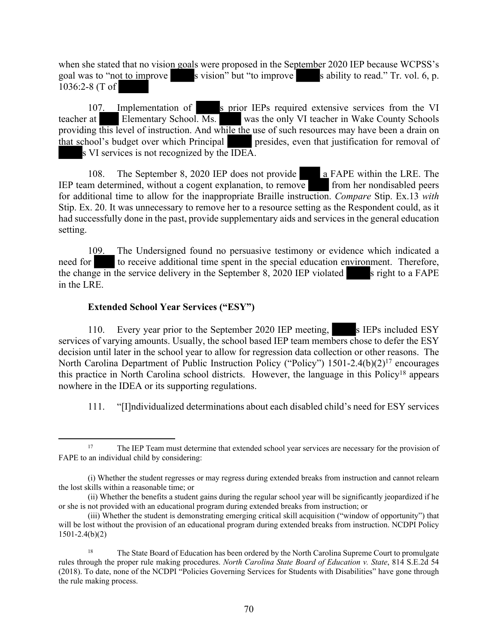when she stated that no vision goals were proposed in the September 2020 IEP because WCPSS's goal was to "not to improve s vision" but "to improve s ability to read." Tr. vol. 6, p. 1036:2-8 (T of

107. Implementation of s prior IEPs required extensive services from the VI teacher at Elementary School. Ms. was the only VI teacher in Wake County Schools providing this level of instruction. And while the use of such resources may have been a drain on that school's budget over which Principal presides, even that justification for removal of s VI services is not recognized by the IDEA.

108. The September 8, 2020 IEP does not provide **a** FAPE within the LRE. The IEP team determined, without a cogent explanation, to remove from her nondisabled peers for additional time to allow for the inappropriate Braille instruction. *Compare* Stip. Ex.13 *with*  Stip. Ex. 20. It was unnecessary to remove her to a resource setting as the Respondent could, as it had successfully done in the past, provide supplementary aids and services in the general education setting.

109. The Undersigned found no persuasive testimony or evidence which indicated a need for to receive additional time spent in the special education environment. Therefore, the change in the service delivery in the September 8, 2020 IEP violated s right to a FAPE in the LRE.

## **Extended School Year Services ("ESY")**

110. Every year prior to the September 2020 IEP meeting, s IEPs included ESY services of varying amounts. Usually, the school based IEP team members chose to defer the ESY decision until later in the school year to allow for regression data collection or other reasons. The North Carolina Department of Public Instruction Policy ("Policy") 1501-2.4(b)(2)<sup>17</sup> encourages this practice in North Carolina school districts. However, the language in this Policy<sup>18</sup> appears nowhere in the IDEA or its supporting regulations.

111. "[I]ndividualized determinations about each disabled child's need for ESY services

<sup>&</sup>lt;sup>17</sup> The IEP Team must determine that extended school year services are necessary for the provision of FAPE to an individual child by considering:

<sup>(</sup>i) Whether the student regresses or may regress during extended breaks from instruction and cannot relearn the lost skills within a reasonable time; or

<sup>(</sup>ii) Whether the benefits a student gains during the regular school year will be significantly jeopardized if he or she is not provided with an educational program during extended breaks from instruction; or

<sup>(</sup>iii) Whether the student is demonstrating emerging critical skill acquisition ("window of opportunity") that will be lost without the provision of an educational program during extended breaks from instruction. NCDPI Policy 1501-2.4(b)(2)

<sup>&</sup>lt;sup>18</sup> The State Board of Education has been ordered by the North Carolina Supreme Court to promulgate rules through the proper rule making procedures. *North Carolina State Board of Education v. State*, 814 S.E.2d 54 (2018). To date, none of the NCDPI "Policies Governing Services for Students with Disabilities" have gone through the rule making process.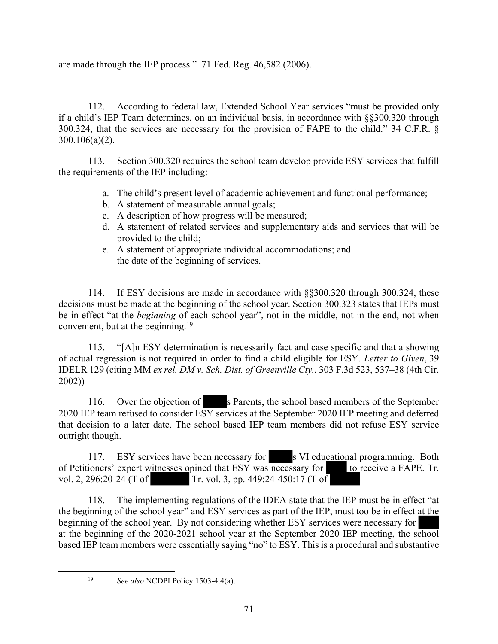are made through the IEP process." 71 Fed. Reg. 46,582 (2006).

112. According to federal law, Extended School Year services "must be provided only if a child's IEP Team determines, on an individual basis, in accordance with §§300.320 through 300.324, that the services are necessary for the provision of FAPE to the child." 34 C.F.R. § 300.106(a)(2).

113. Section 300.320 requires the school team develop provide ESY services that fulfill the requirements of the IEP including:

- a. The child's present level of academic achievement and functional performance;
- b. A statement of measurable annual goals;
- c. A description of how progress will be measured;
- d. A statement of related services and supplementary aids and services that will be provided to the child;
- e. A statement of appropriate individual accommodations; and the date of the beginning of services.

114. If ESY decisions are made in accordance with §§300.320 through 300.324, these decisions must be made at the beginning of the school year. Section 300.323 states that IEPs must be in effect "at the *beginning* of each school year", not in the middle, not in the end, not when convenient, but at the beginning.<sup>19</sup>

115. "[A]n ESY determination is necessarily fact and case specific and that a showing of actual regression is not required in order to find a child eligible for ESY. *Letter to Given*, 39 IDELR 129 (citing MM *ex rel. DM v. Sch. Dist. of Greenville Cty.*, 303 F.3d 523, 537–38 (4th Cir. 2002))

116. Over the objection of s Parents, the school based members of the September 2020 IEP team refused to consider ESY services at the September 2020 IEP meeting and deferred that decision to a later date. The school based IEP team members did not refuse ESY service outright though.

117. ESY services have been necessary for s VI educational programming. Both of Petitioners' expert witnesses opined that ESY was necessary for to receive a FAPE. Tr. vol. 2, 296:20-24 (T of Tr. vol. 3, pp. 449:24-450:17 (T of

118. The implementing regulations of the IDEA state that the IEP must be in effect "at the beginning of the school year" and ESY services as part of the IEP, must too be in effect at the beginning of the school year. By not considering whether ESY services were necessary for at the beginning of the 2020-2021 school year at the September 2020 IEP meeting, the school based IEP team members were essentially saying "no" to ESY. This is a procedural and substantive

<sup>19</sup> *See also* NCDPI Policy 1503-4.4(a).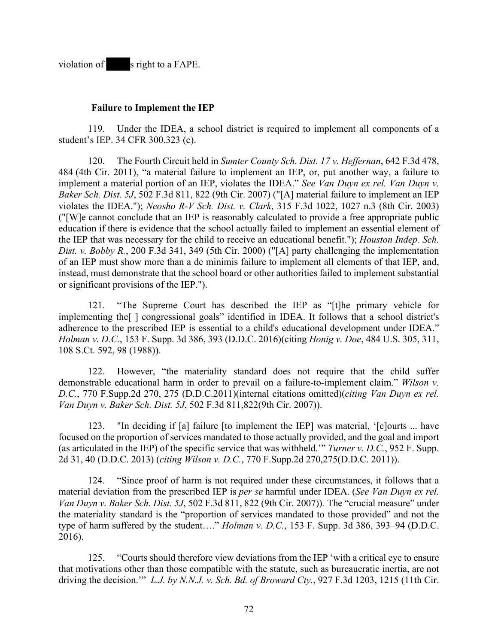violation of s right to a FAPE.

#### **Failure to Implement the IEP**

119. Under the IDEA, a school district is required to implement all components of a student's IEP. 34 CFR 300.323 (c).

120. The Fourth Circuit held in *Sumter County Sch. Dist. 17 v. Heffernan*, 642 F.3d 478, 484 (4th Cir. 2011), "a material failure to implement an IEP, or, put another way, a failure to implement a material portion of an IEP, violates the IDEA." *See Van Duyn ex rel. Van Duyn v. Baker Sch. Dist. 5J*, 502 F.3d 811, 822 (9th Cir. 2007) ("[A] material failure to implement an IEP violates the IDEA."); *Neosho R-V Sch. Dist. v. Clark*, 315 F.3d 1022, 1027 n.3 (8th Cir. 2003) ("[W]e cannot conclude that an IEP is reasonably calculated to provide a free appropriate public education if there is evidence that the school actually failed to implement an essential element of the IEP that was necessary for the child to receive an educational benefit."); *Houston Indep. Sch. Dist. v. Bobby R.*, 200 F.3d 341, 349 (5th Cir. 2000) ("[A] party challenging the implementation of an IEP must show more than a de minimis failure to implement all elements of that IEP, and, instead, must demonstrate that the school board or other authorities failed to implement substantial or significant provisions of the IEP.").

121. "The Supreme Court has described the IEP as "[t]he primary vehicle for implementing the[ ] congressional goals" identified in IDEA. It follows that a school district's adherence to the prescribed IEP is essential to a child's educational development under IDEA." *Holman v. D.C.*, 153 F. Supp. 3d 386, 393 (D.D.C. 2016)(citing *Honig v. Doe*, 484 U.S. 305, 311, 108 S.Ct. 592, 98 (1988)).

122. However, "the materiality standard does not require that the child suffer demonstrable educational harm in order to prevail on a failure-to-implement claim." *Wilson v. D.C.*, 770 F.Supp.2d 270, 275 (D.D.C.2011)(internal citations omitted)(*citing Van Duyn ex rel. Van Duyn v. Baker Sch. Dist. 5J*, 502 F.3d 811,822(9th Cir. 2007)).

123. "In deciding if [a] failure [to implement the IEP] was material, '[c]ourts ... have focused on the proportion of services mandated to those actually provided, and the goal and import (as articulated in the IEP) of the specific service that was withheld.'" *Turner v. D.C.*, 952 F. Supp. 2d 31, 40 (D.D.C. 2013) (*citing Wilson v. D.C.*, 770 F.Supp.2d 270,275(D.D.C. 2011)).

124. "Since proof of harm is not required under these circumstances, it follows that a material deviation from the prescribed IEP is *per se* harmful under IDEA. (*See Van Duyn ex rel. Van Duyn v. Baker Sch. Dist. 5J*, 502 F.3d 811, 822 (9th Cir. 2007))*.* The "crucial measure" under the materiality standard is the "proportion of services mandated to those provided" and not the type of harm suffered by the student…." *Holman v. D.C.*, 153 F. Supp. 3d 386, 393–94 (D.D.C. 2016).

125. "Courts should therefore view deviations from the IEP 'with a critical eye to ensure that motivations other than those compatible with the statute, such as bureaucratic inertia, are not driving the decision.'" *L.J. by N.N.J. v. Sch. Bd. of Broward Cty.*, 927 F.3d 1203, 1215 (11th Cir.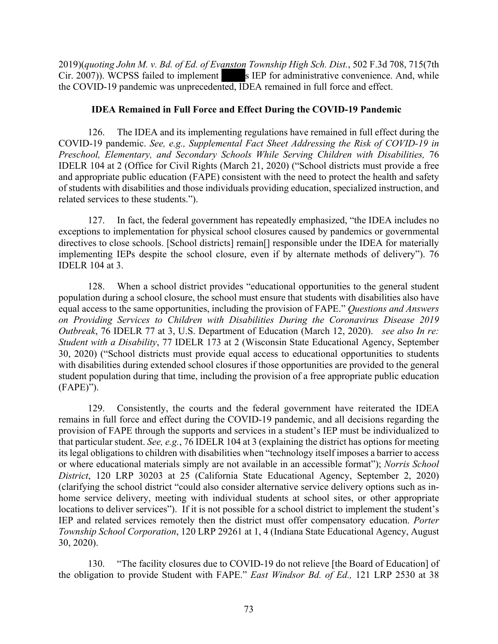2019)(*quoting John M. v. Bd. of Ed. of Evanston Township High Sch. Dist.*, 502 F.3d 708, 715(7th  $Cir. 2007$ )). WCPSS failed to implement s IEP for administrative convenience. And, while the COVID-19 pandemic was unprecedented, IDEA remained in full force and effect.

#### **IDEA Remained in Full Force and Effect During the COVID-19 Pandemic**

126. The IDEA and its implementing regulations have remained in full effect during the COVID-19 pandemic. *See, e.g., Supplemental Fact Sheet Addressing the Risk of COVID-19 in Preschool, Elementary, and Secondary Schools While Serving Children with Disabilities,* 76 IDELR 104 at 2 (Office for Civil Rights (March 21, 2020) ("School districts must provide a free and appropriate public education (FAPE) consistent with the need to protect the health and safety of students with disabilities and those individuals providing education, specialized instruction, and related services to these students.").

127. In fact, the federal government has repeatedly emphasized, "the IDEA includes no exceptions to implementation for physical school closures caused by pandemics or governmental directives to close schools. [School districts] remain[] responsible under the IDEA for materially implementing IEPs despite the school closure, even if by alternate methods of delivery"). 76 IDELR 104 at 3.

128. When a school district provides "educational opportunities to the general student population during a school closure, the school must ensure that students with disabilities also have equal access to the same opportunities, including the provision of FAPE." *Questions and Answers on Providing Services to Children with Disabilities During the Coronavirus Disease 2019 Outbreak*, 76 IDELR 77 at 3, U.S. Department of Education (March 12, 2020). *see also In re: Student with a Disability*, 77 IDELR 173 at 2 (Wisconsin State Educational Agency, September 30, 2020) ("School districts must provide equal access to educational opportunities to students with disabilities during extended school closures if those opportunities are provided to the general student population during that time, including the provision of a free appropriate public education (FAPE)").

129. Consistently, the courts and the federal government have reiterated the IDEA remains in full force and effect during the COVID-19 pandemic, and all decisions regarding the provision of FAPE through the supports and services in a student's IEP must be individualized to that particular student. *See, e.g.*, 76 IDELR 104 at 3 (explaining the district has options for meeting its legal obligations to children with disabilities when "technology itself imposes a barrier to access or where educational materials simply are not available in an accessible format"); *Norris School District*, 120 LRP 30203 at 25 (California State Educational Agency, September 2, 2020) (clarifying the school district "could also consider alternative service delivery options such as inhome service delivery, meeting with individual students at school sites, or other appropriate locations to deliver services"). If it is not possible for a school district to implement the student's IEP and related services remotely then the district must offer compensatory education. *Porter Township School Corporation*, 120 LRP 29261 at 1, 4 (Indiana State Educational Agency, August 30, 2020).

130. "The facility closures due to COVID-19 do not relieve [the Board of Education] of the obligation to provide Student with FAPE." *East Windsor Bd. of Ed.,* 121 LRP 2530 at 38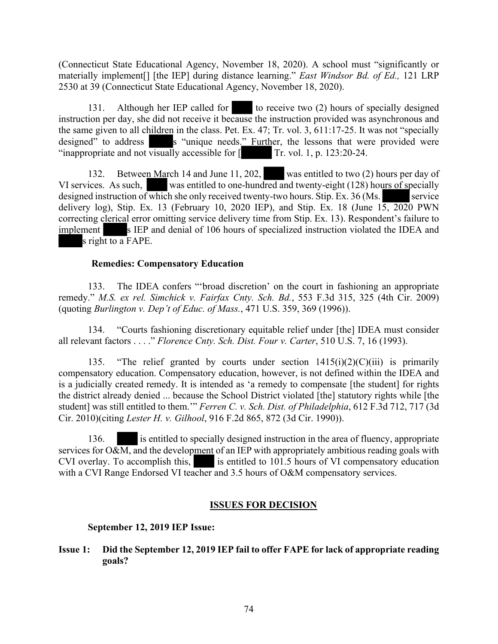(Connecticut State Educational Agency, November 18, 2020). A school must "significantly or materially implement[] [the IEP] during distance learning." *East Windsor Bd. of Ed.,* 121 LRP 2530 at 39 (Connecticut State Educational Agency, November 18, 2020).

131. Although her IEP called for to receive two (2) hours of specially designed instruction per day, she did not receive it because the instruction provided was asynchronous and the same given to all children in the class. Pet. Ex. 47; Tr. vol. 3, 611:17-25. It was not "specially designed" to address s "unique needs." Further, the lessons that were provided were "inappropriate and not visually accessible for  $\llbracket$  Tr. vol. 1, p. 123:20-24.

132. Between March 14 and June 11, 202, was entitled to two (2) hours per day of VI services. As such, was entitled to one-hundred and twenty-eight (128) hours of specially designed instruction of which she only received twenty-two hours. Stip. Ex.  $36$  (Ms. service delivery log), Stip. Ex. 13 (February 10, 2020 IEP), and Stip. Ex. 18 (June  $15$ , 2020 PWN correcting clerical error omitting service delivery time from Stip. Ex. 13). Respondent's failure to implement s IEP and denial of 106 hours of specialized instruction violated the IDEA and s right to a FAPE.

#### **Remedies: Compensatory Education**

133. The IDEA confers "'broad discretion' on the court in fashioning an appropriate remedy." *M.S. ex rel. Simchick v. Fairfax Cnty. Sch. Bd.*, 553 F.3d 315, 325 (4th Cir. 2009) (quoting *Burlington v. Dep't of Educ. of Mass.*, 471 U.S. 359, 369 (1996)).

134. "Courts fashioning discretionary equitable relief under [the] IDEA must consider all relevant factors . . . ." *Florence Cnty. Sch. Dist. Four v. Carter*, 510 U.S. 7, 16 (1993).

135. "The relief granted by courts under section  $1415(i)(2)(C)(iii)$  is primarily compensatory education. Compensatory education, however, is not defined within the IDEA and is a judicially created remedy. It is intended as 'a remedy to compensate [the student] for rights the district already denied ... because the School District violated [the] statutory rights while [the student] was still entitled to them.'" *Ferren C. v. Sch. Dist. of Philadelphia*, 612 F.3d 712, 717 (3d Cir. 2010)(citing *Lester H. v. Gilhool*, 916 F.2d 865, 872 (3d Cir. 1990)).

136. is entitled to specially designed instruction in the area of fluency, appropriate services for  $O&M$ , and the development of an IEP with appropriately ambitious reading goals with CVI overlay. To accomplish this,  $\cdot$  is entitled to 101.5 hours of VI compensatory education with a CVI Range Endorsed VI teacher and 3.5 hours of O&M compensatory services.

#### **ISSUES FOR DECISION**

#### **September 12, 2019 IEP Issue:**

**Issue 1: Did the September 12, 2019 IEP fail to offer FAPE for lack of appropriate reading goals?**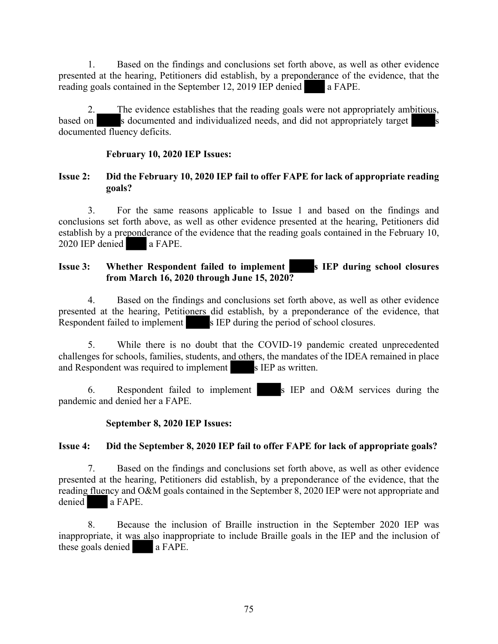1. Based on the findings and conclusions set forth above, as well as other evidence presented at the hearing, Petitioners did establish, by a preponderance of the evidence, that the reading goals contained in the September 12, 2019 IEP denied a FAPE.

2. The evidence establishes that the reading goals were not appropriately ambitious, based on s documented and individualized needs, and did not appropriately target documented fluency deficits.

#### **February 10, 2020 IEP Issues:**

#### **Issue 2: Did the February 10, 2020 IEP fail to offer FAPE for lack of appropriate reading goals?**

3. For the same reasons applicable to Issue 1 and based on the findings and conclusions set forth above, as well as other evidence presented at the hearing, Petitioners did establish by a preponderance of the evidence that the reading goals contained in the February 10, 2020 IEP denied a FAPE.

# **Issue 3:** Whether Respondent failed to implement s IEP during school closures **from March 16, 2020 through June 15, 2020?**

4. Based on the findings and conclusions set forth above, as well as other evidence presented at the hearing, Petitioners did establish, by a preponderance of the evidence, that Respondent failed to implement s IEP during the period of school closures.

5. While there is no doubt that the COVID-19 pandemic created unprecedented challenges for schools, families, students, and others, the mandates of the IDEA remained in place and Respondent was required to implement s IEP as written.

6. Respondent failed to implement s IEP and O&M services during the pandemic and denied her a FAPE.

#### **September 8, 2020 IEP Issues:**

## **Issue 4: Did the September 8, 2020 IEP fail to offer FAPE for lack of appropriate goals?**

7. Based on the findings and conclusions set forth above, as well as other evidence presented at the hearing, Petitioners did establish, by a preponderance of the evidence, that the reading fluency and O&M goals contained in the September 8, 2020 IEP were not appropriate and denied a FAPE.

8. Because the inclusion of Braille instruction in the September 2020 IEP was inappropriate, it was also inappropriate to include Braille goals in the IEP and the inclusion of these goals denied a FAPE.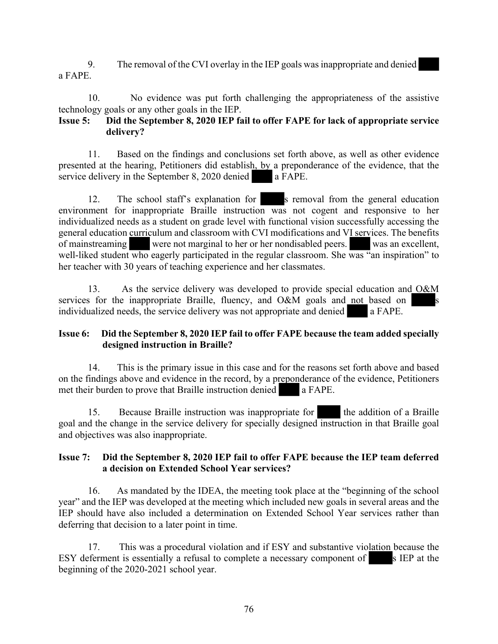9. The removal of the CVI overlay in the IEP goals wasinappropriate and denied a FAPE.

10. No evidence was put forth challenging the appropriateness of the assistive technology goals or any other goals in the IEP.

## **Issue 5: Did the September 8, 2020 IEP fail to offer FAPE for lack of appropriate service delivery?**

11. Based on the findings and conclusions set forth above, as well as other evidence presented at the hearing, Petitioners did establish, by a preponderance of the evidence, that the service delivery in the September 8, 2020 denied **a** FAPE.

12. The school staff's explanation for s removal from the general education environment for inappropriate Braille instruction was not cogent and responsive to her individualized needs as a student on grade level with functional vision successfully accessing the general education curriculum and classroom with CVI modifications and VI services. The benefits of mainstreaming were not marginal to her or her nondisabled peers. was an excellent, well-liked student who eagerly participated in the regular classroom. She was "an inspiration" to her teacher with 30 years of teaching experience and her classmates.

13. As the service delivery was developed to provide special education and O&M services for the inappropriate Braille, fluency, and O&M goals and not based on individualized needs, the service delivery was not appropriate and denied a FAPE.

## **Issue 6: Did the September 8, 2020 IEP fail to offer FAPE because the team added specially designed instruction in Braille?**

14. This is the primary issue in this case and for the reasons set forth above and based on the findings above and evidence in the record, by a preponderance of the evidence, Petitioners met their burden to prove that Braille instruction denied a FAPE.

15. Because Braille instruction was inappropriate for the addition of a Braille goal and the change in the service delivery for specially designed instruction in that Braille goal and objectives was also inappropriate.

## **Issue 7: Did the September 8, 2020 IEP fail to offer FAPE because the IEP team deferred a decision on Extended School Year services?**

16. As mandated by the IDEA, the meeting took place at the "beginning of the school year" and the IEP was developed at the meeting which included new goals in several areas and the IEP should have also included a determination on Extended School Year services rather than deferring that decision to a later point in time.

17.This was a procedural violation and if ESY and substantive violation because the ESY deferment is essentially a refusal to complete a necessary component of s IEP at the beginning of the 2020-2021 school year.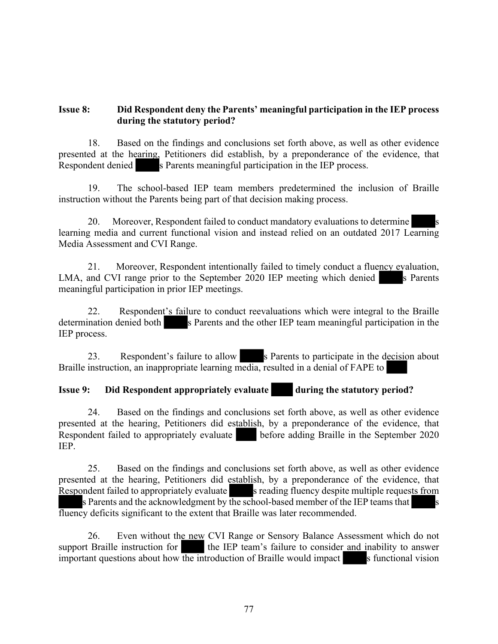#### **Issue 8: Did Respondent deny the Parents' meaningful participation in the IEP process during the statutory period?**

18. Based on the findings and conclusions set forth above, as well as other evidence presented at the hearing, Petitioners did establish, by a preponderance of the evidence, that Respondent denied s Parents meaningful participation in the IEP process.

19. The school-based IEP team members predetermined the inclusion of Braille instruction without the Parents being part of that decision making process.

20. Moreover, Respondent failed to conduct mandatory evaluations to determine learning media and current functional vision and instead relied on an outdated 2017 Learning Media Assessment and CVI Range.

21. Moreover, Respondent intentionally failed to timely conduct a fluency evaluation, LMA, and CVI range prior to the September 2020 IEP meeting which denied s Parents meaningful participation in prior IEP meetings.

22. Respondent's failure to conduct reevaluations which were integral to the Braille determination denied both s Parents and the other IEP team meaningful participation in the IEP process.

23. Respondent's failure to allow s Parents to participate in the decision about Braille instruction, an inappropriate learning media, resulted in a denial of FAPE to

# **Issue 9:** Did Respondent appropriately evaluate during the statutory period?

24. Based on the findings and conclusions set forth above, as well as other evidence presented at the hearing, Petitioners did establish, by a preponderance of the evidence, that Respondent failed to appropriately evaluate before adding Braille in the September 2020 IEP.

25. Based on the findings and conclusions set forth above, as well as other evidence presented at the hearing, Petitioners did establish, by a preponderance of the evidence, that Respondent failed to appropriately evaluate s reading fluency despite multiple requests from

s Parents and the acknowledgment by the school-based member of the IEP teams that  $\overline{\phantom{a}}$  s fluency deficits significant to the extent that Braille was later recommended.

26. Even without the new CVI Range or Sensory Balance Assessment which do not support Braille instruction for the IEP team's failure to consider and inability to answer important questions about how the introduction of Braille would impact  $\overline{\phantom{a}}$  s functional vision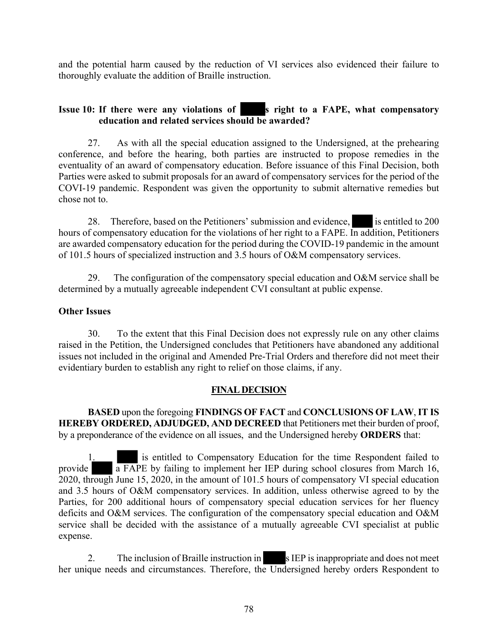and the potential harm caused by the reduction of VI services also evidenced their failure to thoroughly evaluate the addition of Braille instruction.

# **Issue 10: If there were any violations of set in set of FAPE, what compensatory education and related services should be awarded?**

27. As with all the special education assigned to the Undersigned, at the prehearing conference, and before the hearing, both parties are instructed to propose remedies in the eventuality of an award of compensatory education. Before issuance of this Final Decision, both Parties were asked to submit proposals for an award of compensatory services for the period of the COVI-19 pandemic. Respondent was given the opportunity to submit alternative remedies but chose not to.

28. Therefore, based on the Petitioners' submission and evidence, is entitled to 200 hours of compensatory education for the violations of her right to a FAPE. In addition, Petitioners are awarded compensatory education for the period during the COVID-19 pandemic in the amount of 101.5 hours of specialized instruction and 3.5 hours of O&M compensatory services.

29. The configuration of the compensatory special education and O&M service shall be determined by a mutually agreeable independent CVI consultant at public expense.

## **Other Issues**

30. To the extent that this Final Decision does not expressly rule on any other claims raised in the Petition, the Undersigned concludes that Petitioners have abandoned any additional issues not included in the original and Amended Pre-Trial Orders and therefore did not meet their evidentiary burden to establish any right to relief on those claims, if any.

## **FINAL DECISION**

**BASED** upon the foregoing **FINDINGS OF FACT** and **CONCLUSIONS OF LAW**, **IT IS HEREBY ORDERED, ADJUDGED, AND DECREED** that Petitioners met their burden of proof, by a preponderance of the evidence on all issues, and the Undersigned hereby **ORDERS** that:

1. is entitled to Compensatory Education for the time Respondent failed to provide a FAPE by failing to implement her IEP during school closures from March 16, 2020, through June 15, 2020, in the amount of 101.5 hours of compensatory VI special education and 3.5 hours of O&M compensatory services. In addition, unless otherwise agreed to by the Parties, for 200 additional hours of compensatory special education services for her fluency deficits and O&M services. The configuration of the compensatory special education and O&M service shall be decided with the assistance of a mutually agreeable CVI specialist at public expense.

2. The inclusion of Braille instruction in s IEP is inappropriate and does not meet her unique needs and circumstances. Therefore, the Undersigned hereby orders Respondent to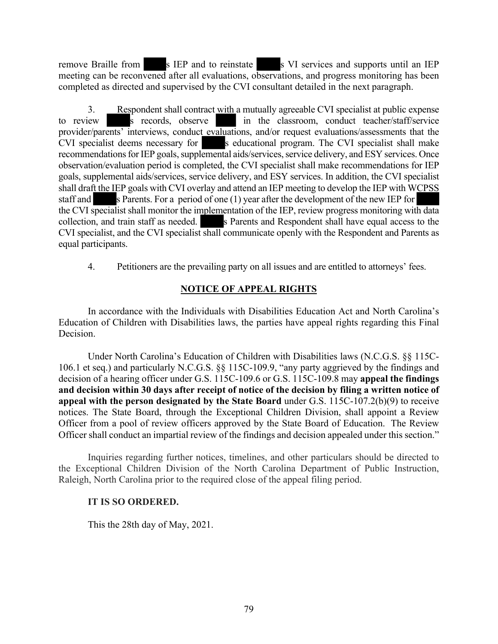remove Braille from s IEP and to reinstate s VI services and supports until an IEP meeting can be reconvened after all evaluations, observations, and progress monitoring has been completed as directed and supervised by the CVI consultant detailed in the next paragraph.

3. Respondent shall contract with a mutually agreeable CVI specialist at public expense to review s records, observe in the classroom, conduct teacher/staff/service provider/parents' interviews, conduct evaluations, and/or request evaluations/assessments that the CVI specialist deems necessary for s educational program. The CVI specialist shall make recommendations for IEP goals, supplemental aids/services, service delivery, and ESY services. Once observation/evaluation period is completed, the CVI specialist shall make recommendations for IEP goals, supplemental aids/services, service delivery, and ESY services. In addition, the CVI specialist shall draft the IEP goals with CVI overlay and attend an IEP meeting to develop the IEP with WCPSS staff and s Parents. For a period of one  $(1)$  year after the development of the new IEP for the CVI specialist shall monitor the implementation of the IEP, review progress monitoring with data collection, and train staff as needed. s Parents and Respondent shall have equal access to the CVI specialist, and the CVI specialist shall communicate openly with the Respondent and Parents as equal participants.

4. Petitioners are the prevailing party on all issues and are entitled to attorneys' fees.

# **NOTICE OF APPEAL RIGHTS**

In accordance with the Individuals with Disabilities Education Act and North Carolina's Education of Children with Disabilities laws, the parties have appeal rights regarding this Final Decision.

Under North Carolina's Education of Children with Disabilities laws (N.C.G.S. §§ 115C-106.1 et seq.) and particularly N.C.G.S. §§ 115C-109.9, "any party aggrieved by the findings and decision of a hearing officer under G.S. 115C-109.6 or G.S. 115C-109.8 may **appeal the findings and decision within 30 days after receipt of notice of the decision by filing a written notice of appeal with the person designated by the State Board** under G.S. 115C-107.2(b)(9) to receive notices. The State Board, through the Exceptional Children Division, shall appoint a Review Officer from a pool of review officers approved by the State Board of Education. The Review Officer shall conduct an impartial review of the findings and decision appealed under this section."

Inquiries regarding further notices, timelines, and other particulars should be directed to the Exceptional Children Division of the North Carolina Department of Public Instruction, Raleigh, North Carolina prior to the required close of the appeal filing period.

## **IT IS SO ORDERED.**

This the 28th day of May, 2021.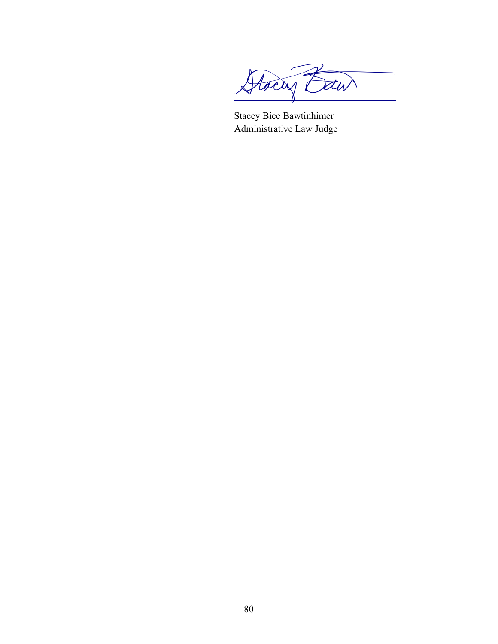Stacing Daw

Stacey Bice Bawtinhimer Administrative Law Judge